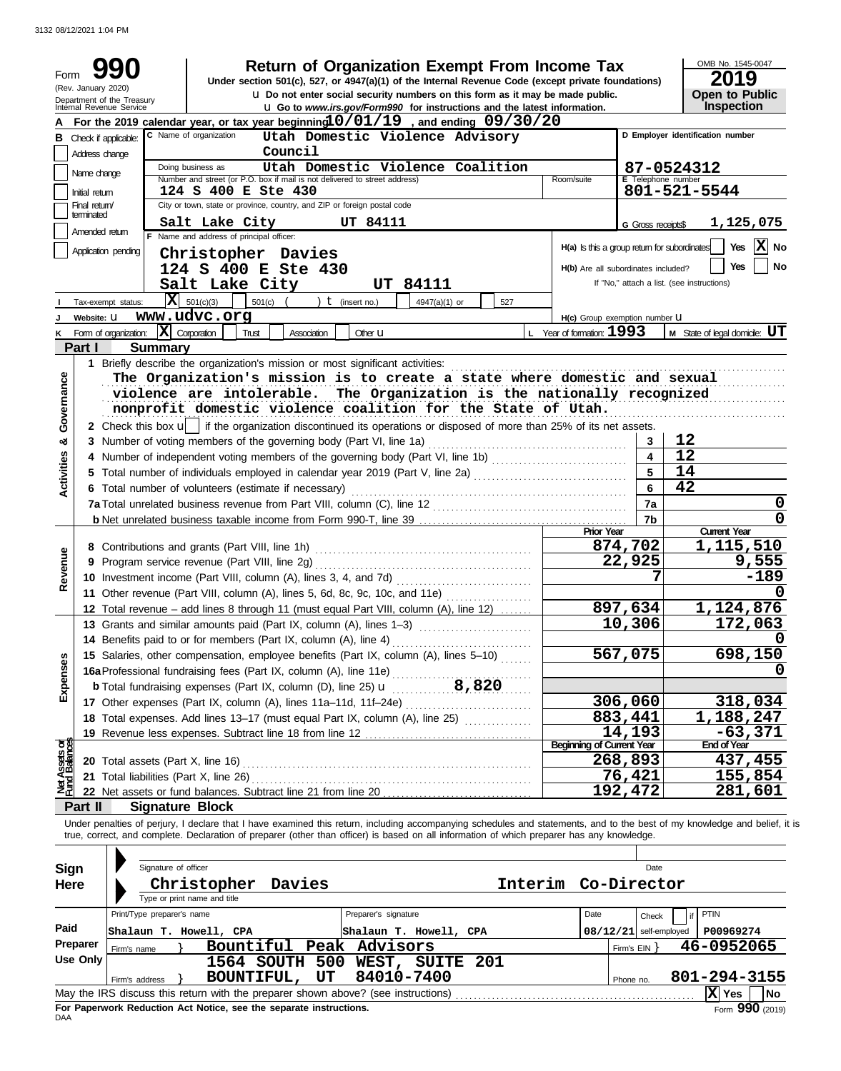3132 08/12/2021 1:04 PM

|                                                                                     |                                                                                                                                   | <b>Return of Organization Exempt From Income Tax</b>                                                                                                                                                                                                                                                                     |                          | OMB No. 1545-0047                            |  |  |  |  |  |
|-------------------------------------------------------------------------------------|-----------------------------------------------------------------------------------------------------------------------------------|--------------------------------------------------------------------------------------------------------------------------------------------------------------------------------------------------------------------------------------------------------------------------------------------------------------------------|--------------------------|----------------------------------------------|--|--|--|--|--|
|                                                                                     | Form<br>Under section 501(c), 527, or 4947(a)(1) of the Internal Revenue Code (except private foundations)<br>(Rev. January 2020) |                                                                                                                                                                                                                                                                                                                          |                          |                                              |  |  |  |  |  |
|                                                                                     | Department of the Treasury<br>Internal Revenue Service                                                                            | U Do not enter social security numbers on this form as it may be made public.<br>U Go to www.irs.gov/Form990 for instructions and the latest information.                                                                                                                                                                |                          | Open to Public<br>Inspection                 |  |  |  |  |  |
| For the 2019 calendar year, or tax year beginning $0/01/19$ , and ending $09/30/20$ |                                                                                                                                   |                                                                                                                                                                                                                                                                                                                          |                          |                                              |  |  |  |  |  |
|                                                                                     | <b>B</b> Check if applicable:                                                                                                     | C Name of organization<br>Utah Domestic Violence Advisory                                                                                                                                                                                                                                                                |                          | D Employer identification number             |  |  |  |  |  |
|                                                                                     | Address change                                                                                                                    | Council                                                                                                                                                                                                                                                                                                                  |                          |                                              |  |  |  |  |  |
|                                                                                     | Name change                                                                                                                       | Utah Domestic Violence Coalition<br>Doing business as                                                                                                                                                                                                                                                                    |                          | 87-0524312                                   |  |  |  |  |  |
|                                                                                     | Initial return                                                                                                                    | Number and street (or P.O. box if mail is not delivered to street address)<br>Room/suite<br>124 S 400 E Ste 430                                                                                                                                                                                                          | E Telephone number       | 801-521-5544                                 |  |  |  |  |  |
|                                                                                     | Final return                                                                                                                      | City or town, state or province, country, and ZIP or foreign postal code                                                                                                                                                                                                                                                 |                          |                                              |  |  |  |  |  |
|                                                                                     | terminated                                                                                                                        | Salt Lake City<br>UT 84111                                                                                                                                                                                                                                                                                               | G Gross receipts\$       | 1,125,075                                    |  |  |  |  |  |
|                                                                                     | Amended return                                                                                                                    | F Name and address of principal officer:                                                                                                                                                                                                                                                                                 |                          | $ X $ No<br>Yes                              |  |  |  |  |  |
|                                                                                     | Application pending                                                                                                               | Christopher Davies                                                                                                                                                                                                                                                                                                       |                          | H(a) Is this a group return for subordinates |  |  |  |  |  |
|                                                                                     |                                                                                                                                   | 124 S 400 E Ste 430<br>H(b) Are all subordinates included?                                                                                                                                                                                                                                                               |                          | Yes<br>No                                    |  |  |  |  |  |
|                                                                                     |                                                                                                                                   | Salt Lake City<br><b>UT 84111</b>                                                                                                                                                                                                                                                                                        |                          | If "No," attach a list. (see instructions)   |  |  |  |  |  |
|                                                                                     | Tax-exempt status:                                                                                                                | $ \mathbf{X} $ 501(c)(3)<br>501(c)<br>$t$ (insert no.)<br>4947(a)(1) or<br>527<br>www.udvc.org                                                                                                                                                                                                                           |                          |                                              |  |  |  |  |  |
|                                                                                     | Website: U                                                                                                                        | H(c) Group exemption number U<br>$\mathbf{X}$ Corporation<br>L Year of formation: $1993$<br>Association<br>Other <b>LI</b>                                                                                                                                                                                               |                          |                                              |  |  |  |  |  |
|                                                                                     | K Form of organization:<br>Part I                                                                                                 | Trust<br><b>Summary</b>                                                                                                                                                                                                                                                                                                  |                          | <b>M</b> State of legal domicile: $UT$       |  |  |  |  |  |
|                                                                                     |                                                                                                                                   |                                                                                                                                                                                                                                                                                                                          |                          |                                              |  |  |  |  |  |
|                                                                                     |                                                                                                                                   | The Organization's mission is to create a state where domestic and sexual                                                                                                                                                                                                                                                |                          |                                              |  |  |  |  |  |
| Governance                                                                          |                                                                                                                                   | violence are intolerable. The Organization is the nationally recognized                                                                                                                                                                                                                                                  |                          |                                              |  |  |  |  |  |
|                                                                                     |                                                                                                                                   | nonprofit domestic violence coalition for the State of Utah.                                                                                                                                                                                                                                                             |                          |                                              |  |  |  |  |  |
|                                                                                     |                                                                                                                                   | 2 Check this box $\bigcup$ if the organization discontinued its operations or disposed of more than 25% of its net assets.                                                                                                                                                                                               |                          |                                              |  |  |  |  |  |
| ಯ                                                                                   |                                                                                                                                   |                                                                                                                                                                                                                                                                                                                          | 3                        | 12                                           |  |  |  |  |  |
|                                                                                     |                                                                                                                                   | 4 Number of independent voting members of the governing body (Part VI, line 1b)                                                                                                                                                                                                                                          | $\overline{\mathbf{4}}$  | 12                                           |  |  |  |  |  |
| Activities                                                                          |                                                                                                                                   | 5 Total number of individuals employed in calendar year 2019 (Part V, line 2a)                                                                                                                                                                                                                                           | 5                        | 14                                           |  |  |  |  |  |
|                                                                                     |                                                                                                                                   |                                                                                                                                                                                                                                                                                                                          | 6                        | 42                                           |  |  |  |  |  |
|                                                                                     |                                                                                                                                   |                                                                                                                                                                                                                                                                                                                          | 7a                       | 0                                            |  |  |  |  |  |
|                                                                                     |                                                                                                                                   |                                                                                                                                                                                                                                                                                                                          |                          |                                              |  |  |  |  |  |
|                                                                                     |                                                                                                                                   |                                                                                                                                                                                                                                                                                                                          | 7b                       | $\mathbf 0$                                  |  |  |  |  |  |
|                                                                                     |                                                                                                                                   | <b>Prior Year</b>                                                                                                                                                                                                                                                                                                        |                          | <b>Current Year</b>                          |  |  |  |  |  |
|                                                                                     |                                                                                                                                   |                                                                                                                                                                                                                                                                                                                          | 874,702                  | 1,115,510                                    |  |  |  |  |  |
|                                                                                     |                                                                                                                                   |                                                                                                                                                                                                                                                                                                                          | 22,925                   | 9,555                                        |  |  |  |  |  |
| Revenue                                                                             |                                                                                                                                   |                                                                                                                                                                                                                                                                                                                          |                          | $-189$                                       |  |  |  |  |  |
|                                                                                     |                                                                                                                                   | 11 Other revenue (Part VIII, column (A), lines 5, 6d, 8c, 9c, 10c, and 11e)                                                                                                                                                                                                                                              |                          |                                              |  |  |  |  |  |
|                                                                                     |                                                                                                                                   | 12 Total revenue - add lines 8 through 11 (must equal Part VIII, column (A), line 12)                                                                                                                                                                                                                                    | 897,634                  | 1,124,876                                    |  |  |  |  |  |
|                                                                                     |                                                                                                                                   | 13 Grants and similar amounts paid (Part IX, column (A), lines 1-3)<br>14 Benefits paid to or for members (Part IX, column (A), line 4)                                                                                                                                                                                  | 10,306                   | 172,063<br>O                                 |  |  |  |  |  |
|                                                                                     |                                                                                                                                   | 15 Salaries, other compensation, employee benefits (Part IX, column (A), lines 5-10)                                                                                                                                                                                                                                     | 567,075                  | 698,150                                      |  |  |  |  |  |
|                                                                                     |                                                                                                                                   |                                                                                                                                                                                                                                                                                                                          |                          |                                              |  |  |  |  |  |
|                                                                                     |                                                                                                                                   | 8,820<br><b>b</b> Total fundraising expenses (Part IX, column (D), line 25) <b>u</b>                                                                                                                                                                                                                                     |                          |                                              |  |  |  |  |  |
| Expenses                                                                            |                                                                                                                                   | 17 Other expenses (Part IX, column (A), lines 11a-11d, 11f-24e)                                                                                                                                                                                                                                                          | 306,060                  | 318,034                                      |  |  |  |  |  |
|                                                                                     |                                                                                                                                   |                                                                                                                                                                                                                                                                                                                          | 883,441                  | 1,188,247                                    |  |  |  |  |  |
|                                                                                     |                                                                                                                                   | 19 Revenue less expenses. Subtract line 18 from line 12                                                                                                                                                                                                                                                                  | 14,193                   | $-63,371$                                    |  |  |  |  |  |
|                                                                                     |                                                                                                                                   | <b>Beginning of Current Year</b>                                                                                                                                                                                                                                                                                         |                          | <b>End of Year</b>                           |  |  |  |  |  |
|                                                                                     |                                                                                                                                   |                                                                                                                                                                                                                                                                                                                          | 268,893                  | 437,455                                      |  |  |  |  |  |
|                                                                                     |                                                                                                                                   |                                                                                                                                                                                                                                                                                                                          | 76,421                   | 155,854                                      |  |  |  |  |  |
| Net Assets or<br>Fund Balances                                                      | Part II                                                                                                                           | 22 Net assets or fund balances. Subtract line 21 from line 20<br><b>Signature Block</b>                                                                                                                                                                                                                                  | 192, 472                 | 281,601                                      |  |  |  |  |  |
|                                                                                     |                                                                                                                                   | Under penalties of perjury, I declare that I have examined this return, including accompanying schedules and statements, and to the best of my knowledge and belief, it is<br>true, correct, and complete. Declaration of preparer (other than officer) is based on all information of which preparer has any knowledge. |                          |                                              |  |  |  |  |  |
|                                                                                     |                                                                                                                                   |                                                                                                                                                                                                                                                                                                                          |                          |                                              |  |  |  |  |  |
| <b>Sign</b>                                                                         |                                                                                                                                   | Signature of officer                                                                                                                                                                                                                                                                                                     | Date                     |                                              |  |  |  |  |  |
| Here                                                                                |                                                                                                                                   | Christopher<br>Davies<br>Interim                                                                                                                                                                                                                                                                                         | Co-Director              |                                              |  |  |  |  |  |
|                                                                                     |                                                                                                                                   | Type or print name and title                                                                                                                                                                                                                                                                                             |                          |                                              |  |  |  |  |  |
|                                                                                     |                                                                                                                                   | Print/Type preparer's name<br>Preparer's signature<br>Date                                                                                                                                                                                                                                                               | Check                    | PTIN                                         |  |  |  |  |  |
| Paid                                                                                |                                                                                                                                   | Shalaun T. Howell, CPA<br>Shalaun T. Howell, CPA                                                                                                                                                                                                                                                                         | $08/12/21$ self-employed | P00969274                                    |  |  |  |  |  |
|                                                                                     | Preparer<br>Firm's name                                                                                                           | Bountiful<br>Peak Advisors                                                                                                                                                                                                                                                                                               | Firm's $EIN$ }           | 46-0952065                                   |  |  |  |  |  |
|                                                                                     | Use Only<br>Firm's address                                                                                                        | <b>1564 SOUTH 500</b><br>WEST, SUITE 201<br>84010-7400<br>BOUNTIFUL,<br>UT                                                                                                                                                                                                                                               | Phone no.                | 801-294-3155                                 |  |  |  |  |  |

| Use Only |                                                                                                         |  |  |               |  | 1564 SOUTH 500 WEST, SUITE 201 |  |  |           |              |  |  |  |
|----------|---------------------------------------------------------------------------------------------------------|--|--|---------------|--|--------------------------------|--|--|-----------|--------------|--|--|--|
|          | Firm's address                                                                                          |  |  | BOUNTIFUL, UT |  | 84010-7400                     |  |  | Phone no. | 801-294-3155 |  |  |  |
|          | X Yes<br>May the IRS discuss this return with the preparer shown above? (see instructions)<br><b>No</b> |  |  |               |  |                                |  |  |           |              |  |  |  |
| DAA      | Form $990$ (2019)<br>For Paperwork Reduction Act Notice, see the separate instructions.                 |  |  |               |  |                                |  |  |           |              |  |  |  |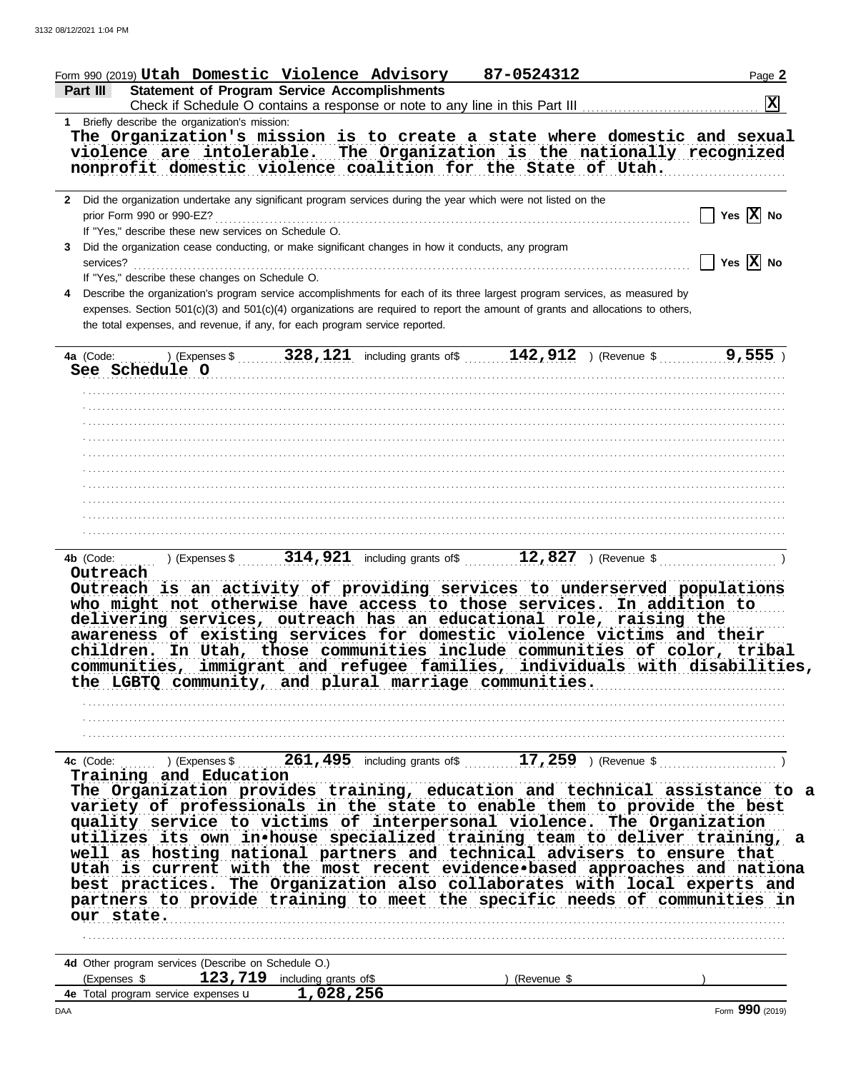| Form 990 (2019) <b>Utah Domestic Violence Advisory</b>                                                                                                                                                                                                                                                                                                                                                                                                                                                                             | 87-0524312    | Page 2                             |
|------------------------------------------------------------------------------------------------------------------------------------------------------------------------------------------------------------------------------------------------------------------------------------------------------------------------------------------------------------------------------------------------------------------------------------------------------------------------------------------------------------------------------------|---------------|------------------------------------|
| <b>Statement of Program Service Accomplishments</b><br>Part III                                                                                                                                                                                                                                                                                                                                                                                                                                                                    |               |                                    |
|                                                                                                                                                                                                                                                                                                                                                                                                                                                                                                                                    |               | $\boxed{\mathbf{X}}$               |
| 1 Briefly describe the organization's mission:<br>The Organization's mission is to create a state where domestic and sexual                                                                                                                                                                                                                                                                                                                                                                                                        |               |                                    |
| violence are intolerable. The Organization is the nationally recognized                                                                                                                                                                                                                                                                                                                                                                                                                                                            |               |                                    |
| nonprofit domestic violence coalition for the State of Utah.                                                                                                                                                                                                                                                                                                                                                                                                                                                                       |               |                                    |
|                                                                                                                                                                                                                                                                                                                                                                                                                                                                                                                                    |               |                                    |
| 2 Did the organization undertake any significant program services during the year which were not listed on the                                                                                                                                                                                                                                                                                                                                                                                                                     |               |                                    |
|                                                                                                                                                                                                                                                                                                                                                                                                                                                                                                                                    |               | $\Box$ Yes $\boxed{\mathbf{X}}$ No |
| If "Yes," describe these new services on Schedule O.                                                                                                                                                                                                                                                                                                                                                                                                                                                                               |               |                                    |
| Did the organization cease conducting, or make significant changes in how it conducts, any program<br>3                                                                                                                                                                                                                                                                                                                                                                                                                            |               |                                    |
| services?<br>If "Yes," describe these changes on Schedule O.                                                                                                                                                                                                                                                                                                                                                                                                                                                                       |               | $\Box$ Yes $\boxed{\mathbf{X}}$ No |
| Describe the organization's program service accomplishments for each of its three largest program services, as measured by<br>4                                                                                                                                                                                                                                                                                                                                                                                                    |               |                                    |
| expenses. Section 501(c)(3) and 501(c)(4) organizations are required to report the amount of grants and allocations to others,                                                                                                                                                                                                                                                                                                                                                                                                     |               |                                    |
| the total expenses, and revenue, if any, for each program service reported.                                                                                                                                                                                                                                                                                                                                                                                                                                                        |               |                                    |
|                                                                                                                                                                                                                                                                                                                                                                                                                                                                                                                                    |               |                                    |
| 4a (Code:  ) (Expenses \$  328, 121 including grants of \$  142, 912 ) (Revenue \$  9, 555 )                                                                                                                                                                                                                                                                                                                                                                                                                                       |               |                                    |
| See Schedule O                                                                                                                                                                                                                                                                                                                                                                                                                                                                                                                     |               |                                    |
|                                                                                                                                                                                                                                                                                                                                                                                                                                                                                                                                    |               |                                    |
|                                                                                                                                                                                                                                                                                                                                                                                                                                                                                                                                    |               |                                    |
|                                                                                                                                                                                                                                                                                                                                                                                                                                                                                                                                    |               |                                    |
|                                                                                                                                                                                                                                                                                                                                                                                                                                                                                                                                    |               |                                    |
|                                                                                                                                                                                                                                                                                                                                                                                                                                                                                                                                    |               |                                    |
|                                                                                                                                                                                                                                                                                                                                                                                                                                                                                                                                    |               |                                    |
|                                                                                                                                                                                                                                                                                                                                                                                                                                                                                                                                    |               |                                    |
|                                                                                                                                                                                                                                                                                                                                                                                                                                                                                                                                    |               |                                    |
|                                                                                                                                                                                                                                                                                                                                                                                                                                                                                                                                    |               |                                    |
| Outreach<br>Outreach is an activity of providing services to underserved populations<br>who might not otherwise have access to those services. In addition to<br>delivering services, outreach has an educational role, raising the<br>awareness of existing services for domestic violence victims and their<br>children. In Utah, those communities include communities of color, tribal<br>communities, immigrant and refugee families, individuals with disabilities,<br>the LGBTQ community, and plural marriage communities. |               |                                    |
|                                                                                                                                                                                                                                                                                                                                                                                                                                                                                                                                    |               |                                    |
| Training and Education                                                                                                                                                                                                                                                                                                                                                                                                                                                                                                             |               |                                    |
| The Organization provides training, education and technical assistance to a                                                                                                                                                                                                                                                                                                                                                                                                                                                        |               |                                    |
| variety of professionals in the state to enable them to provide the best                                                                                                                                                                                                                                                                                                                                                                                                                                                           |               |                                    |
| quality service to victims of interpersonal violence. The Organization                                                                                                                                                                                                                                                                                                                                                                                                                                                             |               |                                    |
| utilizes its own in•house specialized training team to deliver training, a                                                                                                                                                                                                                                                                                                                                                                                                                                                         |               |                                    |
| well as hosting national partners and technical advisers to ensure that                                                                                                                                                                                                                                                                                                                                                                                                                                                            |               |                                    |
| Utah is current with the most recent evidence.based approaches and nationa<br>best practices. The Organization also collaborates with local experts and                                                                                                                                                                                                                                                                                                                                                                            |               |                                    |
| partners to provide training to meet the specific needs of communities in                                                                                                                                                                                                                                                                                                                                                                                                                                                          |               |                                    |
| our state.                                                                                                                                                                                                                                                                                                                                                                                                                                                                                                                         |               |                                    |
|                                                                                                                                                                                                                                                                                                                                                                                                                                                                                                                                    |               |                                    |
|                                                                                                                                                                                                                                                                                                                                                                                                                                                                                                                                    |               |                                    |
|                                                                                                                                                                                                                                                                                                                                                                                                                                                                                                                                    |               |                                    |
| 4d Other program services (Describe on Schedule O.)<br>$123$ , $719$ including grants of\$<br>(Expenses \$                                                                                                                                                                                                                                                                                                                                                                                                                         | ) (Revenue \$ |                                    |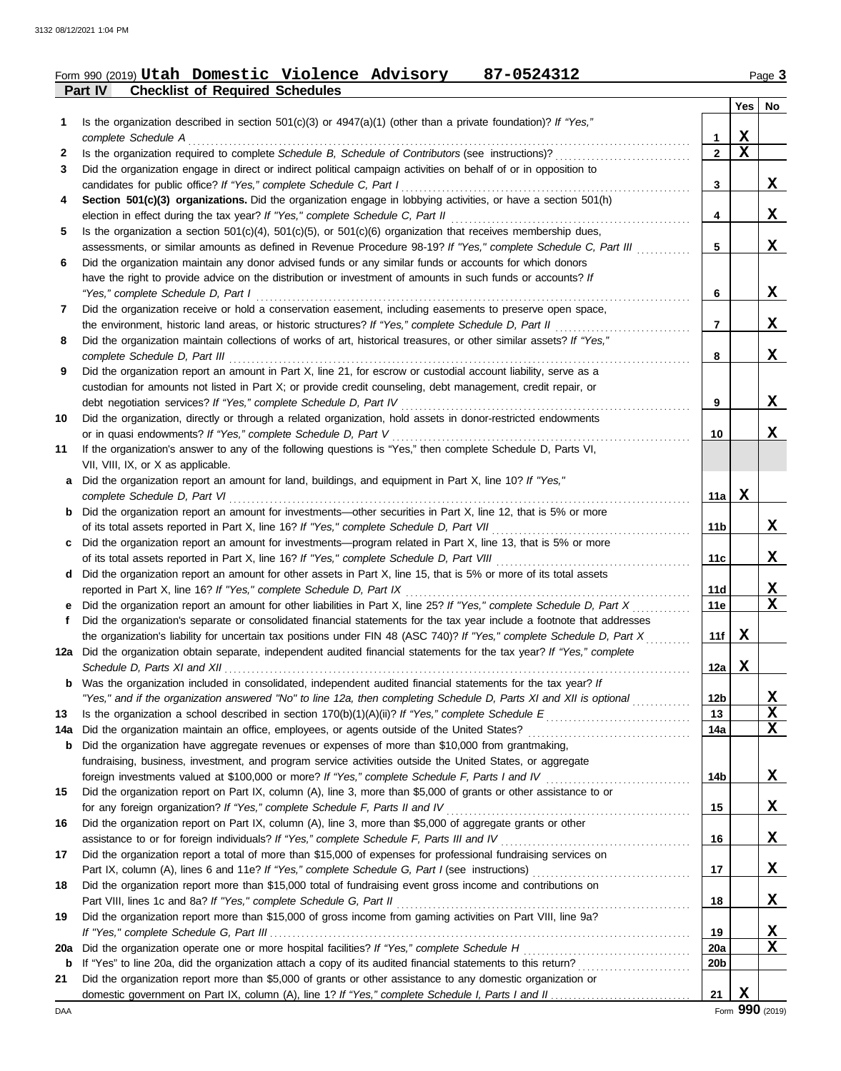### **Part IV Checklist of Required Schedules** Form 990 (2019) Utah Domestic Violence Advisory 87-0524312 Page 3

|     |                                                                                                                                                                                                                             |                 | Yes         | No          |
|-----|-----------------------------------------------------------------------------------------------------------------------------------------------------------------------------------------------------------------------------|-----------------|-------------|-------------|
| 1   | Is the organization described in section $501(c)(3)$ or $4947(a)(1)$ (other than a private foundation)? If "Yes,"                                                                                                           |                 |             |             |
|     | complete Schedule A                                                                                                                                                                                                         | 1               | X           |             |
| 2   |                                                                                                                                                                                                                             | $\mathbf{2}$    | $\mathbf x$ |             |
| 3   | Did the organization engage in direct or indirect political campaign activities on behalf of or in opposition to                                                                                                            |                 |             |             |
|     | candidates for public office? If "Yes," complete Schedule C, Part I                                                                                                                                                         | 3               |             | X           |
| 4   | Section 501(c)(3) organizations. Did the organization engage in lobbying activities, or have a section 501(h)                                                                                                               |                 |             |             |
|     | election in effect during the tax year? If "Yes," complete Schedule C, Part II                                                                                                                                              | 4               |             | X           |
| 5   | Is the organization a section $501(c)(4)$ , $501(c)(5)$ , or $501(c)(6)$ organization that receives membership dues,                                                                                                        |                 |             |             |
|     | assessments, or similar amounts as defined in Revenue Procedure 98-19? If "Yes," complete Schedule C, Part III                                                                                                              | 5               |             | X           |
| 6   | Did the organization maintain any donor advised funds or any similar funds or accounts for which donors                                                                                                                     |                 |             |             |
|     | have the right to provide advice on the distribution or investment of amounts in such funds or accounts? If                                                                                                                 |                 |             | X           |
|     | "Yes," complete Schedule D, Part I                                                                                                                                                                                          | 6               |             |             |
| 7   | Did the organization receive or hold a conservation easement, including easements to preserve open space,                                                                                                                   | 7               |             | X           |
| 8   | the environment, historic land areas, or historic structures? If "Yes," complete Schedule D, Part II<br>Did the organization maintain collections of works of art, historical treasures, or other similar assets? If "Yes," |                 |             |             |
|     | complete Schedule D, Part III                                                                                                                                                                                               | 8               |             | X           |
| 9   | Did the organization report an amount in Part X, line 21, for escrow or custodial account liability, serve as a                                                                                                             |                 |             |             |
|     | custodian for amounts not listed in Part X; or provide credit counseling, debt management, credit repair, or                                                                                                                |                 |             |             |
|     | debt negotiation services? If "Yes," complete Schedule D, Part IV                                                                                                                                                           | 9               |             | X           |
| 10  | Did the organization, directly or through a related organization, hold assets in donor-restricted endowments                                                                                                                |                 |             |             |
|     | or in quasi endowments? If "Yes," complete Schedule D, Part V                                                                                                                                                               | 10              |             | X           |
| 11  | If the organization's answer to any of the following questions is "Yes," then complete Schedule D, Parts VI,                                                                                                                |                 |             |             |
|     | VII, VIII, IX, or X as applicable.                                                                                                                                                                                          |                 |             |             |
| a   | Did the organization report an amount for land, buildings, and equipment in Part X, line 10? If "Yes,"                                                                                                                      |                 |             |             |
|     | complete Schedule D, Part VI                                                                                                                                                                                                | 11a             | X           |             |
|     | <b>b</b> Did the organization report an amount for investments—other securities in Part X, line 12, that is 5% or more                                                                                                      |                 |             |             |
|     |                                                                                                                                                                                                                             | 11b             |             | X           |
| c   | Did the organization report an amount for investments—program related in Part X, line 13, that is 5% or more                                                                                                                |                 |             |             |
|     |                                                                                                                                                                                                                             | 11c             |             | X           |
| d   | Did the organization report an amount for other assets in Part X, line 15, that is 5% or more of its total assets                                                                                                           |                 |             |             |
|     | reported in Part X, line 16? If "Yes," complete Schedule D, Part IX                                                                                                                                                         | 11d             |             | X           |
| е   | Did the organization report an amount for other liabilities in Part X, line 25? If "Yes," complete Schedule D, Part X                                                                                                       | 11e             |             | $\mathbf X$ |
| f   | Did the organization's separate or consolidated financial statements for the tax year include a footnote that addresses                                                                                                     |                 |             |             |
|     | the organization's liability for uncertain tax positions under FIN 48 (ASC 740)? If "Yes," complete Schedule D, Part X                                                                                                      | 11f             | X           |             |
|     | 12a Did the organization obtain separate, independent audited financial statements for the tax year? If "Yes," complete                                                                                                     |                 |             |             |
|     |                                                                                                                                                                                                                             | 12a             | X           |             |
|     | Was the organization included in consolidated, independent audited financial statements for the tax year? If                                                                                                                |                 |             |             |
|     | "Yes," and if the organization answered "No" to line 12a, then completing Schedule D, Parts XI and XII is optional                                                                                                          | 12b             |             | Х           |
| 13  |                                                                                                                                                                                                                             | 13              |             | X           |
| 14a |                                                                                                                                                                                                                             | 14a             |             | $\mathbf x$ |
| b   | Did the organization have aggregate revenues or expenses of more than \$10,000 from grantmaking,                                                                                                                            |                 |             |             |
|     | fundraising, business, investment, and program service activities outside the United States, or aggregate                                                                                                                   |                 |             |             |
|     | foreign investments valued at \$100,000 or more? If "Yes," complete Schedule F, Parts I and IV [[[[[[[[[[[[[[[[                                                                                                             | 14b             |             | X           |
| 15  | Did the organization report on Part IX, column (A), line 3, more than \$5,000 of grants or other assistance to or<br>for any foreign organization? If "Yes," complete Schedule F, Parts II and IV                           | 15              |             | X           |
| 16  | Did the organization report on Part IX, column (A), line 3, more than \$5,000 of aggregate grants or other                                                                                                                  |                 |             |             |
|     |                                                                                                                                                                                                                             | 16              |             | X           |
| 17  | Did the organization report a total of more than \$15,000 of expenses for professional fundraising services on                                                                                                              |                 |             |             |
|     |                                                                                                                                                                                                                             | 17              |             | $\mathbf x$ |
| 18  | Did the organization report more than \$15,000 total of fundraising event gross income and contributions on                                                                                                                 |                 |             |             |
|     |                                                                                                                                                                                                                             | 18              |             | X           |
| 19  | Did the organization report more than \$15,000 of gross income from gaming activities on Part VIII, line 9a?                                                                                                                |                 |             |             |
|     |                                                                                                                                                                                                                             | 19              |             | X           |
| 20a |                                                                                                                                                                                                                             | 20a             |             | X           |
| b   |                                                                                                                                                                                                                             | 20 <sub>b</sub> |             |             |
| 21  | Did the organization report more than \$5,000 of grants or other assistance to any domestic organization or                                                                                                                 |                 |             |             |
|     |                                                                                                                                                                                                                             | 21              | $\mathbf X$ |             |
|     |                                                                                                                                                                                                                             |                 |             |             |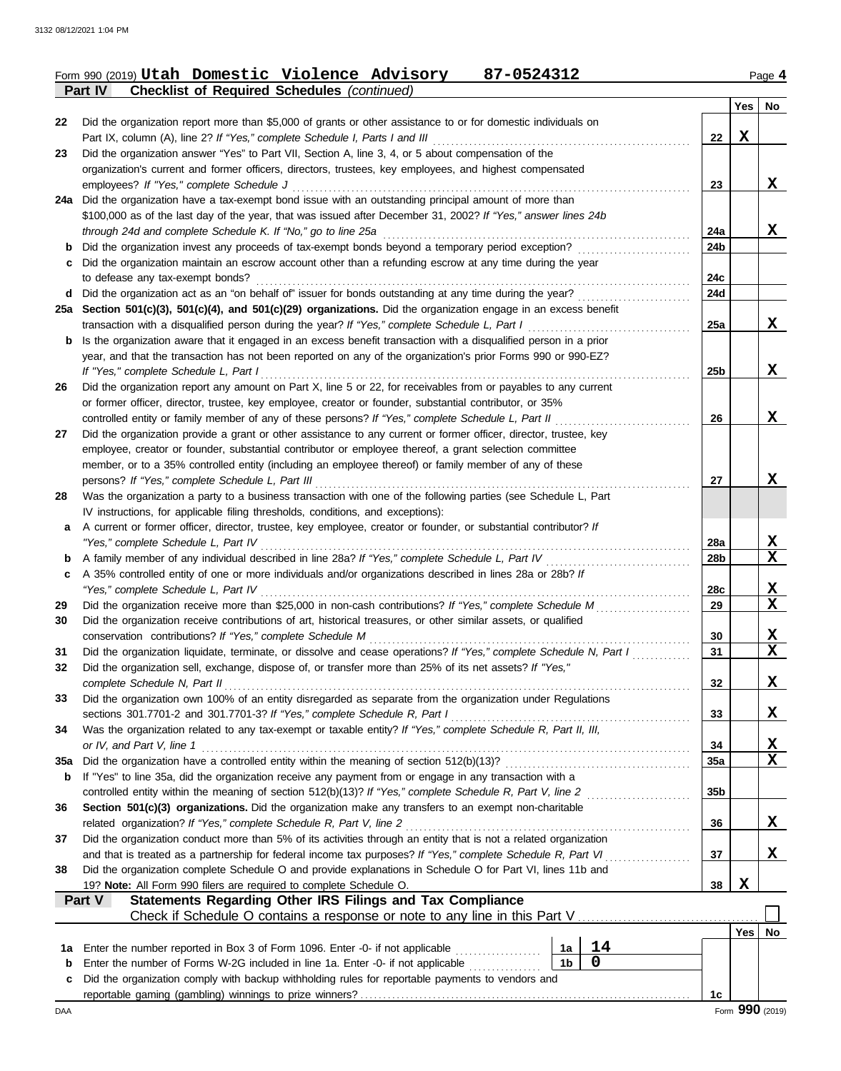|  | Form 990 (2019) Utah Domestic Violence Advisory            | 87-0524312 | Page 4 |
|--|------------------------------------------------------------|------------|--------|
|  | <b>Part IV</b> Checklist of Required Schedules (continued) |            |        |

|     | oncembre, or required ochedules footunated                                                                                                                                                          |     | Yes         | No          |
|-----|-----------------------------------------------------------------------------------------------------------------------------------------------------------------------------------------------------|-----|-------------|-------------|
| 22  | Did the organization report more than \$5,000 of grants or other assistance to or for domestic individuals on                                                                                       |     |             |             |
|     | Part IX, column (A), line 2? If "Yes," complete Schedule I, Parts I and III                                                                                                                         | 22  | X           |             |
| 23  | Did the organization answer "Yes" to Part VII, Section A, line 3, 4, or 5 about compensation of the                                                                                                 |     |             |             |
|     | organization's current and former officers, directors, trustees, key employees, and highest compensated                                                                                             |     |             |             |
|     | employees? If "Yes," complete Schedule J                                                                                                                                                            | 23  |             | X           |
|     | 24a Did the organization have a tax-exempt bond issue with an outstanding principal amount of more than                                                                                             |     |             |             |
|     | \$100,000 as of the last day of the year, that was issued after December 31, 2002? If "Yes," answer lines 24b                                                                                       |     |             |             |
|     | through 24d and complete Schedule K. If "No," go to line 25a                                                                                                                                        | 24a |             | X           |
| b   | Did the organization invest any proceeds of tax-exempt bonds beyond a temporary period exception?                                                                                                   | 24b |             |             |
| c   | Did the organization maintain an escrow account other than a refunding escrow at any time during the year                                                                                           |     |             |             |
|     | to defease any tax-exempt bonds?                                                                                                                                                                    | 24c |             |             |
| d   | Did the organization act as an "on behalf of" issuer for bonds outstanding at any time during the year?                                                                                             | 24d |             |             |
|     | 25a Section 501(c)(3), 501(c)(4), and 501(c)(29) organizations. Did the organization engage in an excess benefit                                                                                    |     |             |             |
|     | transaction with a disqualified person during the year? If "Yes," complete Schedule L, Part I                                                                                                       | 25a |             | X           |
| b   | Is the organization aware that it engaged in an excess benefit transaction with a disqualified person in a prior                                                                                    |     |             |             |
|     | year, and that the transaction has not been reported on any of the organization's prior Forms 990 or 990-EZ?                                                                                        |     |             |             |
|     | If "Yes," complete Schedule L, Part I                                                                                                                                                               | 25b |             | X           |
| 26  | Did the organization report any amount on Part X, line 5 or 22, for receivables from or payables to any current                                                                                     |     |             |             |
|     | or former officer, director, trustee, key employee, creator or founder, substantial contributor, or 35%                                                                                             |     |             |             |
|     | controlled entity or family member of any of these persons? If "Yes," complete Schedule L, Part II                                                                                                  | 26  |             | X           |
| 27  | Did the organization provide a grant or other assistance to any current or former officer, director, trustee, key                                                                                   |     |             |             |
|     | employee, creator or founder, substantial contributor or employee thereof, a grant selection committee                                                                                              |     |             |             |
|     | member, or to a 35% controlled entity (including an employee thereof) or family member of any of these                                                                                              |     |             | X           |
|     | persons? If "Yes," complete Schedule L, Part III<br>Was the organization a party to a business transaction with one of the following parties (see Schedule L, Part                                  | 27  |             |             |
| 28  |                                                                                                                                                                                                     |     |             |             |
| a   | IV instructions, for applicable filing thresholds, conditions, and exceptions):<br>A current or former officer, director, trustee, key employee, creator or founder, or substantial contributor? If |     |             |             |
|     | "Yes," complete Schedule L, Part IV                                                                                                                                                                 | 28a |             | <u>x</u>    |
| b   | A family member of any individual described in line 28a? If "Yes," complete Schedule L, Part IV                                                                                                     | 28b |             | $\mathbf X$ |
| c   | A 35% controlled entity of one or more individuals and/or organizations described in lines 28a or 28b? If                                                                                           |     |             |             |
|     | "Yes," complete Schedule L, Part IV                                                                                                                                                                 | 28c |             | <u>x</u>    |
| 29  | Did the organization receive more than \$25,000 in non-cash contributions? If "Yes," complete Schedule M                                                                                            | 29  |             | $\mathbf X$ |
| 30  | Did the organization receive contributions of art, historical treasures, or other similar assets, or qualified                                                                                      |     |             |             |
|     | conservation contributions? If "Yes," complete Schedule M                                                                                                                                           | 30  |             | X           |
| 31  | Did the organization liquidate, terminate, or dissolve and cease operations? If "Yes," complete Schedule N, Part I                                                                                  | 31  |             | $\mathbf X$ |
| 32  | Did the organization sell, exchange, dispose of, or transfer more than 25% of its net assets? If "Yes,"                                                                                             |     |             |             |
|     | complete Schedule N, Part II                                                                                                                                                                        | 32  |             | X           |
| 33  | Did the organization own 100% of an entity disregarded as separate from the organization under Regulations                                                                                          |     |             |             |
|     | sections 301.7701-2 and 301.7701-3? If "Yes," complete Schedule R, Part I                                                                                                                           | 33  |             | X           |
| 34  | Was the organization related to any tax-exempt or taxable entity? If "Yes," complete Schedule R, Part II, III,                                                                                      |     |             |             |
|     | or IV, and Part V, line 1                                                                                                                                                                           | 34  |             | X           |
| 35a | Did the organization have a controlled entity within the meaning of section 512(b)(13)?                                                                                                             | 35a |             | $\mathbf x$ |
| b   | If "Yes" to line 35a, did the organization receive any payment from or engage in any transaction with a                                                                                             |     |             |             |
|     |                                                                                                                                                                                                     | 35b |             |             |
| 36  | Section 501(c)(3) organizations. Did the organization make any transfers to an exempt non-charitable                                                                                                |     |             |             |
|     | related organization? If "Yes," complete Schedule R, Part V, line 2                                                                                                                                 | 36  |             | X           |
| 37  | Did the organization conduct more than 5% of its activities through an entity that is not a related organization                                                                                    |     |             |             |
|     | and that is treated as a partnership for federal income tax purposes? If "Yes," complete Schedule R, Part VI<br><u>.</u><br>1980 - Paul Barbara, president al II-lea                                | 37  |             | X           |
| 38  | Did the organization complete Schedule O and provide explanations in Schedule O for Part VI, lines 11b and                                                                                          |     | $\mathbf X$ |             |
|     | 19? Note: All Form 990 filers are required to complete Schedule O.                                                                                                                                  | 38  |             |             |
|     | <b>Statements Regarding Other IRS Filings and Tax Compliance</b><br>Part V<br>Check if Schedule O contains a response or note to any line in this Part V.                                           |     |             |             |
|     |                                                                                                                                                                                                     |     | Yes         | No          |
| 1a  | 14<br>Enter the number reported in Box 3 of Form 1096. Enter -0- if not applicable<br>1a                                                                                                            |     |             |             |
| b   | .<br>$\mathbf 0$<br>Enter the number of Forms W-2G included in line 1a. Enter -0- if not applicable<br>1b                                                                                           |     |             |             |
| c   | Did the organization comply with backup withholding rules for reportable payments to vendors and                                                                                                    |     |             |             |
|     |                                                                                                                                                                                                     | 1c  |             |             |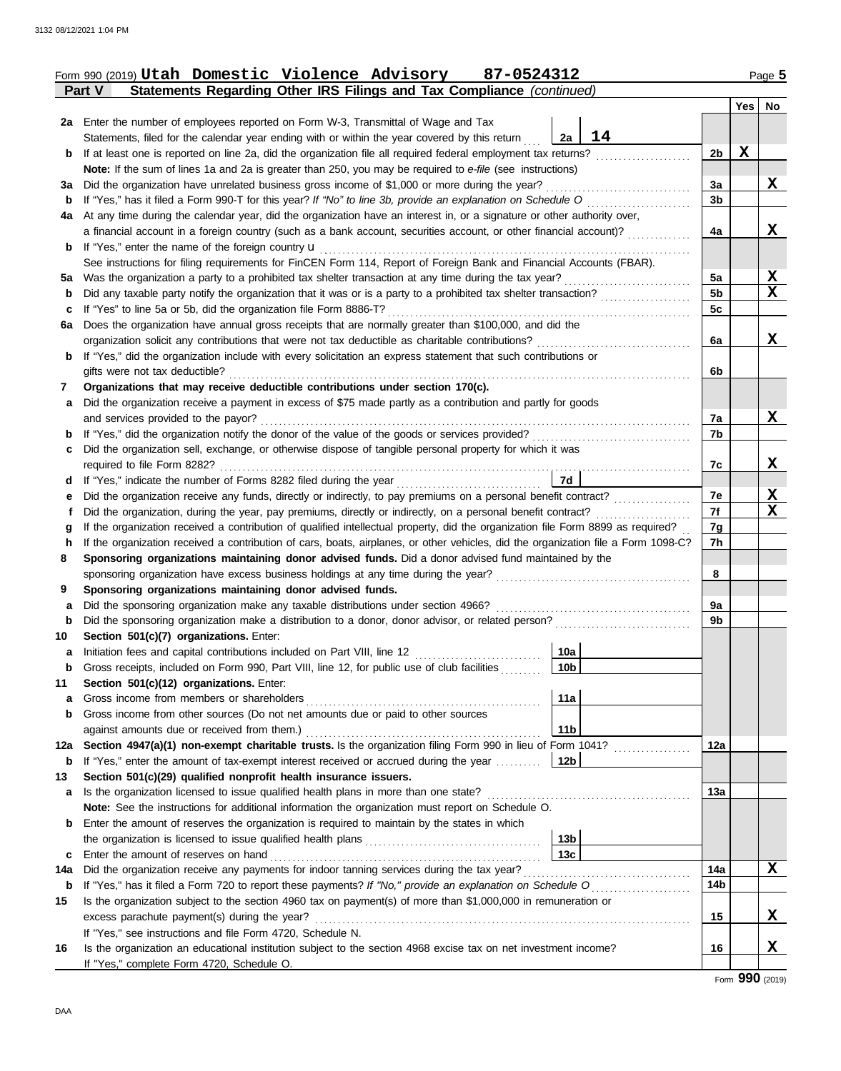|     | Form 990 (2019) Utah Domestic Violence Advisory 87-0524312<br>Page 5                                                               |                 |                |   |               |  |  |  |
|-----|------------------------------------------------------------------------------------------------------------------------------------|-----------------|----------------|---|---------------|--|--|--|
|     | Statements Regarding Other IRS Filings and Tax Compliance (continued)<br>Part V                                                    |                 |                |   |               |  |  |  |
|     |                                                                                                                                    |                 |                |   | $Yes \mid No$ |  |  |  |
|     | 2a Enter the number of employees reported on Form W-3, Transmittal of Wage and Tax                                                 |                 |                |   |               |  |  |  |
|     | Statements, filed for the calendar year ending with or within the year covered by this return                                      | 14<br>2a        |                |   |               |  |  |  |
| b   | If at least one is reported on line 2a, did the organization file all required federal employment tax returns?                     |                 | 2 <sub>b</sub> | X |               |  |  |  |
|     | Note: If the sum of lines 1a and 2a is greater than 250, you may be required to e-file (see instructions)                          |                 |                |   |               |  |  |  |
| За  | Did the organization have unrelated business gross income of \$1,000 or more during the year?                                      |                 | 3a             |   | X             |  |  |  |
| b   | If "Yes," has it filed a Form 990-T for this year? If "No" to line 3b, provide an explanation on Schedule O                        |                 | 3 <sub>b</sub> |   |               |  |  |  |
| 4a  | At any time during the calendar year, did the organization have an interest in, or a signature or other authority over,            |                 |                |   |               |  |  |  |
|     | a financial account in a foreign country (such as a bank account, securities account, or other financial account)?                 |                 | 4a             |   | X             |  |  |  |
| b   | If "Yes," enter the name of the foreign country <b>u</b>                                                                           |                 |                |   |               |  |  |  |
|     | See instructions for filing requirements for FinCEN Form 114, Report of Foreign Bank and Financial Accounts (FBAR).                |                 |                |   |               |  |  |  |
| 5a  | Was the organization a party to a prohibited tax shelter transaction at any time during the tax year?                              |                 | 5a             |   | X             |  |  |  |
| b   |                                                                                                                                    |                 | 5 <sub>b</sub> |   | X             |  |  |  |
| c   | If "Yes" to line 5a or 5b, did the organization file Form 8886-T?                                                                  |                 | 5c             |   |               |  |  |  |
| 6а  | Does the organization have annual gross receipts that are normally greater than \$100,000, and did the                             |                 |                |   |               |  |  |  |
|     | organization solicit any contributions that were not tax deductible as charitable contributions?                                   |                 | 6a             |   | x             |  |  |  |
| b   | If "Yes," did the organization include with every solicitation an express statement that such contributions or                     |                 |                |   |               |  |  |  |
|     | gifts were not tax deductible?                                                                                                     |                 | 6b             |   |               |  |  |  |
| 7   | Organizations that may receive deductible contributions under section 170(c).                                                      |                 |                |   |               |  |  |  |
| a   | Did the organization receive a payment in excess of \$75 made partly as a contribution and partly for goods                        |                 |                |   |               |  |  |  |
|     | and services provided to the payor?                                                                                                |                 | 7a             |   | X             |  |  |  |
| b   |                                                                                                                                    |                 | 7b             |   |               |  |  |  |
| c   | Did the organization sell, exchange, or otherwise dispose of tangible personal property for which it was                           |                 |                |   |               |  |  |  |
|     |                                                                                                                                    |                 | 7c             |   | X.            |  |  |  |
| d   | If "Yes," indicate the number of Forms 8282 filed during the year                                                                  | 7d              |                |   |               |  |  |  |
| е   | Did the organization receive any funds, directly or indirectly, to pay premiums on a personal benefit contract?                    |                 | 7e             |   | X             |  |  |  |
| f   | Did the organization, during the year, pay premiums, directly or indirectly, on a personal benefit contract?                       |                 | 7f             |   | X             |  |  |  |
| g   | If the organization received a contribution of qualified intellectual property, did the organization file Form 8899 as required?   |                 | 7g             |   |               |  |  |  |
| h   | If the organization received a contribution of cars, boats, airplanes, or other vehicles, did the organization file a Form 1098-C? |                 | 7h             |   |               |  |  |  |
| 8   | Sponsoring organizations maintaining donor advised funds. Did a donor advised fund maintained by the                               |                 |                |   |               |  |  |  |
|     | sponsoring organization have excess business holdings at any time during the year?                                                 |                 | 8              |   |               |  |  |  |
| 9   | Sponsoring organizations maintaining donor advised funds.                                                                          |                 |                |   |               |  |  |  |
| a   | Did the sponsoring organization make any taxable distributions under section 4966?                                                 |                 | 9a             |   |               |  |  |  |
| b   | Did the sponsoring organization make a distribution to a donor, donor advisor, or related person?                                  |                 | 9b             |   |               |  |  |  |
| 10  | Section 501(c)(7) organizations. Enter:                                                                                            |                 |                |   |               |  |  |  |
| а   | Initiation fees and capital contributions included on Part VIII, line 12                                                           | 10a             |                |   |               |  |  |  |
| b   | Gross receipts, included on Form 990, Part VIII, line 12, for public use of club facilities                                        | 10 <sub>b</sub> |                |   |               |  |  |  |
| 11  | Section 501(c)(12) organizations. Enter:                                                                                           |                 |                |   |               |  |  |  |
| a   | Gross income from members or shareholders                                                                                          | 11a             |                |   |               |  |  |  |
| b   | Gross income from other sources (Do not net amounts due or paid to other sources                                                   |                 |                |   |               |  |  |  |
|     | against amounts due or received from them.)                                                                                        | 11 <sub>b</sub> |                |   |               |  |  |  |
| 12a | Section 4947(a)(1) non-exempt charitable trusts. Is the organization filing Form 990 in lieu of Form 1041?                         |                 | 12a            |   |               |  |  |  |
| b   | If "Yes," enter the amount of tax-exempt interest received or accrued during the year                                              | 12b             |                |   |               |  |  |  |
| 13  | Section 501(c)(29) qualified nonprofit health insurance issuers.                                                                   |                 |                |   |               |  |  |  |
| a   | Is the organization licensed to issue qualified health plans in more than one state?                                               |                 | 13a            |   |               |  |  |  |
|     | Note: See the instructions for additional information the organization must report on Schedule O.                                  |                 |                |   |               |  |  |  |
| b   | Enter the amount of reserves the organization is required to maintain by the states in which                                       |                 |                |   |               |  |  |  |
|     |                                                                                                                                    | 13 <sub>b</sub> |                |   |               |  |  |  |
| c   | Enter the amount of reserves on hand                                                                                               | 13c             |                |   |               |  |  |  |
| 14a | Did the organization receive any payments for indoor tanning services during the tax year?                                         |                 | 14a            |   | X             |  |  |  |
| b   |                                                                                                                                    |                 | 14b            |   |               |  |  |  |
| 15  | Is the organization subject to the section 4960 tax on payment(s) of more than \$1,000,000 in remuneration or                      |                 |                |   |               |  |  |  |
|     | excess parachute payment(s) during the year?                                                                                       |                 | 15             |   | X             |  |  |  |
|     | If "Yes," see instructions and file Form 4720, Schedule N.                                                                         |                 |                |   | X             |  |  |  |
| 16  | Is the organization an educational institution subject to the section 4968 excise tax on net investment income?                    |                 | 16             |   |               |  |  |  |

If "Yes," complete Form 4720, Schedule O.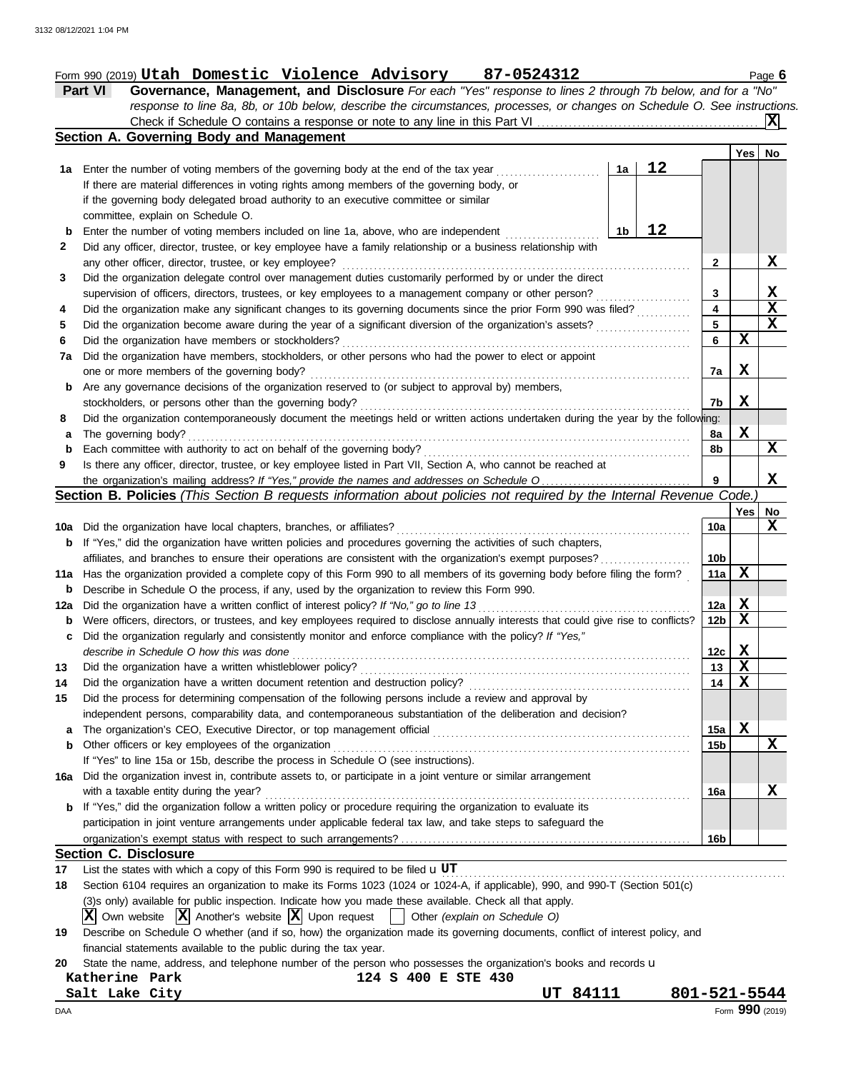## Form 990 (2019) Utah Domestic Violence Advisory 87-0524312 Page 6

| <b>Part VI</b> | Governance, Management, and Disclosure For each "Yes" response to lines 2 through 7b below, and for a "No"                |
|----------------|---------------------------------------------------------------------------------------------------------------------------|
|                | response to line 8a, 8b, or 10b below, describe the circumstances, processes, or changes on Schedule O. See instructions. |
|                |                                                                                                                           |

|              | Section A. Governing Body and Management                                                                                            |    |    |                 |             |          |
|--------------|-------------------------------------------------------------------------------------------------------------------------------------|----|----|-----------------|-------------|----------|
|              |                                                                                                                                     |    |    |                 | Yes         | No       |
|              | 1a Enter the number of voting members of the governing body at the end of the tax year                                              | 1a | 12 |                 |             |          |
|              | If there are material differences in voting rights among members of the governing body, or                                          |    |    |                 |             |          |
|              | if the governing body delegated broad authority to an executive committee or similar                                                |    |    |                 |             |          |
|              | committee, explain on Schedule O.                                                                                                   |    |    |                 |             |          |
| b            | Enter the number of voting members included on line 1a, above, who are independent                                                  | 1b | 12 |                 |             |          |
| $\mathbf{z}$ | Did any officer, director, trustee, or key employee have a family relationship or a business relationship with                      |    |    |                 |             |          |
|              | any other officer, director, trustee, or key employee?                                                                              |    |    | 2               |             | X        |
| 3            | Did the organization delegate control over management duties customarily performed by or under the direct                           |    |    |                 |             |          |
|              | supervision of officers, directors, trustees, or key employees to a management company or other person?                             |    |    | 3               |             | <u>x</u> |
| 4            | Did the organization make any significant changes to its governing documents since the prior Form 990 was filed?                    |    |    | 4               |             | X        |
| 5            | Did the organization become aware during the year of a significant diversion of the organization's assets?                          |    |    | 5               |             | X        |
| 6            | Did the organization have members or stockholders?                                                                                  |    |    | 6               | X           |          |
| 7a           | Did the organization have members, stockholders, or other persons who had the power to elect or appoint                             |    |    |                 |             |          |
|              | one or more members of the governing body?                                                                                          |    |    | 7a              | X           |          |
| b            | Are any governance decisions of the organization reserved to (or subject to approval by) members,                                   |    |    |                 |             |          |
|              | stockholders, or persons other than the governing body?                                                                             |    |    | 7b              | X           |          |
| 8            | Did the organization contemporaneously document the meetings held or written actions undertaken during the year by the following:   |    |    |                 |             |          |
| а            | The governing body?                                                                                                                 |    |    | 8a              | X           |          |
| b            | Each committee with authority to act on behalf of the governing body?                                                               |    |    | 8b              |             | X        |
| 9            | Is there any officer, director, trustee, or key employee listed in Part VII, Section A, who cannot be reached at                    |    |    |                 |             |          |
|              | the organization's mailing address? If "Yes," provide the names and addresses on Schedule O                                         |    |    | 9               |             | X        |
|              | Section B. Policies (This Section B requests information about policies not required by the Internal Revenue Code.)                 |    |    |                 |             |          |
|              |                                                                                                                                     |    |    |                 | Yes         | No       |
| 10a          | Did the organization have local chapters, branches, or affiliates?                                                                  |    |    | 10a             |             | X        |
| b            | If "Yes," did the organization have written policies and procedures governing the activities of such chapters,                      |    |    |                 |             |          |
|              | affiliates, and branches to ensure their operations are consistent with the organization's exempt purposes?                         |    |    | 10 <sub>b</sub> |             |          |
| 11a          | Has the organization provided a complete copy of this Form 990 to all members of its governing body before filing the form?         |    |    | 11a             | $\mathbf x$ |          |
| b            | Describe in Schedule O the process, if any, used by the organization to review this Form 990.                                       |    |    |                 |             |          |
| 12a          | Did the organization have a written conflict of interest policy? If "No," go to line 13                                             |    |    | 12a             | X           |          |
| b            | Were officers, directors, or trustees, and key employees required to disclose annually interests that could give rise to conflicts? |    |    | 12 <sub>b</sub> | $\mathbf X$ |          |
| c            | Did the organization regularly and consistently monitor and enforce compliance with the policy? If "Yes,"                           |    |    |                 |             |          |
|              | describe in Schedule O how this was done                                                                                            |    |    | 12c             | X           |          |
| 13           | Did the organization have a written whistleblower policy?                                                                           |    |    | 13              | X           |          |
| 14           | Did the organization have a written document retention and destruction policy?                                                      |    |    | 14              | $\mathbf X$ |          |
| 15           | Did the process for determining compensation of the following persons include a review and approval by                              |    |    |                 |             |          |
|              | independent persons, comparability data, and contemporaneous substantiation of the deliberation and decision?                       |    |    |                 |             |          |
| a            | The organization's CEO, Executive Director, or top management official                                                              |    |    | 15a             | X           |          |
| b            | Other officers or key employees of the organization                                                                                 |    |    | 15b             |             | X        |
|              | If "Yes" to line 15a or 15b, describe the process in Schedule O (see instructions).                                                 |    |    |                 |             |          |
| 16a          | Did the organization invest in, contribute assets to, or participate in a joint venture or similar arrangement                      |    |    |                 |             |          |
|              | with a taxable entity during the year?                                                                                              |    |    | 16a             |             | X        |
|              | <b>b</b> If "Yes," did the organization follow a written policy or procedure requiring the organization to evaluate its             |    |    |                 |             |          |
|              | participation in joint venture arrangements under applicable federal tax law, and take steps to safeguard the                       |    |    |                 |             |          |
|              |                                                                                                                                     |    |    | 16b             |             |          |
|              | <b>Section C. Disclosure</b>                                                                                                        |    |    |                 |             |          |
| 17           | List the states with which a copy of this Form 990 is required to be filed $UUT$                                                    |    |    |                 |             |          |

**18** Section 6104 requires an organization to make its Forms 1023 (1024 or 1024-A, if applicable), 990, and 990-T (Section 501(c)

(3)s only) available for public inspection. Indicate how you made these available. Check all that apply.

 $\overline{\textbf{X}}$  Own website  $\overline{\textbf{X}}$  Another's website  $\overline{\textbf{X}}$  Upon request  $\begin{bmatrix} 1 & 0 \end{bmatrix}$  Other *(explain on Schedule O)* 

| 19 Describe on Schedule O whether (and if so, how) the organization made its governing documents, conflict of interest policy, and |  |
|------------------------------------------------------------------------------------------------------------------------------------|--|
| financial statements available to the public during the tax year.                                                                  |  |

20 State the name, address, and telephone number of the person who possesses the organization's books and records u

**Katherine Park 124 S 400 E STE 430**

**UT** 84111 **801-521-5544**<br>Form **990** (2019)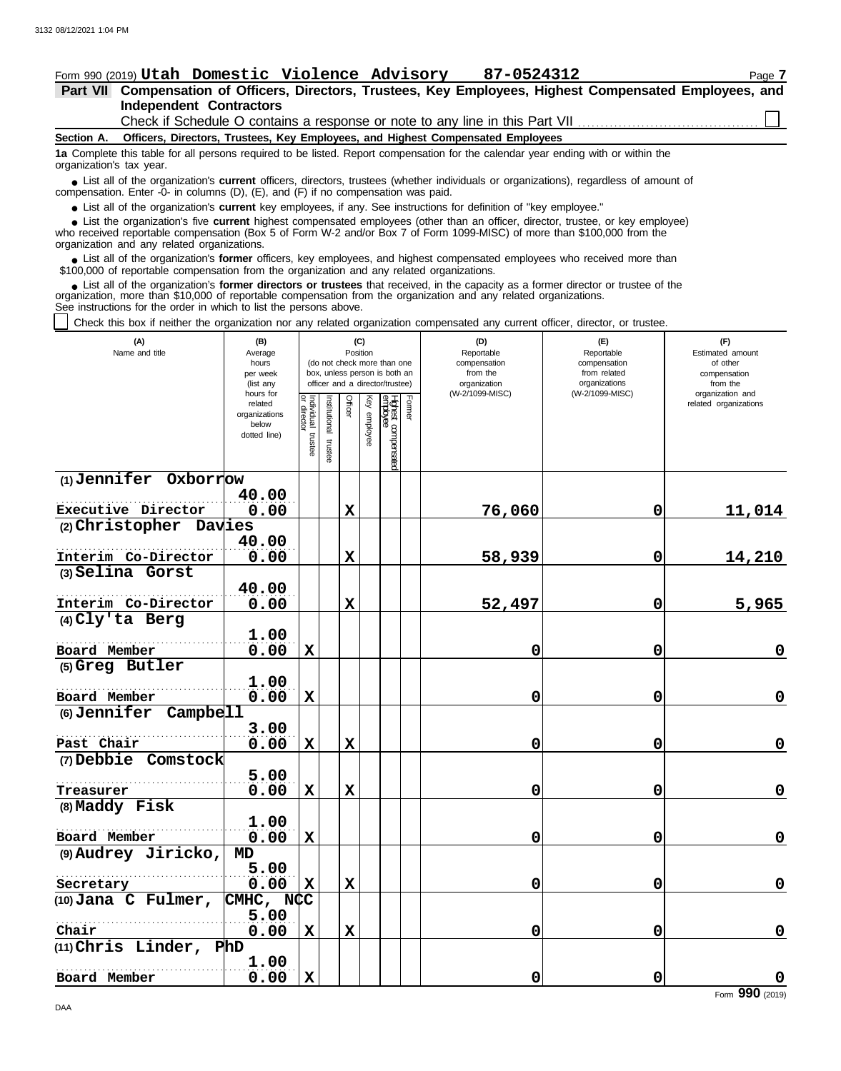## Form 990 (2019) Utah Domestic Violence Advisory 87-0524312 Page 7

**Independent Contractors Part VII Compensation of Officers, Directors, Trustees, Key Employees, Highest Compensated Employees, and**

Check if Schedule O contains a response or note to any line in this Part VII

**Section A. Officers, Directors, Trustees, Key Employees, and Highest Compensated Employees**

**1a** Complete this table for all persons required to be listed. Report compensation for the calendar year ending with or within the organization's tax year.

■ List all of the organization's **current** officers, directors, trustees (whether individuals or organizations), regardless of amount of the organization Enter -0- in columns (D), (E), and (E) if no compensation was paid compensation. Enter -0- in columns (D), (E), and (F) if no compensation was paid.

● List all of the organization's **current** key employees, if any. See instructions for definition of "key employee."

who received reportable compensation (Box 5 of Form W-2 and/or Box 7 of Form 1099-MISC) of more than \$100,000 from the organization and any related organizations. ■ List the organization's five **current** highest compensated employees (other than an officer, director, trustee, or key employee)<br>
a received reportable compensation (Box 5 of Form W-2 and/or Box 7 of Form 1099-MISC) of

• List all of the organization's **former** officers, key employees, and highest compensated employees who received more than<br>00,000 of reportable compensation from the erganization and any related erganizations. \$100,000 of reportable compensation from the organization and any related organizations.

■ List all of the organization's **former directors or trustees** that received, in the capacity as a former director or trustee of the<br>enization, more than \$10,000 of reportable compensation from the organization and any r organization, more than \$10,000 of reportable compensation from the organization and any related organizations. See instructions for the order in which to list the persons above.

Check this box if neither the organization nor any related organization compensated any current officer, director, or trustee.

| (A)<br>Name and title    | (B)<br>Average<br>hours<br>per week<br>(list any<br>hours for |                                   | (C)<br>Position<br>(do not check more than one<br>box, unless person is both an<br>officer and a director/trustee) |             |                 |                                 | (D)<br>Reportable<br>compensation<br>from the<br>organization<br>(W-2/1099-MISC) |        | (E)<br>Reportable<br>compensation<br>from related<br>organizations<br>(W-2/1099-MISC) | (F)<br>Estimated amount<br>of other<br>compensation<br>from the<br>organization and |
|--------------------------|---------------------------------------------------------------|-----------------------------------|--------------------------------------------------------------------------------------------------------------------|-------------|-----------------|---------------------------------|----------------------------------------------------------------------------------|--------|---------------------------------------------------------------------------------------|-------------------------------------------------------------------------------------|
|                          | related<br>organizations<br>below<br>dotted line)             | Individual trustee<br>or director | nstitutional trustee                                                                                               | Officer     | Key<br>employee | Highest compensated<br>employee | Former                                                                           |        |                                                                                       | related organizations                                                               |
| $(1)$ Jennifer Oxborrow  | 40.00                                                         |                                   |                                                                                                                    |             |                 |                                 |                                                                                  |        |                                                                                       |                                                                                     |
| Executive Director       | 0.00                                                          |                                   |                                                                                                                    | $\mathbf x$ |                 |                                 |                                                                                  | 76,060 | $\mathbf 0$                                                                           | 11,014                                                                              |
| (2) Christopher Davies   |                                                               |                                   |                                                                                                                    |             |                 |                                 |                                                                                  |        |                                                                                       |                                                                                     |
|                          | 40.00                                                         |                                   |                                                                                                                    |             |                 |                                 |                                                                                  |        |                                                                                       |                                                                                     |
| Interim Co-Director      | 0.00                                                          |                                   |                                                                                                                    | $\mathbf x$ |                 |                                 |                                                                                  | 58,939 | 0                                                                                     | 14,210                                                                              |
| (3) Selina Gorst         |                                                               |                                   |                                                                                                                    |             |                 |                                 |                                                                                  |        |                                                                                       |                                                                                     |
|                          | 40.00                                                         |                                   |                                                                                                                    |             |                 |                                 |                                                                                  |        |                                                                                       |                                                                                     |
| Interim Co-Director      | 0.00                                                          |                                   |                                                                                                                    | $\mathbf x$ |                 |                                 |                                                                                  | 52,497 | 0                                                                                     | 5,965                                                                               |
| $(4)$ Cly'ta Berg        |                                                               |                                   |                                                                                                                    |             |                 |                                 |                                                                                  |        |                                                                                       |                                                                                     |
|                          | 1.00                                                          |                                   |                                                                                                                    |             |                 |                                 |                                                                                  |        |                                                                                       |                                                                                     |
| Board Member             | 0.00                                                          | $\mathbf X$                       |                                                                                                                    |             |                 |                                 |                                                                                  | 0      | 0                                                                                     | $\mathbf 0$                                                                         |
| (5) Greg Butler          |                                                               |                                   |                                                                                                                    |             |                 |                                 |                                                                                  |        |                                                                                       |                                                                                     |
| Board Member             | 1.00<br>0.00                                                  | $\mathbf X$                       |                                                                                                                    |             |                 |                                 |                                                                                  | 0      | 0                                                                                     | $\mathbf 0$                                                                         |
| (6) Jennifer Campbell    |                                                               |                                   |                                                                                                                    |             |                 |                                 |                                                                                  |        |                                                                                       |                                                                                     |
|                          | 3.00                                                          |                                   |                                                                                                                    |             |                 |                                 |                                                                                  |        |                                                                                       |                                                                                     |
| Past Chair               | 0.00                                                          | $\mathbf X$                       |                                                                                                                    | $\mathbf x$ |                 |                                 |                                                                                  | 0      | 0                                                                                     | $\mathbf 0$                                                                         |
| (7) Debbie Comstock      |                                                               |                                   |                                                                                                                    |             |                 |                                 |                                                                                  |        |                                                                                       |                                                                                     |
|                          | 5.00                                                          |                                   |                                                                                                                    |             |                 |                                 |                                                                                  |        |                                                                                       |                                                                                     |
| Treasurer                | 0.00                                                          | $\mathbf X$                       |                                                                                                                    | $\mathbf x$ |                 |                                 |                                                                                  | 0      | 0                                                                                     | $\mathbf 0$                                                                         |
| (8) Maddy Fisk           |                                                               |                                   |                                                                                                                    |             |                 |                                 |                                                                                  |        |                                                                                       |                                                                                     |
|                          | 1.00                                                          |                                   |                                                                                                                    |             |                 |                                 |                                                                                  |        |                                                                                       |                                                                                     |
| Board Member             | 0.00                                                          | $\mathbf X$                       |                                                                                                                    |             |                 |                                 |                                                                                  | 0      | $\mathbf 0$                                                                           | $\mathbf 0$                                                                         |
| (9) Audrey Jiricko,      | MD                                                            |                                   |                                                                                                                    |             |                 |                                 |                                                                                  |        |                                                                                       |                                                                                     |
|                          | 5.00                                                          |                                   |                                                                                                                    |             |                 |                                 |                                                                                  |        |                                                                                       |                                                                                     |
| Secretary                | 0.00                                                          | $\mathbf x$                       |                                                                                                                    | $\mathbf x$ |                 |                                 |                                                                                  | 0      | 0                                                                                     | $\mathbf 0$                                                                         |
| (10) Jana C Fulmer,      | CMHC, $NCC$                                                   |                                   |                                                                                                                    |             |                 |                                 |                                                                                  |        |                                                                                       |                                                                                     |
|                          | 5.00                                                          |                                   |                                                                                                                    |             |                 |                                 |                                                                                  |        |                                                                                       |                                                                                     |
| Chair                    | 0.00                                                          | $\mathbf X$                       |                                                                                                                    | $\mathbf x$ |                 |                                 |                                                                                  | 0      | 0                                                                                     | $\mathbf 0$                                                                         |
| $(11)$ Chris Linder, PhD |                                                               |                                   |                                                                                                                    |             |                 |                                 |                                                                                  |        |                                                                                       |                                                                                     |
| Board Member             | 1.00<br>0.00                                                  | $\mathbf X$                       |                                                                                                                    |             |                 |                                 |                                                                                  | 0      | 0                                                                                     | $\mathbf 0$                                                                         |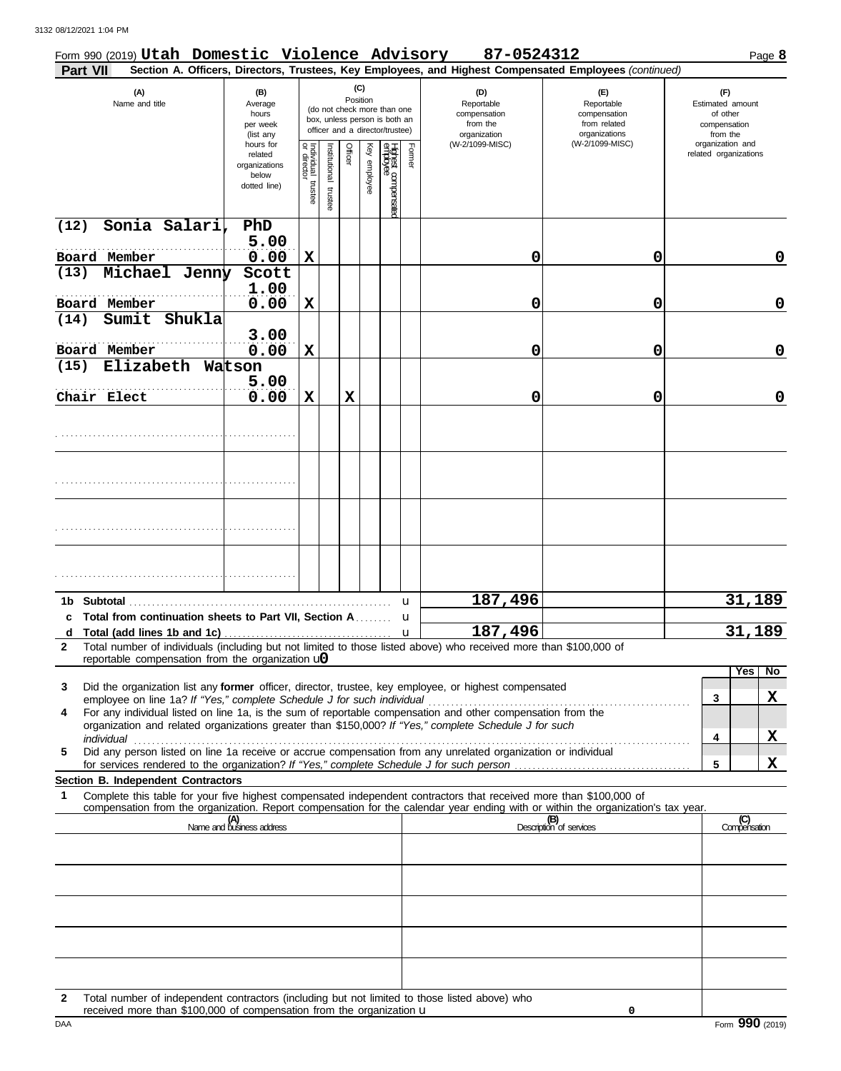|              |          | Form 990 (2019) Utah Domestic Violence Advisory                                                                |                                                                |                                   |                         |          |              |                                                                                                 |        | 87-0524312                                                                                                                                                                                                           |                                                                                                                                  |                                                                 |                     | Page 8 |
|--------------|----------|----------------------------------------------------------------------------------------------------------------|----------------------------------------------------------------|-----------------------------------|-------------------------|----------|--------------|-------------------------------------------------------------------------------------------------|--------|----------------------------------------------------------------------------------------------------------------------------------------------------------------------------------------------------------------------|----------------------------------------------------------------------------------------------------------------------------------|-----------------------------------------------------------------|---------------------|--------|
|              | Part VII |                                                                                                                |                                                                |                                   |                         |          |              |                                                                                                 |        |                                                                                                                                                                                                                      | Section A. Officers, Directors, Trustees, Key Employees, and Highest Compensated Employees (continued)                           |                                                                 |                     |        |
|              |          | (A)<br>Name and title                                                                                          | (B)<br>Average<br>hours<br>per week<br>(list any               |                                   |                         | Position | (C)          | (do not check more than one<br>box, unless person is both an<br>officer and a director/trustee) |        | (D)<br>Reportable<br>compensation<br>from the<br>organization                                                                                                                                                        | (E)<br>Reportable<br>compensation<br>from related<br>organizations                                                               | (F)<br>Estimated amount<br>of other<br>compensation<br>from the |                     |        |
|              |          |                                                                                                                | hours for<br>related<br>organizations<br>below<br>dotted line) | Individual trustee<br>or director | nstitutional<br>trustee | Officer  | Key employee | Highest compensated<br>employee                                                                 | Former | (W-2/1099-MISC)                                                                                                                                                                                                      | (W-2/1099-MISC)                                                                                                                  | organization and<br>related organizations                       |                     |        |
| (12)         |          | Sonia Salari,                                                                                                  | PhD                                                            |                                   |                         |          |              |                                                                                                 |        |                                                                                                                                                                                                                      |                                                                                                                                  |                                                                 |                     |        |
|              |          | Board Member                                                                                                   | 5.00<br>0.00                                                   | $\mathbf x$                       |                         |          |              |                                                                                                 |        | 0                                                                                                                                                                                                                    | 0                                                                                                                                |                                                                 |                     | 0      |
| (13)         |          | Michael Jenny                                                                                                  | Scott                                                          |                                   |                         |          |              |                                                                                                 |        |                                                                                                                                                                                                                      |                                                                                                                                  |                                                                 |                     |        |
|              |          | Board Member                                                                                                   | 1.00<br>0.00                                                   | $\mathbf x$                       |                         |          |              |                                                                                                 |        | 0                                                                                                                                                                                                                    | 0                                                                                                                                |                                                                 |                     | 0      |
| (14)         |          | Sumit Shukla                                                                                                   |                                                                |                                   |                         |          |              |                                                                                                 |        |                                                                                                                                                                                                                      |                                                                                                                                  |                                                                 |                     |        |
|              |          | Board Member                                                                                                   | 3.00<br>0.00                                                   | $\mathbf X$                       |                         |          |              |                                                                                                 |        | 0                                                                                                                                                                                                                    | 0                                                                                                                                |                                                                 |                     | 0      |
| (15)         |          | Elizabeth                                                                                                      | Watson<br>5.00                                                 |                                   |                         |          |              |                                                                                                 |        |                                                                                                                                                                                                                      |                                                                                                                                  |                                                                 |                     |        |
|              |          | Chair Elect                                                                                                    | 0.00                                                           | $\mathbf x$                       |                         | X        |              |                                                                                                 |        | 0                                                                                                                                                                                                                    | 0                                                                                                                                |                                                                 |                     | 0      |
|              |          |                                                                                                                |                                                                |                                   |                         |          |              |                                                                                                 |        |                                                                                                                                                                                                                      |                                                                                                                                  |                                                                 |                     |        |
|              |          |                                                                                                                |                                                                |                                   |                         |          |              |                                                                                                 |        |                                                                                                                                                                                                                      |                                                                                                                                  |                                                                 |                     |        |
|              |          |                                                                                                                |                                                                |                                   |                         |          |              |                                                                                                 |        |                                                                                                                                                                                                                      |                                                                                                                                  |                                                                 |                     |        |
|              |          |                                                                                                                |                                                                |                                   |                         |          |              |                                                                                                 |        |                                                                                                                                                                                                                      |                                                                                                                                  |                                                                 |                     |        |
|              |          | 1b Subtotal and the state of the state of the state of the state of the state of the state of the state of the |                                                                |                                   |                         |          |              |                                                                                                 | u      | 187,496                                                                                                                                                                                                              |                                                                                                                                  |                                                                 | 31,189              |        |
|              |          | Total from continuation sheets to Part VII, Section A                                                          |                                                                |                                   |                         |          |              |                                                                                                 | u      | 187,496                                                                                                                                                                                                              |                                                                                                                                  |                                                                 | 31,189              |        |
| $\mathbf{2}$ |          |                                                                                                                |                                                                |                                   |                         |          |              |                                                                                                 |        | Total number of individuals (including but not limited to those listed above) who received more than \$100,000 of                                                                                                    |                                                                                                                                  |                                                                 |                     |        |
|              |          | reportable compensation from the organization $\mathbf \omega$                                                 |                                                                |                                   |                         |          |              |                                                                                                 |        |                                                                                                                                                                                                                      |                                                                                                                                  |                                                                 | Yes                 | No     |
| 3            |          | employee on line 1a? If "Yes," complete Schedule J for such individual                                         |                                                                |                                   |                         |          |              |                                                                                                 |        | Did the organization list any former officer, director, trustee, key employee, or highest compensated                                                                                                                |                                                                                                                                  | 3                                                               |                     | X      |
| 4            |          |                                                                                                                |                                                                |                                   |                         |          |              |                                                                                                 |        | For any individual listed on line 1a, is the sum of reportable compensation and other compensation from the<br>organization and related organizations greater than \$150,000? If "Yes," complete Schedule J for such |                                                                                                                                  |                                                                 |                     |        |
| 5            |          |                                                                                                                |                                                                |                                   |                         |          |              |                                                                                                 |        | Did any person listed on line 1a receive or accrue compensation from any unrelated organization or individual                                                                                                        |                                                                                                                                  | 4                                                               |                     | X.     |
|              |          |                                                                                                                |                                                                |                                   |                         |          |              |                                                                                                 |        | for services rendered to the organization? If "Yes," complete Schedule J for such person                                                                                                                             |                                                                                                                                  | 5                                                               |                     | x      |
| 1            |          | Section B. Independent Contractors                                                                             |                                                                |                                   |                         |          |              |                                                                                                 |        | Complete this table for your five highest compensated independent contractors that received more than \$100,000 of                                                                                                   |                                                                                                                                  |                                                                 |                     |        |
|              |          |                                                                                                                |                                                                |                                   |                         |          |              |                                                                                                 |        |                                                                                                                                                                                                                      | compensation from the organization. Report compensation for the calendar year ending with or within the organization's tax year. |                                                                 |                     |        |
|              |          |                                                                                                                | (A)<br>Name and business address                               |                                   |                         |          |              |                                                                                                 |        |                                                                                                                                                                                                                      | (B)<br>Description of services                                                                                                   |                                                                 | (C)<br>Compensation |        |
|              |          |                                                                                                                |                                                                |                                   |                         |          |              |                                                                                                 |        |                                                                                                                                                                                                                      |                                                                                                                                  |                                                                 |                     |        |
|              |          |                                                                                                                |                                                                |                                   |                         |          |              |                                                                                                 |        |                                                                                                                                                                                                                      |                                                                                                                                  |                                                                 |                     |        |
|              |          |                                                                                                                |                                                                |                                   |                         |          |              |                                                                                                 |        |                                                                                                                                                                                                                      |                                                                                                                                  |                                                                 |                     |        |
|              |          |                                                                                                                |                                                                |                                   |                         |          |              |                                                                                                 |        |                                                                                                                                                                                                                      |                                                                                                                                  |                                                                 |                     |        |
| 2            |          |                                                                                                                |                                                                |                                   |                         |          |              |                                                                                                 |        | Total number of independent contractors (including but not limited to those listed above) who                                                                                                                        |                                                                                                                                  |                                                                 |                     |        |

**0**

received more than  $$100,000$  of compensation from the organization  $\Box$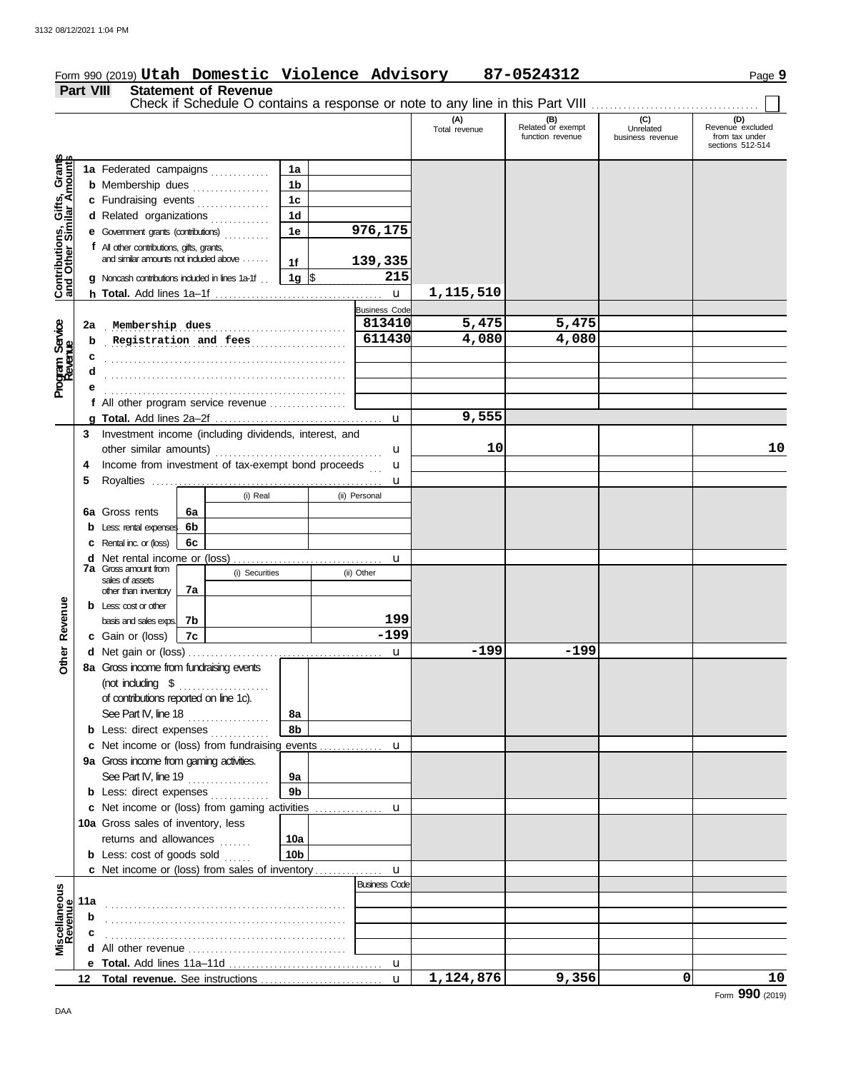#### Form 990 (2019) Page **9 Utah Domestic Violence Advisory 87-0524312**

**Part VIII Statement of Revenue**

Check if Schedule O contains a response or note to any line in this Part VIII ................................

|                              |     |                                                                                    |          |                |                             |          |                      | (A)<br>Total revenue | (B)<br>Related or exempt<br>function revenue | (C)<br>Unrelated<br>business revenue | (D)<br>Revenue excluded<br>from tax under |
|------------------------------|-----|------------------------------------------------------------------------------------|----------|----------------|-----------------------------|----------|----------------------|----------------------|----------------------------------------------|--------------------------------------|-------------------------------------------|
|                              |     |                                                                                    |          |                |                             |          |                      |                      |                                              |                                      | sections 512-514                          |
| Contributions, Gifts, Grants |     | 1a Federated campaigns                                                             |          |                | 1a                          |          |                      |                      |                                              |                                      |                                           |
|                              |     | <b>b</b> Membership dues <i></i>                                                   |          |                | 1 <sub>b</sub>              |          |                      |                      |                                              |                                      |                                           |
|                              |     | c Fundraising events                                                               |          |                | 1 <sub>c</sub>              |          |                      |                      |                                              |                                      |                                           |
|                              |     | d Related organizations                                                            |          |                | 1 <sub>d</sub><br>1e        |          | 976,175              |                      |                                              |                                      |                                           |
|                              |     | e Government grants (contributions)                                                |          |                |                             |          |                      |                      |                                              |                                      |                                           |
|                              |     | f All other contributions, gifts, grants,<br>and similar amounts not induded above |          |                | 1f                          |          | 139,335              |                      |                                              |                                      |                                           |
|                              |     | <b>g</b> Noncash contributions included in lines 1a-1f                             |          |                | 1g $\vert \mathsf{S} \vert$ |          | 215                  |                      |                                              |                                      |                                           |
|                              |     |                                                                                    |          |                |                             |          | $\mathbf{u}$         | 1,115,510            |                                              |                                      |                                           |
|                              |     |                                                                                    |          |                |                             |          | <b>Business Code</b> |                      |                                              |                                      |                                           |
|                              | 2a  | Membership dues                                                                    |          |                |                             |          | 813410               | 5,475                | 5,475                                        |                                      |                                           |
| Program Service<br>Revenue   | b   | Registration and fees                                                              |          |                |                             |          | 611430               | 4,080                | 4,080                                        |                                      |                                           |
|                              |     |                                                                                    |          |                |                             |          |                      |                      |                                              |                                      |                                           |
|                              |     |                                                                                    |          |                |                             |          |                      |                      |                                              |                                      |                                           |
|                              |     |                                                                                    |          |                |                             |          |                      |                      |                                              |                                      |                                           |
|                              |     | f All other program service revenue $\ldots$                                       |          |                |                             |          |                      |                      |                                              |                                      |                                           |
|                              |     |                                                                                    |          |                |                             |          | $\mathbf{u}$         | 9,555                |                                              |                                      |                                           |
|                              | 3   | Investment income (including dividends, interest, and                              |          |                |                             |          |                      |                      |                                              |                                      |                                           |
|                              |     | Income from investment of tax-exempt bond proceeds                                 |          |                |                             |          | u                    | 10                   |                                              |                                      | 10                                        |
|                              | 4   |                                                                                    |          |                |                             |          | u                    |                      |                                              |                                      |                                           |
|                              | 5   |                                                                                    |          |                |                             |          | u                    |                      |                                              |                                      |                                           |
|                              |     |                                                                                    |          | (i) Real       |                             |          | (ii) Personal        |                      |                                              |                                      |                                           |
|                              |     | 6a Gross rents                                                                     | 6a       |                |                             |          |                      |                      |                                              |                                      |                                           |
|                              |     | Less: rental expenses                                                              | 6b<br>6с |                |                             |          |                      |                      |                                              |                                      |                                           |
|                              |     | Rental inc. or (loss)<br><b>d</b> Net rental income or (loss)                      |          |                |                             |          | u                    |                      |                                              |                                      |                                           |
|                              |     | <b>7a</b> Gross amount from                                                        |          | (i) Securities |                             |          | (ii) Other           |                      |                                              |                                      |                                           |
|                              |     | sales of assets<br>other than inventory                                            | 7a       |                |                             |          |                      |                      |                                              |                                      |                                           |
|                              |     | $b$ Less: $\cos t$ or other                                                        |          |                |                             |          |                      |                      |                                              |                                      |                                           |
|                              |     | basis and sales exps.                                                              | 7b       |                |                             |          | 199                  |                      |                                              |                                      |                                           |
| Revenue                      |     | c Gain or (loss)                                                                   | 7c       |                |                             |          | $-199$               |                      |                                              |                                      |                                           |
|                              |     |                                                                                    |          |                |                             |          | u                    | $-199$               | $-199$                                       |                                      |                                           |
| Other                        |     | 8a Gross income from fundraising events                                            |          |                |                             |          |                      |                      |                                              |                                      |                                           |
|                              |     | (not including \$                                                                  |          |                |                             |          |                      |                      |                                              |                                      |                                           |
|                              |     | of contributions reported on line 1c).                                             |          |                |                             |          |                      |                      |                                              |                                      |                                           |
|                              |     | See Part IV, line 18                                                               |          |                | 8a                          |          |                      |                      |                                              |                                      |                                           |
|                              |     | <b>b</b> Less: direct expenses                                                     |          |                | 8b                          |          |                      |                      |                                              |                                      |                                           |
|                              |     | c Net income or (loss) from fundraising events                                     |          |                |                             |          | u                    |                      |                                              |                                      |                                           |
|                              |     | 9a Gross income from gaming activities.                                            |          |                | <b>9a</b>                   |          |                      |                      |                                              |                                      |                                           |
|                              |     | See Part IV, line 19 $\ldots$<br><b>b</b> Less: direct expenses                    |          |                | 9 <sub>b</sub>              |          |                      |                      |                                              |                                      |                                           |
|                              |     | c Net income or (loss) from gaming activities                                      |          |                |                             |          | u                    |                      |                                              |                                      |                                           |
|                              |     | 10a Gross sales of inventory, less                                                 |          |                |                             |          |                      |                      |                                              |                                      |                                           |
|                              |     | returns and allowances                                                             |          |                | 10a                         |          |                      |                      |                                              |                                      |                                           |
|                              |     | <b>b</b> Less: $cost$ of goods sold $\ldots$                                       |          |                | 10b                         |          |                      |                      |                                              |                                      |                                           |
|                              |     | c Net income or (loss) from sales of inventory                                     |          |                |                             |          | u                    |                      |                                              |                                      |                                           |
|                              |     |                                                                                    |          |                |                             |          | <b>Business Code</b> |                      |                                              |                                      |                                           |
|                              | 11a |                                                                                    |          |                |                             |          |                      |                      |                                              |                                      |                                           |
|                              | b   |                                                                                    |          |                |                             |          |                      |                      |                                              |                                      |                                           |
| Miscellaneous<br>Revenue     |     |                                                                                    |          |                |                             |          |                      |                      |                                              |                                      |                                           |
|                              |     |                                                                                    |          |                |                             |          |                      |                      |                                              |                                      |                                           |
|                              |     |                                                                                    |          |                |                             |          | u                    |                      |                                              |                                      |                                           |
|                              |     |                                                                                    |          |                |                             | <b>u</b> | 1,124,876            | 9,356                | 0                                            | 10                                   |                                           |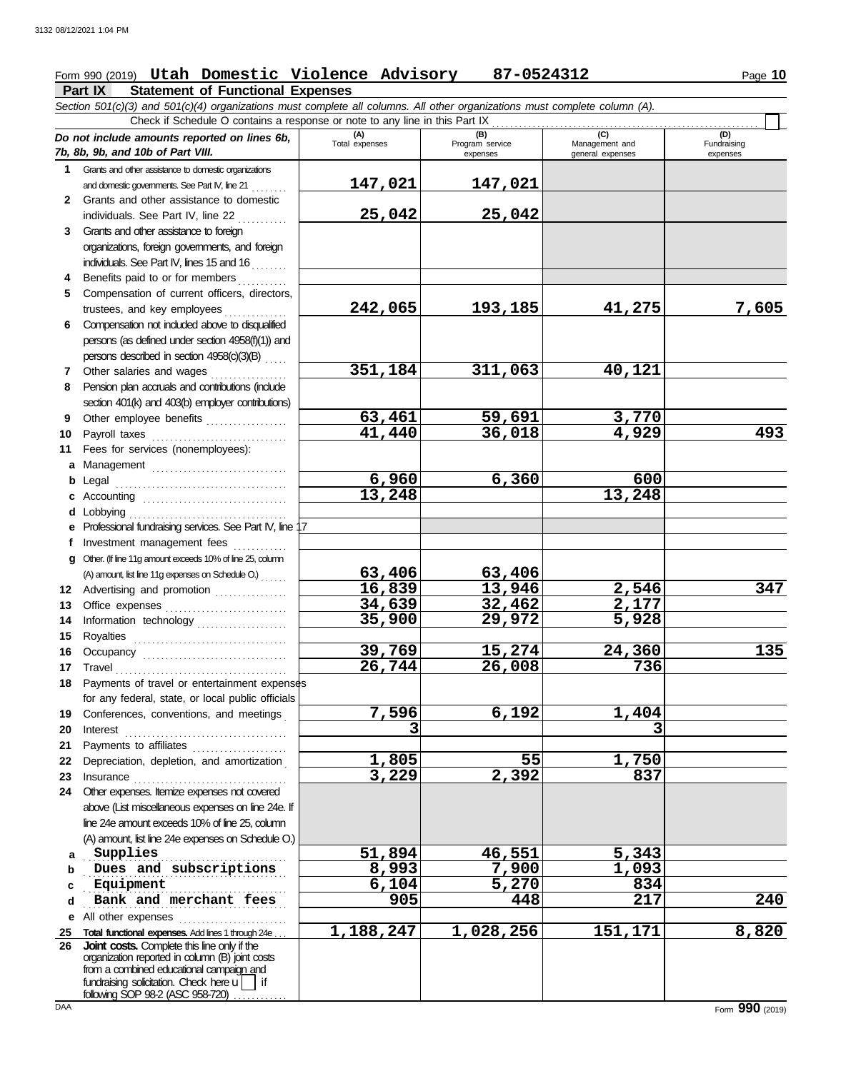# Form 990 (2019) Page **10 Utah Domestic Violence Advisory 87-0524312**

#### **Part IX Statement of Functional Expenses**

*Section 501(c)(3) and 501(c)(4) organizations must complete all columns. All other organizations must complete column (A).*

|          | Check if Schedule O contains a response or note to any line in this Part IX                                                                                                                                                                                                                                                                                                                                                                                                                                                 |                |                             |                                    |                         |  |  |  |  |  |  |
|----------|-----------------------------------------------------------------------------------------------------------------------------------------------------------------------------------------------------------------------------------------------------------------------------------------------------------------------------------------------------------------------------------------------------------------------------------------------------------------------------------------------------------------------------|----------------|-----------------------------|------------------------------------|-------------------------|--|--|--|--|--|--|
|          | Do not include amounts reported on lines 6b,                                                                                                                                                                                                                                                                                                                                                                                                                                                                                | (A)            | (B)                         | (C)                                | (D)                     |  |  |  |  |  |  |
|          | 7b, 8b, 9b, and 10b of Part VIII.                                                                                                                                                                                                                                                                                                                                                                                                                                                                                           | Total expenses | Program service<br>expenses | Management and<br>general expenses | Fundraising<br>expenses |  |  |  |  |  |  |
|          | 1 Grants and other assistance to domestic organizations                                                                                                                                                                                                                                                                                                                                                                                                                                                                     |                |                             |                                    |                         |  |  |  |  |  |  |
|          | and domestic governments. See Part IV, line 21                                                                                                                                                                                                                                                                                                                                                                                                                                                                              | 147,021        | <u>147,021</u>              |                                    |                         |  |  |  |  |  |  |
|          | 2 Grants and other assistance to domestic                                                                                                                                                                                                                                                                                                                                                                                                                                                                                   |                |                             |                                    |                         |  |  |  |  |  |  |
|          | individuals. See Part IV, line 22                                                                                                                                                                                                                                                                                                                                                                                                                                                                                           | 25,042         | 25,042                      |                                    |                         |  |  |  |  |  |  |
|          | 3 Grants and other assistance to foreign                                                                                                                                                                                                                                                                                                                                                                                                                                                                                    |                |                             |                                    |                         |  |  |  |  |  |  |
|          | organizations, foreign governments, and foreign                                                                                                                                                                                                                                                                                                                                                                                                                                                                             |                |                             |                                    |                         |  |  |  |  |  |  |
|          | individuals. See Part IV, lines 15 and 16                                                                                                                                                                                                                                                                                                                                                                                                                                                                                   |                |                             |                                    |                         |  |  |  |  |  |  |
| 4        | Benefits paid to or for members                                                                                                                                                                                                                                                                                                                                                                                                                                                                                             |                |                             |                                    |                         |  |  |  |  |  |  |
| 5.       | Compensation of current officers, directors,                                                                                                                                                                                                                                                                                                                                                                                                                                                                                |                |                             |                                    |                         |  |  |  |  |  |  |
|          | trustees, and key employees                                                                                                                                                                                                                                                                                                                                                                                                                                                                                                 | 242,065        | 193,185                     | 41,275                             | <u>7,605</u>            |  |  |  |  |  |  |
| 6        | Compensation not included above to disqualified                                                                                                                                                                                                                                                                                                                                                                                                                                                                             |                |                             |                                    |                         |  |  |  |  |  |  |
|          | persons (as defined under section 4958(f)(1)) and                                                                                                                                                                                                                                                                                                                                                                                                                                                                           |                |                             |                                    |                         |  |  |  |  |  |  |
|          | persons described in section 4958(c)(3)(B)                                                                                                                                                                                                                                                                                                                                                                                                                                                                                  |                |                             |                                    |                         |  |  |  |  |  |  |
|          | 7 Other salaries and wages                                                                                                                                                                                                                                                                                                                                                                                                                                                                                                  | 351,184        | 311,063                     | 40,121                             |                         |  |  |  |  |  |  |
| 8        | Pension plan accruals and contributions (include                                                                                                                                                                                                                                                                                                                                                                                                                                                                            |                |                             |                                    |                         |  |  |  |  |  |  |
|          | section 401(k) and 403(b) employer contributions)                                                                                                                                                                                                                                                                                                                                                                                                                                                                           |                |                             |                                    |                         |  |  |  |  |  |  |
| 9        |                                                                                                                                                                                                                                                                                                                                                                                                                                                                                                                             | 63,461         | 59,691                      | 3,770                              |                         |  |  |  |  |  |  |
| 10       | Payroll taxes                                                                                                                                                                                                                                                                                                                                                                                                                                                                                                               | 41,440         | 36,018                      | 4,929                              | 493                     |  |  |  |  |  |  |
| 11       | Fees for services (nonemployees):                                                                                                                                                                                                                                                                                                                                                                                                                                                                                           |                |                             |                                    |                         |  |  |  |  |  |  |
|          |                                                                                                                                                                                                                                                                                                                                                                                                                                                                                                                             |                |                             |                                    |                         |  |  |  |  |  |  |
|          |                                                                                                                                                                                                                                                                                                                                                                                                                                                                                                                             | 6,960          | 6,360                       | 600                                |                         |  |  |  |  |  |  |
|          |                                                                                                                                                                                                                                                                                                                                                                                                                                                                                                                             | 13,248         |                             | 13,248                             |                         |  |  |  |  |  |  |
|          |                                                                                                                                                                                                                                                                                                                                                                                                                                                                                                                             |                |                             |                                    |                         |  |  |  |  |  |  |
|          | e Professional fundraising services. See Part IV, line 17                                                                                                                                                                                                                                                                                                                                                                                                                                                                   |                |                             |                                    |                         |  |  |  |  |  |  |
|          | f Investment management fees                                                                                                                                                                                                                                                                                                                                                                                                                                                                                                |                |                             |                                    |                         |  |  |  |  |  |  |
|          | g Other. (If line 11g amount exceeds 10% of line 25, column                                                                                                                                                                                                                                                                                                                                                                                                                                                                 |                |                             |                                    |                         |  |  |  |  |  |  |
|          | (A) amount, list line 11g expenses on Schedule O.) [11]                                                                                                                                                                                                                                                                                                                                                                                                                                                                     | 63,406         | 63,406                      |                                    |                         |  |  |  |  |  |  |
|          | 12 Advertising and promotion                                                                                                                                                                                                                                                                                                                                                                                                                                                                                                | 16,839         | 13,946                      | 2,546                              | 347                     |  |  |  |  |  |  |
| 13       |                                                                                                                                                                                                                                                                                                                                                                                                                                                                                                                             | 34,639         | 32,462                      | 2,177                              |                         |  |  |  |  |  |  |
| 14       | Information technology                                                                                                                                                                                                                                                                                                                                                                                                                                                                                                      | 35,900         | 29,972                      | 5,928                              |                         |  |  |  |  |  |  |
| 15       |                                                                                                                                                                                                                                                                                                                                                                                                                                                                                                                             |                |                             |                                    |                         |  |  |  |  |  |  |
| 16       |                                                                                                                                                                                                                                                                                                                                                                                                                                                                                                                             | 39,769         | 15,274                      | 24,360                             | 135                     |  |  |  |  |  |  |
| 17       | $\begin{minipage}[c]{0.9\linewidth} \begin{tabular}{l} \textbf{Travel} \end{tabular} \end{minipage} \end{minipage} \begin{minipage}[c]{0.9\linewidth} \begin{tabular}{l} \textbf{True} \end{tabular} \end{minipage} \end{minipage} \begin{minipage}[c]{0.9\linewidth} \begin{tabular}{l} \textbf{True} \end{tabular} \end{minipage} \end{minipage} \begin{minipage}[c]{0.9\linewidth} \begin{tabular}{l} \textbf{True} \end{tabular} \end{minipage} \end{minipage} \begin{minipage}[c]{0.9\linewidth} \begin{tabular}{l} \$ | 26,744         | 26,008                      | 736                                |                         |  |  |  |  |  |  |
| 18       | Payments of travel or entertainment expenses                                                                                                                                                                                                                                                                                                                                                                                                                                                                                |                |                             |                                    |                         |  |  |  |  |  |  |
|          | for any federal, state, or local public officials                                                                                                                                                                                                                                                                                                                                                                                                                                                                           | 7,596          | 6,192                       |                                    |                         |  |  |  |  |  |  |
| 19       | Conferences, conventions, and meetings                                                                                                                                                                                                                                                                                                                                                                                                                                                                                      | 3              |                             | 1,404<br>3                         |                         |  |  |  |  |  |  |
| 20       | Interest                                                                                                                                                                                                                                                                                                                                                                                                                                                                                                                    |                |                             |                                    |                         |  |  |  |  |  |  |
| 21<br>22 | Payments to affiliates<br>Depreciation, depletion, and amortization                                                                                                                                                                                                                                                                                                                                                                                                                                                         | 1,805          | 55                          | 1,750                              |                         |  |  |  |  |  |  |
| 23       |                                                                                                                                                                                                                                                                                                                                                                                                                                                                                                                             | 3,229          | 2,392                       | 837                                |                         |  |  |  |  |  |  |
| 24       | Insurance <b>continuous</b> contains a series of the series of the series of the series of the series of the series of the series of the series of the series of the series of the series of the series of the series of the series<br>Other expenses. Itemize expenses not covered                                                                                                                                                                                                                                         |                |                             |                                    |                         |  |  |  |  |  |  |
|          | above (List miscellaneous expenses on line 24e. If                                                                                                                                                                                                                                                                                                                                                                                                                                                                          |                |                             |                                    |                         |  |  |  |  |  |  |
|          | line 24e amount exceeds 10% of line 25, column                                                                                                                                                                                                                                                                                                                                                                                                                                                                              |                |                             |                                    |                         |  |  |  |  |  |  |
|          | (A) amount, list line 24e expenses on Schedule O.)                                                                                                                                                                                                                                                                                                                                                                                                                                                                          |                |                             |                                    |                         |  |  |  |  |  |  |
| a        | Supplies                                                                                                                                                                                                                                                                                                                                                                                                                                                                                                                    | 51,894         | 46,551                      | 5,343                              |                         |  |  |  |  |  |  |
| b        | Dues and subscriptions                                                                                                                                                                                                                                                                                                                                                                                                                                                                                                      | 8,993          | 7,900                       | 1,093                              |                         |  |  |  |  |  |  |
| c        | Equipment                                                                                                                                                                                                                                                                                                                                                                                                                                                                                                                   | 6,104          | 5,270                       | 834                                |                         |  |  |  |  |  |  |
| d        | Bank and merchant fees                                                                                                                                                                                                                                                                                                                                                                                                                                                                                                      | 905            | 448                         | 217                                | 240                     |  |  |  |  |  |  |
| е        | All other expenses                                                                                                                                                                                                                                                                                                                                                                                                                                                                                                          |                |                             |                                    |                         |  |  |  |  |  |  |
| 25       | Total functional expenses. Add lines 1 through 24e                                                                                                                                                                                                                                                                                                                                                                                                                                                                          | 1,188,247      | 1,028,256                   | 151,171                            | 8,820                   |  |  |  |  |  |  |
| 26       | Joint costs. Complete this line only if the                                                                                                                                                                                                                                                                                                                                                                                                                                                                                 |                |                             |                                    |                         |  |  |  |  |  |  |
|          | organization reported in column (B) joint costs<br>from a combined educational campaign and                                                                                                                                                                                                                                                                                                                                                                                                                                 |                |                             |                                    |                         |  |  |  |  |  |  |
|          | fundraising solicitation. Check here u                                                                                                                                                                                                                                                                                                                                                                                                                                                                                      |                |                             |                                    |                         |  |  |  |  |  |  |
|          | following SOP 98-2 (ASC 958-720)                                                                                                                                                                                                                                                                                                                                                                                                                                                                                            |                |                             |                                    |                         |  |  |  |  |  |  |
| DAA      |                                                                                                                                                                                                                                                                                                                                                                                                                                                                                                                             |                |                             |                                    | Form 990 (2019)         |  |  |  |  |  |  |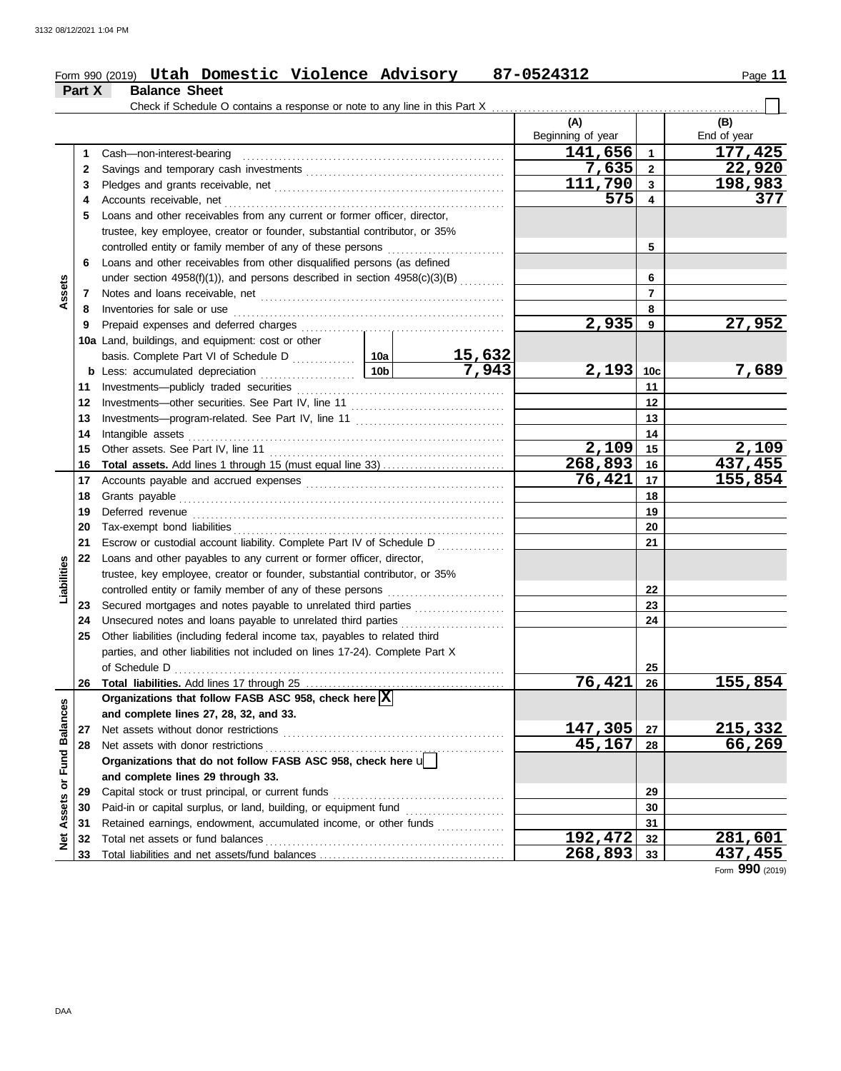|                             |        | Form 990 (2019) Utah Domestic Violence Advisory                                        |                 |               | 87-0524312        |                         | Page 11        |
|-----------------------------|--------|----------------------------------------------------------------------------------------|-----------------|---------------|-------------------|-------------------------|----------------|
|                             | Part X | <b>Balance Sheet</b>                                                                   |                 |               |                   |                         |                |
|                             |        | Check if Schedule O contains a response or note to any line in this Part X.            |                 |               |                   |                         |                |
|                             |        |                                                                                        |                 |               | (A)               |                         | (B)            |
|                             |        |                                                                                        |                 |               | Beginning of year |                         | End of year    |
|                             | 1      | Cash-non-interest-bearing                                                              |                 |               | 141,656           | $\mathbf{1}$            | 177,425        |
|                             | 2      |                                                                                        |                 |               | 7,635             | $\overline{2}$          | 22,920         |
|                             | 3      |                                                                                        |                 |               | 111,790           | $\mathbf{3}$            | 198,983        |
|                             | 4      | Accounts receivable, net                                                               |                 |               | 575               | $\overline{\mathbf{4}}$ | 377            |
|                             | 5      | Loans and other receivables from any current or former officer, director,              |                 |               |                   |                         |                |
|                             |        | trustee, key employee, creator or founder, substantial contributor, or 35%             |                 |               |                   |                         |                |
|                             |        | controlled entity or family member of any of these persons                             |                 |               |                   | 5                       |                |
|                             | 6      | Loans and other receivables from other disqualified persons (as defined                |                 |               |                   |                         |                |
|                             |        | under section 4958(f)(1)), and persons described in section 4958(c)(3)(B)              |                 |               |                   | 6                       |                |
| Assets                      | 7      |                                                                                        |                 |               |                   | $\overline{7}$          |                |
|                             | 8      | Inventories for sale or use                                                            |                 |               |                   | 8                       |                |
|                             | 9      |                                                                                        |                 |               | 2,935             | $\overline{9}$          | 27,952         |
|                             |        | 10a Land, buildings, and equipment: cost or other                                      |                 |               |                   |                         |                |
|                             |        |                                                                                        |                 | <u>15,632</u> |                   |                         |                |
|                             |        | <b>b</b> Less: accumulated depreciation                                                | 10 <sub>b</sub> | 7,943         | $2,193$ 10c       |                         | 7,689          |
|                             | 11     | Investments-publicly traded securities                                                 |                 |               |                   | 11                      |                |
|                             | 12     |                                                                                        |                 |               |                   | 12                      |                |
|                             | 13     |                                                                                        |                 |               |                   | 13                      |                |
|                             | 14     | Intangible assets                                                                      |                 | 14            |                   |                         |                |
|                             | 15     | Other assets. See Part IV, line 11                                                     | $2,109$ 15      |               | 2,109             |                         |                |
|                             | 16     |                                                                                        |                 |               | $268,893$ 16      |                         | 437,455        |
|                             | 17     |                                                                                        |                 |               | $76,421$ 17       |                         | 155,854        |
|                             | 18     |                                                                                        |                 |               |                   | 18                      |                |
|                             | 19     |                                                                                        |                 |               |                   | 19                      |                |
|                             | 20     |                                                                                        |                 |               |                   | 20                      |                |
|                             | 21     | Escrow or custodial account liability. Complete Part IV of Schedule D                  |                 |               |                   | 21                      |                |
|                             | 22     | Loans and other payables to any current or former officer, director,                   |                 |               |                   |                         |                |
| Liabilities                 |        | trustee, key employee, creator or founder, substantial contributor, or 35%             |                 |               |                   |                         |                |
|                             |        | controlled entity or family member of any of these persons                             |                 |               |                   | 22                      |                |
|                             | 23     | Secured mortgages and notes payable to unrelated third parties                         |                 |               |                   | 23                      |                |
|                             | 24     | Unsecured notes and loans payable to unrelated third parties                           |                 |               |                   | 24                      |                |
|                             | 25     | Other liabilities (including federal income tax, payables to related third             |                 |               |                   |                         |                |
|                             |        | parties, and other liabilities not included on lines 17-24). Complete Part X           |                 |               |                   |                         |                |
|                             |        | of Schedule D                                                                          |                 |               |                   | 25                      |                |
|                             | 26     |                                                                                        |                 |               | 76,421            | 26                      | 155,854        |
|                             |        | Organizations that follow FASB ASC 958, check here $\vert \overline{\mathrm{X}} \vert$ |                 |               |                   |                         |                |
|                             |        | and complete lines 27, 28, 32, and 33.                                                 |                 |               |                   |                         |                |
|                             | 27     | Net assets without donor restrictions                                                  |                 |               | 147,305           | 27                      | 215,332        |
|                             | 28     | Net assets with donor restrictions                                                     |                 |               | 45,167            | 28                      | 66,269         |
|                             |        | Organizations that do not follow FASB ASC 958, check here u                            |                 |               |                   |                         |                |
|                             |        | and complete lines 29 through 33.                                                      |                 |               |                   |                         |                |
|                             | 29     | Capital stock or trust principal, or current funds                                     |                 |               |                   | 29                      |                |
|                             | 30     | Paid-in or capital surplus, or land, building, or equipment fund                       |                 |               |                   | 30                      |                |
|                             | 31     | Retained earnings, endowment, accumulated income, or other funds                       |                 |               |                   | 31                      |                |
| Net Assets or Fund Balances | 32     | Total net assets or fund balances                                                      |                 |               | 192,472           | 32                      | <u>281,601</u> |
|                             | 33     |                                                                                        |                 |               | 268,893           | 33                      | 437,455        |

Form **990** (2019)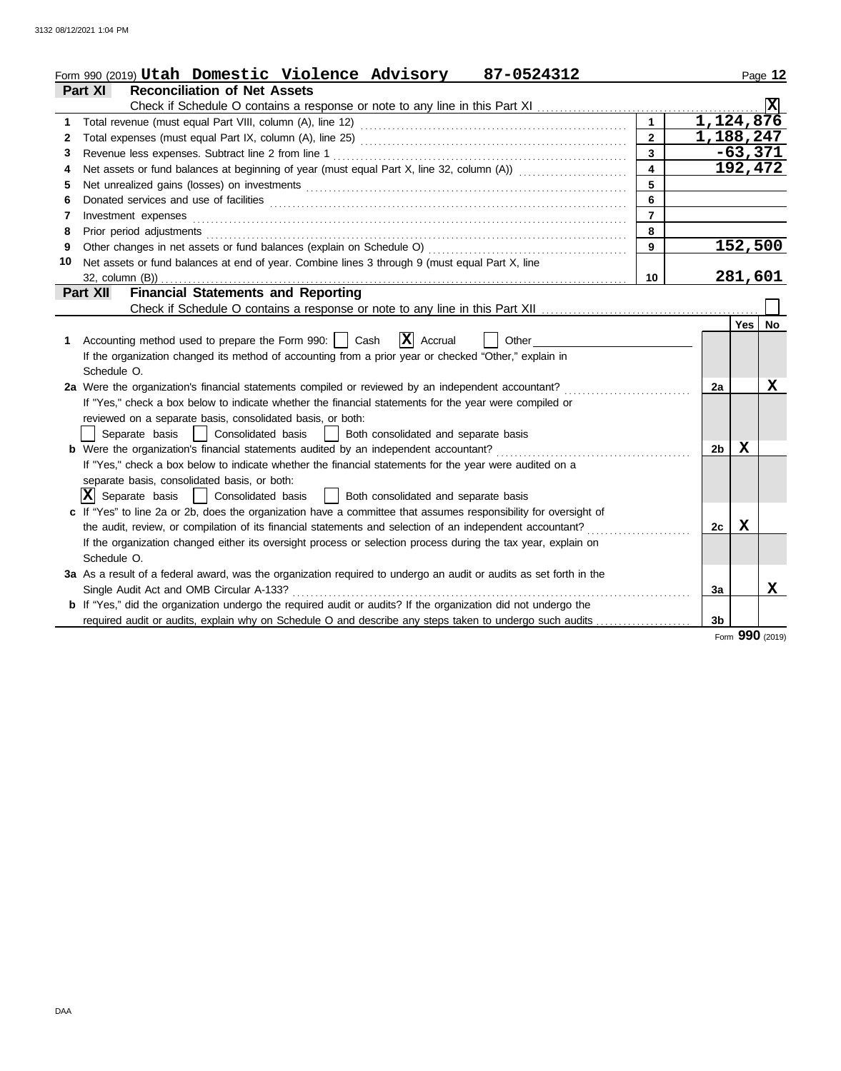|    | Form 990 (2019) Utah Domestic Violence Advisory<br>87-0524312                                                                                                                                                                  |                         |                        |             | Page 12         |
|----|--------------------------------------------------------------------------------------------------------------------------------------------------------------------------------------------------------------------------------|-------------------------|------------------------|-------------|-----------------|
|    | <b>Reconciliation of Net Assets</b><br>Part XI                                                                                                                                                                                 |                         |                        |             |                 |
|    |                                                                                                                                                                                                                                |                         |                        |             |                 |
| 1. |                                                                                                                                                                                                                                |                         | $\overline{1,124,876}$ |             |                 |
| 2  |                                                                                                                                                                                                                                | $\mathbf{2}$            | 1,188,247              |             |                 |
| 3  |                                                                                                                                                                                                                                | $\overline{3}$          |                        | $-63,371$   |                 |
| 4  | Net assets or fund balances at beginning of year (must equal Part X, line 32, column (A)) [[[[[[[[[[[[[[[[[[[                                                                                                                  | $\overline{\mathbf{4}}$ |                        |             | 192,472         |
| 5  | Net unrealized gains (losses) on investments [11] matter contracts and the state of the state of the state of the state of the state of the state of the state of the state of the state of the state of the state of the stat | 5                       |                        |             |                 |
| 6  |                                                                                                                                                                                                                                | 6                       |                        |             |                 |
| 7  | Investment expenses                                                                                                                                                                                                            | $\overline{7}$          |                        |             |                 |
| 8  | Prior period adjustments [11, 12] and the contract of the contract of the contract of the contract of the contract of the contract of the contract of the contract of the contract of the contract of the contract of the cont | 8                       |                        |             |                 |
| 9  | Other changes in net assets or fund balances (explain on Schedule O)                                                                                                                                                           | 9                       |                        |             | 152,500         |
| 10 | Net assets or fund balances at end of year. Combine lines 3 through 9 (must equal Part X, line                                                                                                                                 |                         |                        |             |                 |
|    |                                                                                                                                                                                                                                | 10                      |                        | 281,601     |                 |
|    | <b>Financial Statements and Reporting</b><br><b>Part XII</b>                                                                                                                                                                   |                         |                        |             |                 |
|    | Check if Schedule O contains a response or note to any line in this Part XII                                                                                                                                                   |                         |                        |             |                 |
|    |                                                                                                                                                                                                                                |                         |                        | Yes l       | No              |
| 1  | $ \mathbf{X} $ Accrual<br>Accounting method used to prepare the Form 990:     Cash<br>Other                                                                                                                                    |                         |                        |             |                 |
|    | If the organization changed its method of accounting from a prior year or checked "Other," explain in                                                                                                                          |                         |                        |             |                 |
|    | Schedule O.                                                                                                                                                                                                                    |                         |                        |             |                 |
|    | 2a Were the organization's financial statements compiled or reviewed by an independent accountant?                                                                                                                             |                         | 2a                     |             | X               |
|    | If "Yes," check a box below to indicate whether the financial statements for the year were compiled or                                                                                                                         |                         |                        |             |                 |
|    | reviewed on a separate basis, consolidated basis, or both:                                                                                                                                                                     |                         |                        |             |                 |
|    | Separate basis<br>Consolidated basis<br>Both consolidated and separate basis<br>$\blacksquare$                                                                                                                                 |                         |                        |             |                 |
|    | <b>b</b> Were the organization's financial statements audited by an independent accountant?                                                                                                                                    |                         | 2b                     | X           |                 |
|    | If "Yes," check a box below to indicate whether the financial statements for the year were audited on a                                                                                                                        |                         |                        |             |                 |
|    | separate basis, consolidated basis, or both:                                                                                                                                                                                   |                         |                        |             |                 |
|    | $ \mathbf{X} $ Separate basis<br>Consolidated basis<br>Both consolidated and separate basis                                                                                                                                    |                         |                        |             |                 |
|    | c If "Yes" to line 2a or 2b, does the organization have a committee that assumes responsibility for oversight of                                                                                                               |                         |                        |             |                 |
|    | the audit, review, or compilation of its financial statements and selection of an independent accountant?                                                                                                                      |                         | 2c                     | $\mathbf X$ |                 |
|    | If the organization changed either its oversight process or selection process during the tax year, explain on                                                                                                                  |                         |                        |             |                 |
|    | Schedule O.                                                                                                                                                                                                                    |                         |                        |             |                 |
|    | 3a As a result of a federal award, was the organization required to undergo an audit or audits as set forth in the                                                                                                             |                         |                        |             |                 |
|    | Single Audit Act and OMB Circular A-133?                                                                                                                                                                                       |                         | 3a                     |             | $\mathbf X$     |
|    | b If "Yes," did the organization undergo the required audit or audits? If the organization did not undergo the                                                                                                                 |                         | 3b                     |             |                 |
|    | required audit or audits, explain why on Schedule O and describe any steps taken to undergo such audits                                                                                                                        |                         |                        |             | Form 990 (2019) |
|    |                                                                                                                                                                                                                                |                         |                        |             |                 |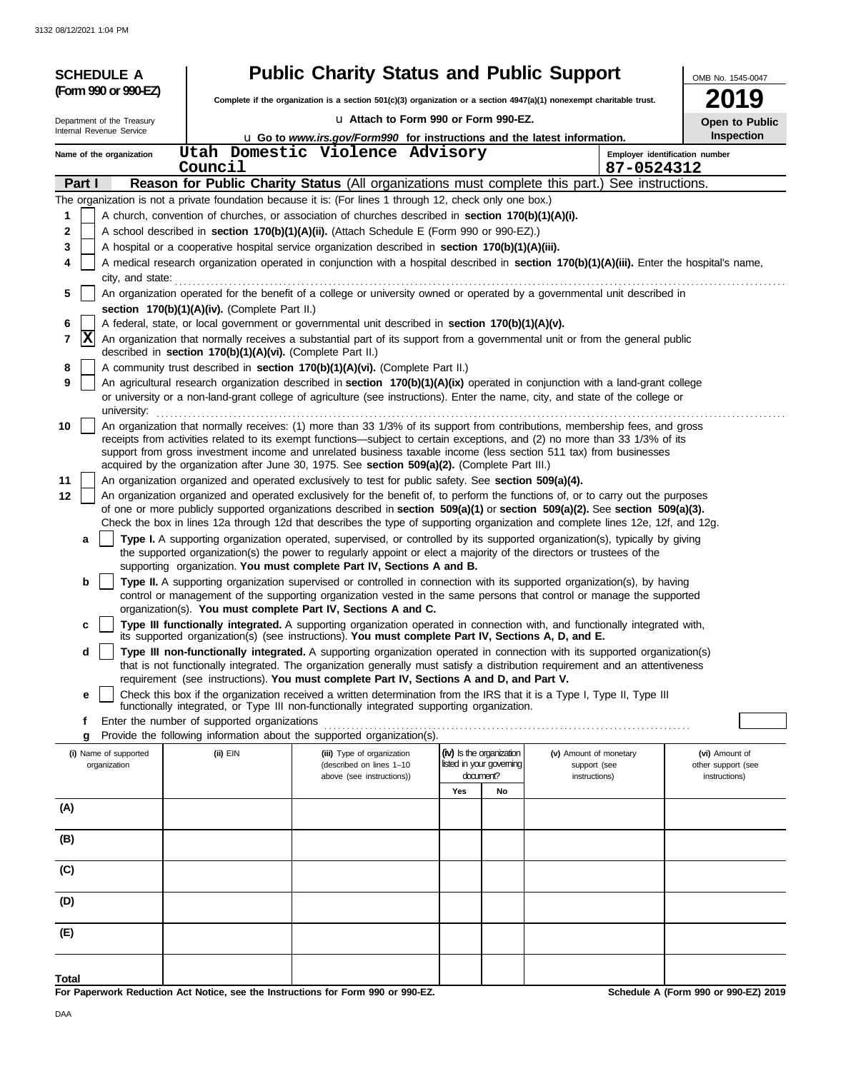| <b>SCHEDULE A</b>                     |                                                                                                                                                                                                                                                                                                                                                                                                                                                                                                                                                                                                                                                   |                                             | <b>Public Charity Status and Public Support</b>                                                                                                                                                                                                                                                                                                                                                                                                                                                                                                                                                                                                                                                                      |      |                                                                   |                                                         | OMB No. 1545-0047                                     |  |
|---------------------------------------|---------------------------------------------------------------------------------------------------------------------------------------------------------------------------------------------------------------------------------------------------------------------------------------------------------------------------------------------------------------------------------------------------------------------------------------------------------------------------------------------------------------------------------------------------------------------------------------------------------------------------------------------------|---------------------------------------------|----------------------------------------------------------------------------------------------------------------------------------------------------------------------------------------------------------------------------------------------------------------------------------------------------------------------------------------------------------------------------------------------------------------------------------------------------------------------------------------------------------------------------------------------------------------------------------------------------------------------------------------------------------------------------------------------------------------------|------|-------------------------------------------------------------------|---------------------------------------------------------|-------------------------------------------------------|--|
| (Form 990 or 990-EZ)                  |                                                                                                                                                                                                                                                                                                                                                                                                                                                                                                                                                                                                                                                   |                                             | Complete if the organization is a section 501(c)(3) organization or a section 4947(a)(1) nonexempt charitable trust.                                                                                                                                                                                                                                                                                                                                                                                                                                                                                                                                                                                                 | 2019 |                                                                   |                                                         |                                                       |  |
| Department of the Treasury            |                                                                                                                                                                                                                                                                                                                                                                                                                                                                                                                                                                                                                                                   |                                             | La Attach to Form 990 or Form 990-EZ.                                                                                                                                                                                                                                                                                                                                                                                                                                                                                                                                                                                                                                                                                |      |                                                                   |                                                         | Open to Public                                        |  |
| Internal Revenue Service              |                                                                                                                                                                                                                                                                                                                                                                                                                                                                                                                                                                                                                                                   |                                             | <b>La Go to www.irs.gov/Form990 for instructions and the latest information.</b>                                                                                                                                                                                                                                                                                                                                                                                                                                                                                                                                                                                                                                     |      | Inspection                                                        |                                                         |                                                       |  |
| Name of the organization              |                                                                                                                                                                                                                                                                                                                                                                                                                                                                                                                                                                                                                                                   |                                             | Utah Domestic Violence Advisory                                                                                                                                                                                                                                                                                                                                                                                                                                                                                                                                                                                                                                                                                      |      |                                                                   |                                                         | Employer identification number                        |  |
| Part I                                |                                                                                                                                                                                                                                                                                                                                                                                                                                                                                                                                                                                                                                                   | Council                                     | Reason for Public Charity Status (All organizations must complete this part.) See instructions.                                                                                                                                                                                                                                                                                                                                                                                                                                                                                                                                                                                                                      |      |                                                                   | 87-0524312                                              |                                                       |  |
| 1<br>2<br>3<br>4<br>city, and state:  |                                                                                                                                                                                                                                                                                                                                                                                                                                                                                                                                                                                                                                                   |                                             | The organization is not a private foundation because it is: (For lines 1 through 12, check only one box.)<br>A church, convention of churches, or association of churches described in section 170(b)(1)(A)(i).<br>A school described in section 170(b)(1)(A)(ii). (Attach Schedule E (Form 990 or 990-EZ).)<br>A hospital or a cooperative hospital service organization described in section 170(b)(1)(A)(iii).<br>A medical research organization operated in conjunction with a hospital described in section 170(b)(1)(A)(iii). Enter the hospital's name,                                                                                                                                                      |      |                                                                   |                                                         |                                                       |  |
| 5<br>6<br> X<br>7                     | An organization operated for the benefit of a college or university owned or operated by a governmental unit described in<br>section 170(b)(1)(A)(iv). (Complete Part II.)<br>A federal, state, or local government or governmental unit described in section 170(b)(1)(A)(v).<br>An organization that normally receives a substantial part of its support from a governmental unit or from the general public<br>described in section 170(b)(1)(A)(vi). (Complete Part II.)<br>A community trust described in section 170(b)(1)(A)(vi). (Complete Part II.)                                                                                      |                                             |                                                                                                                                                                                                                                                                                                                                                                                                                                                                                                                                                                                                                                                                                                                      |      |                                                                   |                                                         |                                                       |  |
| 8<br>9<br>university:                 |                                                                                                                                                                                                                                                                                                                                                                                                                                                                                                                                                                                                                                                   |                                             | An agricultural research organization described in section 170(b)(1)(A)(ix) operated in conjunction with a land-grant college<br>or university or a non-land-grant college of agriculture (see instructions). Enter the name, city, and state of the college or                                                                                                                                                                                                                                                                                                                                                                                                                                                      |      |                                                                   |                                                         |                                                       |  |
| 10                                    | An organization that normally receives: (1) more than 33 1/3% of its support from contributions, membership fees, and gross<br>receipts from activities related to its exempt functions—subject to certain exceptions, and (2) no more than 33 1/3% of its<br>support from gross investment income and unrelated business taxable income (less section 511 tax) from businesses<br>acquired by the organization after June 30, 1975. See section 509(a)(2). (Complete Part III.)                                                                                                                                                                  |                                             |                                                                                                                                                                                                                                                                                                                                                                                                                                                                                                                                                                                                                                                                                                                      |      |                                                                   |                                                         |                                                       |  |
| 11<br>12<br>a                         | An organization organized and operated exclusively to test for public safety. See section 509(a)(4).<br>An organization organized and operated exclusively for the benefit of, to perform the functions of, or to carry out the purposes<br>of one or more publicly supported organizations described in section $509(a)(1)$ or section $509(a)(2)$ . See section $509(a)(3)$ .<br>Check the box in lines 12a through 12d that describes the type of supporting organization and complete lines 12e, 12f, and 12g.<br>Type I. A supporting organization operated, supervised, or controlled by its supported organization(s), typically by giving |                                             |                                                                                                                                                                                                                                                                                                                                                                                                                                                                                                                                                                                                                                                                                                                      |      |                                                                   |                                                         |                                                       |  |
| b                                     |                                                                                                                                                                                                                                                                                                                                                                                                                                                                                                                                                                                                                                                   |                                             | the supported organization(s) the power to regularly appoint or elect a majority of the directors or trustees of the<br>supporting organization. You must complete Part IV, Sections A and B.<br>Type II. A supporting organization supervised or controlled in connection with its supported organization(s), by having<br>control or management of the supporting organization vested in the same persons that control or manage the supported<br>organization(s). You must complete Part IV, Sections A and C.                                                                                                                                                                                                    |      |                                                                   |                                                         |                                                       |  |
| c<br>d<br>е                           |                                                                                                                                                                                                                                                                                                                                                                                                                                                                                                                                                                                                                                                   |                                             | Type III functionally integrated. A supporting organization operated in connection with, and functionally integrated with,<br>its supported organization(s) (see instructions). You must complete Part IV, Sections A, D, and E.<br>Type III non-functionally integrated. A supporting organization operated in connection with its supported organization(s)<br>that is not functionally integrated. The organization generally must satisfy a distribution requirement and an attentiveness<br>requirement (see instructions). You must complete Part IV, Sections A and D, and Part V.<br>Check this box if the organization received a written determination from the IRS that it is a Type I, Type II, Type III |      |                                                                   |                                                         |                                                       |  |
| Ť.<br>g                               |                                                                                                                                                                                                                                                                                                                                                                                                                                                                                                                                                                                                                                                   | Enter the number of supported organizations | functionally integrated, or Type III non-functionally integrated supporting organization.<br>Provide the following information about the supported organization(s).                                                                                                                                                                                                                                                                                                                                                                                                                                                                                                                                                  |      |                                                                   |                                                         |                                                       |  |
| (i) Name of supported<br>organization |                                                                                                                                                                                                                                                                                                                                                                                                                                                                                                                                                                                                                                                   | (ii) EIN                                    | (iii) Type of organization<br>(described on lines 1-10<br>above (see instructions))                                                                                                                                                                                                                                                                                                                                                                                                                                                                                                                                                                                                                                  |      | (iv) Is the organization<br>listed in your governing<br>document? | (v) Amount of monetary<br>support (see<br>instructions) | (vi) Amount of<br>other support (see<br>instructions) |  |
| (A)                                   |                                                                                                                                                                                                                                                                                                                                                                                                                                                                                                                                                                                                                                                   |                                             |                                                                                                                                                                                                                                                                                                                                                                                                                                                                                                                                                                                                                                                                                                                      | Yes  | No                                                                |                                                         |                                                       |  |
| (B)                                   |                                                                                                                                                                                                                                                                                                                                                                                                                                                                                                                                                                                                                                                   |                                             |                                                                                                                                                                                                                                                                                                                                                                                                                                                                                                                                                                                                                                                                                                                      |      |                                                                   |                                                         |                                                       |  |
| (C)<br>(D)                            |                                                                                                                                                                                                                                                                                                                                                                                                                                                                                                                                                                                                                                                   |                                             |                                                                                                                                                                                                                                                                                                                                                                                                                                                                                                                                                                                                                                                                                                                      |      |                                                                   |                                                         |                                                       |  |
| (E)                                   |                                                                                                                                                                                                                                                                                                                                                                                                                                                                                                                                                                                                                                                   |                                             |                                                                                                                                                                                                                                                                                                                                                                                                                                                                                                                                                                                                                                                                                                                      |      |                                                                   |                                                         |                                                       |  |
| Total                                 |                                                                                                                                                                                                                                                                                                                                                                                                                                                                                                                                                                                                                                                   |                                             | For Paperwork Reduction Act Notice, see the Instructions for Form 000 or 000-F7                                                                                                                                                                                                                                                                                                                                                                                                                                                                                                                                                                                                                                      |      |                                                                   |                                                         | Schodule A (Form 990 or 990-F7) 2019                  |  |

**For Paperwork Reduction Act Notice, see the Instructions for Form 990 or 990-EZ.**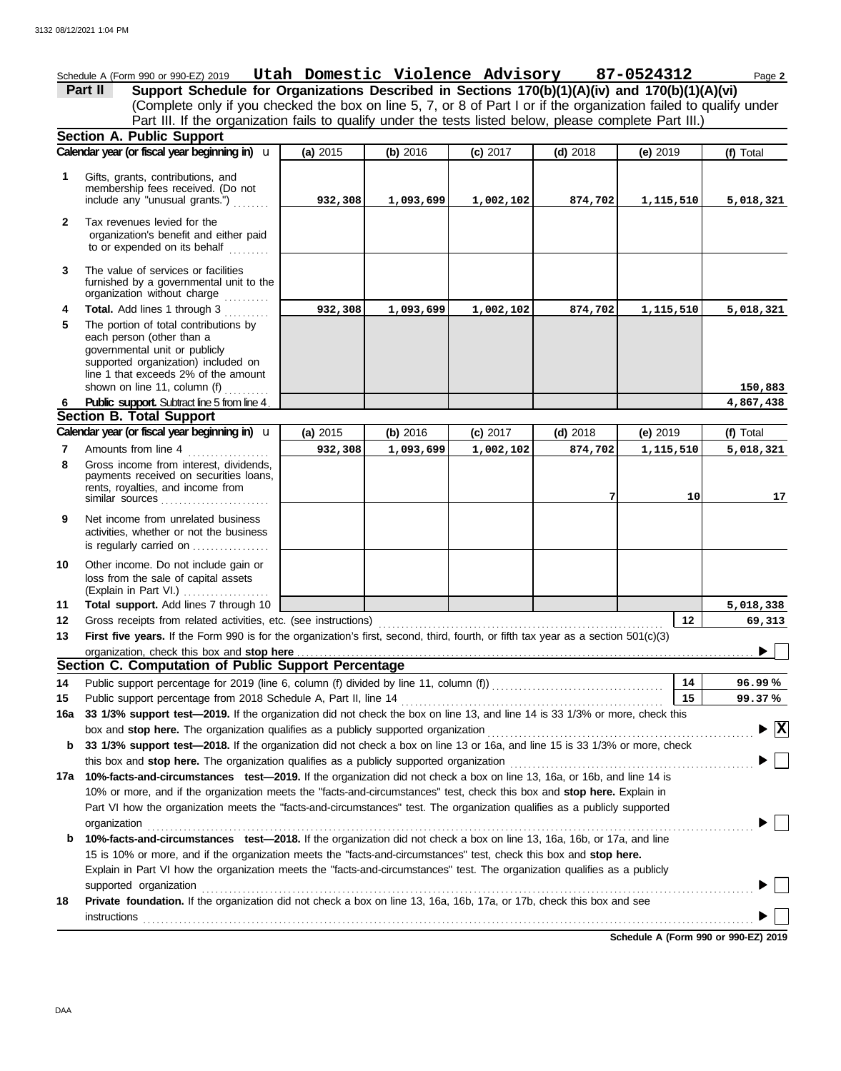Schedule A (Form 990 or 990-EZ) 2019 Page **2 Utah Domestic Violence Advisory 87-0524312 Part II Support Schedule for Organizations Described in Sections 170(b)(1)(A)(iv) and 170(b)(1)(A)(vi)** (Complete only if you checked the box on line 5, 7, or 8 of Part I or if the organization failed to qualify under Part III. If the organization fails to qualify under the tests listed below, please complete Part III.) **Section A. Public Support Calendar year (or fiscal year beginning in) <b>u** | (a) 2015 | (b) 2016 | (c) 2017 | (d) 2018 | (e) 2019 | (f) Total **(a)** 2015 **(b)** 2016 **(c)** 2017 **(d)** 2018 **(e)** 2019 **1** Gifts, grants, contributions, and membership fees received. (Do not **932,308 1,093,699 1,002,102 874,702 1,115,510 5,018,321** include any "unusual grants.") . . . . . . . . **2** Tax revenues levied for the organization's benefit and either paid to or expended on its behalf ......... **3** The value of services or facilities furnished by a governmental unit to the organization without charge **Total.** Add lines 1 through 3 . . . . . . . . . **4 932,308 1,093,699 1,002,102 874,702 1,115,510 5,018,321** The portion of total contributions by **5** each person (other than a governmental unit or publicly supported organization) included on line 1 that exceeds 2% of the amount **150,883** shown on line 11, column (f)  $\ldots$ **Public support.** Subtract line 5 from line 4. **4,867,438 6 Section B. Total Support Calendar year (or fiscal year beginning in) <b>u** (a) 2015 (b) 2016 (c) 2017 (d) 2018 (e) 2019 (f) Total **(a)** 2015 u **(b)** 2016 **(c)** 2017 **(d)** 2018 **(e)** 2019 **7** Amounts from line 4 **932,308 1,093,699 1,002,102 874,702 1,115,510 5,018,321 8** Gross income from interest, dividends, payments received on securities loans, rents, royalties, and income from similar sources . . . . . . . . . . . . . . . . . . . . . . . . **7 10 17 9** Net income from unrelated business activities, whether or not the business is regularly carried on ................ **10** Other income. Do not include gain or loss from the sale of capital assets (Explain in Part VI.) . . . . . . . . . . . . . . . . . **11 Total support.** Add lines 7 through 10 **5,018,338 12 12** Gross receipts from related activities, etc. (see instructions) . . . . . . . . . . . . . . . . . . . . . . . . . . . . . . . . . . . . . . . . . . . . . . . . . . . . . . . . . . . . . . . **69,313** First five years. If the Form 990 is for the organization's first, second, third, fourth, or fifth tax year as a section 501(c)(3) **13** organization, check this box and stop here ▶│ **Section C. Computation of Public Support Percentage 14 % 96.99 14** Public support percentage for 2019 (line 6, column (f) divided by line 11, column (f)) . . . . . . . . . . . . . . . . . . . . . . . . . . . . . . . . . . . . . . Public support percentage from 2018 Schedule A, Part II, line 14 . . . . . . . . . . . . . . . . . . . . . . . . . . . . . . . . . . . . . . . . . . . . . . . . . . . . . . . . . . **15 15 % 99.37 16a 33 1/3% support test—2019.** If the organization did not check the box on line 13, and line 14 is 33 1/3% or more, check this box and **stop here.** The organization qualifies as a publicly supported organization . . . . . . . . . . . . . . . . . . . . . . . . . . . . . . . . . . . . . . . . . . . . . . . . . . . . . . . . . . . **X b 33 1/3% support test—2018.** If the organization did not check a box on line 13 or 16a, and line 15 is 33 1/3% or more, check this box and stop here. The organization qualifies as a publicly supported organization ....................... **17a 10%-facts-and-circumstances test—2019.** If the organization did not check a box on line 13, 16a, or 16b, and line 14 is 10% or more, and if the organization meets the "facts-and-circumstances" test, check this box and **stop here.** Explain in Part VI how the organization meets the "facts-and-circumstances" test. The organization qualifies as a publicly supported organization . . . . . . . . . . . . . . . . . . . . . . . . . . . . . . . . . . . . . . . . . . . . . . . . . . . . . . . . . . . . . . . . . . . . . . . . . . . . . . . . . . . . . . . . . . . . . . . . . . . . . . . . . . . . . . . . . . . . . . . . . . . . . . . . . . . . . . **b 10%-facts-and-circumstances test—2018.** If the organization did not check a box on line 13, 16a, 16b, or 17a, and line 15 is 10% or more, and if the organization meets the "facts-and-circumstances" test, check this box and **stop here.** Explain in Part VI how the organization meets the "facts-and-circumstances" test. The organization qualifies as a publicly supported organization . . . . . . . . . . . . . . . . . . . . . . . . . . . . . . . . . . . . . . . . . . . . . . . . . . . . . . . . . . . . . . . . . . . . . . . . . . . . . . . . . . . . . . . . . . . . . . . . . . . . . . . . . . . . . . . . . . . . . . . . . . **18 Private foundation.** If the organization did not check a box on line 13, 16a, 16b, 17a, or 17b, check this box and see **instructions**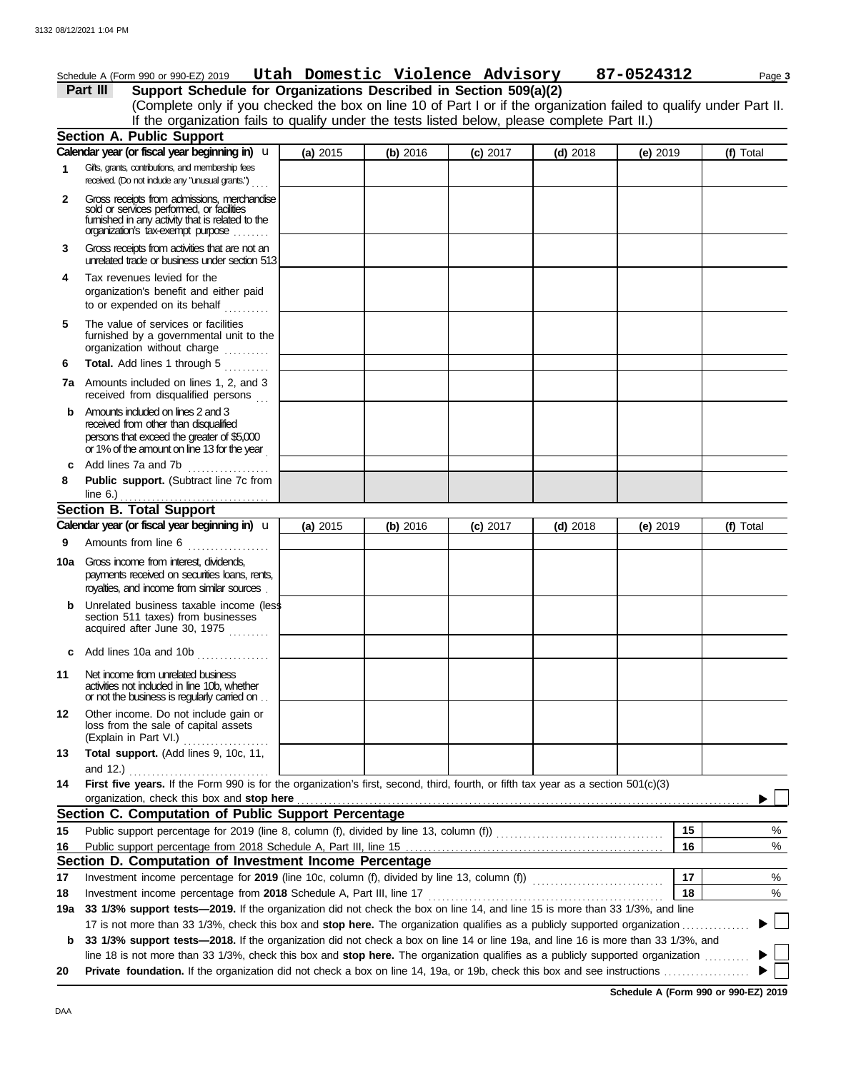| Schedule A (Form 990 or 990-EZ) 2019                                                                               |                                                                                              |            | Utah Domestic Violence Advisory |            | 87-0524312 | Page 3    |  |  |  |
|--------------------------------------------------------------------------------------------------------------------|----------------------------------------------------------------------------------------------|------------|---------------------------------|------------|------------|-----------|--|--|--|
| Part III<br>Support Schedule for Organizations Described in Section 509(a)(2)                                      |                                                                                              |            |                                 |            |            |           |  |  |  |
| (Complete only if you checked the box on line 10 of Part I or if the organization failed to qualify under Part II. |                                                                                              |            |                                 |            |            |           |  |  |  |
|                                                                                                                    | If the organization fails to qualify under the tests listed below, please complete Part II.) |            |                                 |            |            |           |  |  |  |
| <b>Section A. Public Support</b>                                                                                   |                                                                                              |            |                                 |            |            |           |  |  |  |
| Calendar year (or fiscal year beginning in) u                                                                      | (a) $2015$                                                                                   | (b) $2016$ | $(c)$ 2017                      | $(d)$ 2018 | (e) $2019$ | (f) Total |  |  |  |
| Gifts, grants, contributions, and membership fees                                                                  |                                                                                              |            |                                 |            |            |           |  |  |  |

|          | received. (Do not include any "unusual grants.")                                                                                                                                        |          |          |            |            |            |    |           |
|----------|-----------------------------------------------------------------------------------------------------------------------------------------------------------------------------------------|----------|----------|------------|------------|------------|----|-----------|
| 2        | Gross receipts from admissions, merchandise<br>sold or services performed, or facilities<br>fumished in any activity that is related to the<br>organization's tax-exempt purpose        |          |          |            |            |            |    |           |
| 3        | Gross receipts from activities that are not an<br>unrelated trade or business under section 513                                                                                         |          |          |            |            |            |    |           |
| 4        | Tax revenues levied for the<br>organization's benefit and either paid<br>to or expended on its behalf                                                                                   |          |          |            |            |            |    |           |
| 5        | The value of services or facilities<br>furnished by a governmental unit to the<br>organization without charge                                                                           |          |          |            |            |            |    |           |
| 6        | Total. Add lines 1 through 5                                                                                                                                                            |          |          |            |            |            |    |           |
|          | <b>7a</b> Amounts included on lines 1, 2, and 3<br>received from disqualified persons                                                                                                   |          |          |            |            |            |    |           |
| b        | Amounts induded on lines 2 and 3<br>received from other than disqualified<br>persons that exceed the greater of \$5,000<br>or 1% of the amount on line 13 for the year                  |          |          |            |            |            |    |           |
| c        | Add lines 7a and 7b                                                                                                                                                                     |          |          |            |            |            |    |           |
| 8        | Public support. (Subtract line 7c from                                                                                                                                                  |          |          |            |            |            |    |           |
|          | Section B. Total Support                                                                                                                                                                |          |          |            |            |            |    |           |
|          | Calendar year (or fiscal year beginning in) u                                                                                                                                           | (a) 2015 | (b) 2016 | $(c)$ 2017 | $(d)$ 2018 | $(e)$ 2019 |    | (f) Total |
| 9        | Amounts from line 6                                                                                                                                                                     |          |          |            |            |            |    |           |
| 10a      | Gross income from interest, dividends,<br>payments received on securities loans, rents,<br>royalties, and income from similar sources                                                   |          |          |            |            |            |    |           |
| b        | Unrelated business taxable income (les\$<br>section 511 taxes) from businesses<br>acquired after June 30, 1975                                                                          |          |          |            |            |            |    |           |
| c        | Add lines 10a and 10b                                                                                                                                                                   |          |          |            |            |            |    |           |
| 11       | Net income from unrelated business<br>activities not included in line 10b, whether<br>or not the business is regularly carried on                                                       |          |          |            |            |            |    |           |
| 12       | Other income. Do not include gain or<br>loss from the sale of capital assets<br>(Explain in Part VI.)                                                                                   |          |          |            |            |            |    |           |
| 13<br>14 | Total support. (Add lines 9, 10c, 11,<br>and 12.)<br>First five years. If the Form 990 is for the organization's first, second, third, fourth, or fifth tax year as a section 501(c)(3) |          |          |            |            |            |    |           |
|          | organization, check this box and stop here <b>constant and all and all and all and all and all and all and all and a</b>                                                                |          |          |            |            |            |    |           |
|          | Section C. Computation of Public Support Percentage                                                                                                                                     |          |          |            |            |            |    |           |
| 15       |                                                                                                                                                                                         |          |          |            |            |            | 15 | %         |
| 16       |                                                                                                                                                                                         |          |          |            |            |            | 16 | %         |
|          | Section D. Computation of Investment Income Percentage                                                                                                                                  |          |          |            |            |            |    |           |
| 17       |                                                                                                                                                                                         |          |          |            |            |            | 17 | %         |
| 18       | Investment income percentage from 2018 Schedule A, Part III, line 17                                                                                                                    |          | 18       | %          |            |            |    |           |
| 19a      | 33 1/3% support tests-2019. If the organization did not check the box on line 14, and line 15 is more than 33 1/3%, and line                                                            |          |          |            |            |            |    |           |
|          | 17 is not more than 33 1/3%, check this box and stop here. The organization qualifies as a publicly supported organization                                                              |          |          |            |            |            |    |           |
| b        | 33 1/3% support tests—2018. If the organization did not check a box on line 14 or line 19a, and line 16 is more than 33 1/3%, and                                                       |          |          |            |            |            |    |           |
|          | line 18 is not more than 33 1/3%, check this box and stop here. The organization qualifies as a publicly supported organization                                                         |          |          |            |            |            |    |           |
| 20       |                                                                                                                                                                                         |          |          |            |            |            |    |           |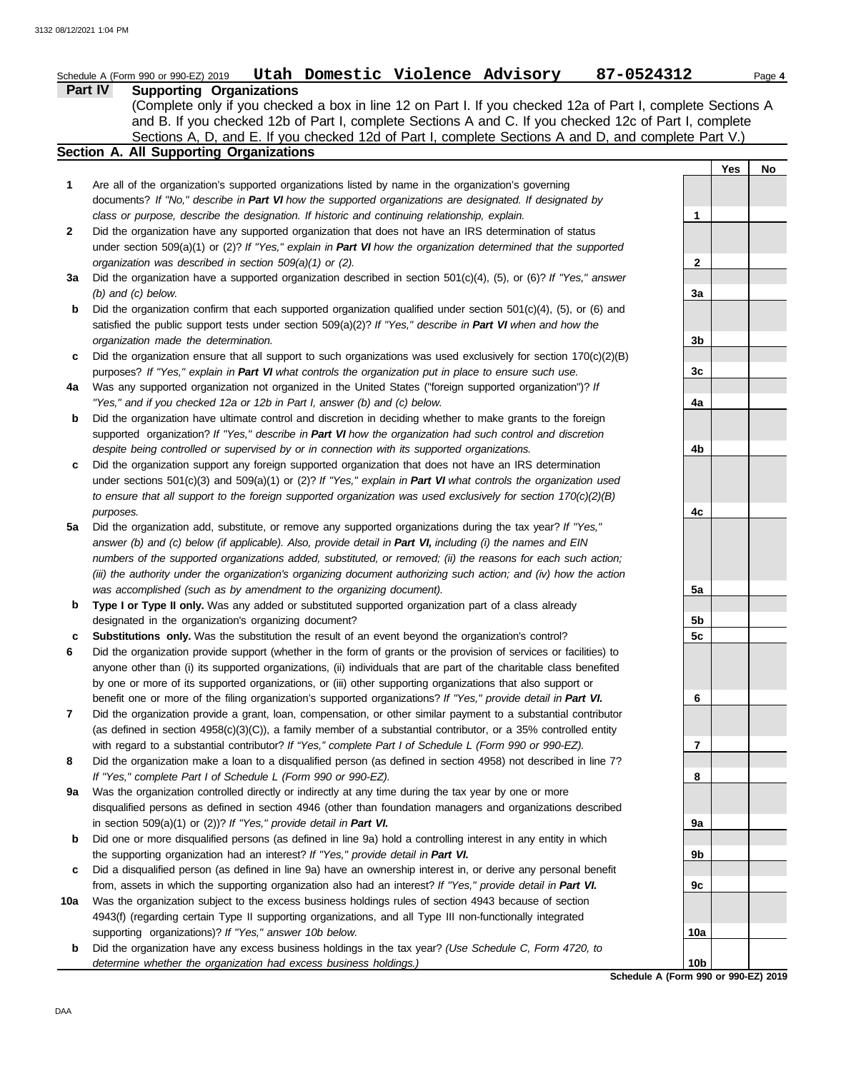|     | Schedule A (Form 990 or 990-EZ) 2019    Utah Domestic Violence Advisory<br>87-0524312                               |                   |            | Page 4 |
|-----|---------------------------------------------------------------------------------------------------------------------|-------------------|------------|--------|
|     | <b>Part IV</b><br><b>Supporting Organizations</b>                                                                   |                   |            |        |
|     | (Complete only if you checked a box in line 12 on Part I. If you checked 12a of Part I, complete Sections A         |                   |            |        |
|     | and B. If you checked 12b of Part I, complete Sections A and C. If you checked 12c of Part I, complete              |                   |            |        |
|     | Sections A, D, and E. If you checked 12d of Part I, complete Sections A and D, and complete Part V.)                |                   |            |        |
|     | Section A. All Supporting Organizations                                                                             |                   |            |        |
|     |                                                                                                                     |                   | <b>Yes</b> | No     |
| 1   | Are all of the organization's supported organizations listed by name in the organization's governing                |                   |            |        |
|     | documents? If "No," describe in Part VI how the supported organizations are designated. If designated by            |                   |            |        |
|     | class or purpose, describe the designation. If historic and continuing relationship, explain.                       | 1                 |            |        |
| 2   | Did the organization have any supported organization that does not have an IRS determination of status              |                   |            |        |
|     | under section 509(a)(1) or (2)? If "Yes," explain in Part VI how the organization determined that the supported     |                   |            |        |
|     | organization was described in section 509(a)(1) or (2).                                                             | $\mathbf{2}$      |            |        |
| За  | Did the organization have a supported organization described in section $501(c)(4)$ , (5), or (6)? If "Yes," answer |                   |            |        |
|     | $(b)$ and $(c)$ below.                                                                                              | 3a                |            |        |
| b   | Did the organization confirm that each supported organization qualified under section 501(c)(4), (5), or (6) and    |                   |            |        |
|     | satisfied the public support tests under section 509(a)(2)? If "Yes," describe in Part VI when and how the          |                   |            |        |
|     | organization made the determination.                                                                                | 3b                |            |        |
| c   | Did the organization ensure that all support to such organizations was used exclusively for section $170(c)(2)(B)$  |                   |            |        |
|     | purposes? If "Yes," explain in Part VI what controls the organization put in place to ensure such use.              | 3c                |            |        |
| 4a  | Was any supported organization not organized in the United States ("foreign supported organization")? If            |                   |            |        |
|     | "Yes," and if you checked 12a or 12b in Part I, answer (b) and (c) below.                                           | 4a                |            |        |
| b   | Did the organization have ultimate control and discretion in deciding whether to make grants to the foreign         |                   |            |        |
|     | supported organization? If "Yes," describe in Part VI how the organization had such control and discretion          |                   |            |        |
|     | despite being controlled or supervised by or in connection with its supported organizations.                        | 4b                |            |        |
| c   | Did the organization support any foreign supported organization that does not have an IRS determination             |                   |            |        |
|     | under sections $501(c)(3)$ and $509(a)(1)$ or (2)? If "Yes," explain in Part VI what controls the organization used |                   |            |        |
|     | to ensure that all support to the foreign supported organization was used exclusively for section $170(c)(2)(B)$    |                   |            |        |
|     | purposes.                                                                                                           | 4c                |            |        |
| 5a  | Did the organization add, substitute, or remove any supported organizations during the tax year? If "Yes,"          |                   |            |        |
|     | answer (b) and (c) below (if applicable). Also, provide detail in Part VI, including (i) the names and EIN          |                   |            |        |
|     | numbers of the supported organizations added, substituted, or removed; (ii) the reasons for each such action;       |                   |            |        |
|     | (iii) the authority under the organization's organizing document authorizing such action; and (iv) how the action   |                   |            |        |
|     | was accomplished (such as by amendment to the organizing document).                                                 | 5a                |            |        |
| b   | Type I or Type II only. Was any added or substituted supported organization part of a class already                 |                   |            |        |
|     | designated in the organization's organizing document?                                                               | 5b                |            |        |
|     | Substitutions only. Was the substitution the result of an event beyond the organization's control?                  | 5c                |            |        |
| 6   | Did the organization provide support (whether in the form of grants or the provision of services or facilities) to  |                   |            |        |
|     | anyone other than (i) its supported organizations, (ii) individuals that are part of the charitable class benefited |                   |            |        |
|     | by one or more of its supported organizations, or (iii) other supporting organizations that also support or         |                   |            |        |
|     | benefit one or more of the filing organization's supported organizations? If "Yes," provide detail in Part VI.      | 6                 |            |        |
| 7   | Did the organization provide a grant, loan, compensation, or other similar payment to a substantial contributor     |                   |            |        |
|     | (as defined in section $4958(c)(3)(C)$ ), a family member of a substantial contributor, or a 35% controlled entity  |                   |            |        |
|     | with regard to a substantial contributor? If "Yes," complete Part I of Schedule L (Form 990 or 990-EZ).             | 7                 |            |        |
| 8   | Did the organization make a loan to a disqualified person (as defined in section 4958) not described in line 7?     |                   |            |        |
|     | If "Yes," complete Part I of Schedule L (Form 990 or 990-EZ).                                                       | 8                 |            |        |
| 9a  | Was the organization controlled directly or indirectly at any time during the tax year by one or more               |                   |            |        |
|     | disqualified persons as defined in section 4946 (other than foundation managers and organizations described         |                   |            |        |
|     | in section $509(a)(1)$ or $(2)$ ? If "Yes," provide detail in Part VI.                                              | 9a                |            |        |
| b   | Did one or more disqualified persons (as defined in line 9a) hold a controlling interest in any entity in which     |                   |            |        |
|     | the supporting organization had an interest? If "Yes," provide detail in Part VI.                                   | 9b                |            |        |
| c   | Did a disqualified person (as defined in line 9a) have an ownership interest in, or derive any personal benefit     |                   |            |        |
|     | from, assets in which the supporting organization also had an interest? If "Yes," provide detail in Part VI.        | 9с                |            |        |
| 10a | Was the organization subject to the excess business holdings rules of section 4943 because of section               |                   |            |        |
|     | 4943(f) (regarding certain Type II supporting organizations, and all Type III non-functionally integrated           |                   |            |        |
|     | supporting organizations)? If "Yes," answer 10b below.                                                              | 10a               |            |        |
| b   | Did the organization have any excess business holdings in the tax year? (Use Schedule C, Form 4720, to              |                   |            |        |
|     | determine whether the organization had excess business holdings.)                                                   | 10b<br><b>nnn</b> | 000F2      |        |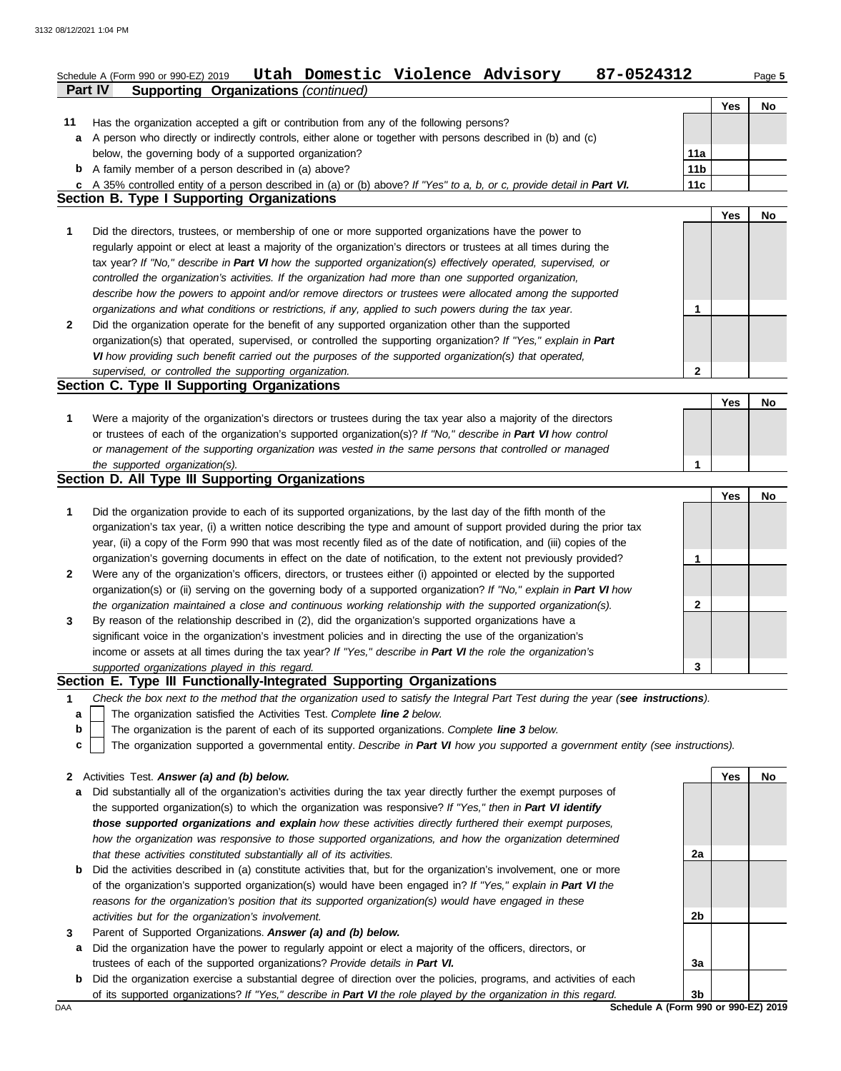|    | Utah Domestic Violence Advisory 87-0524312<br>Schedule A (Form 990 or 990-EZ) 2019                                                                                           |                 |            | Page 5 |
|----|------------------------------------------------------------------------------------------------------------------------------------------------------------------------------|-----------------|------------|--------|
|    | Part IV<br><b>Supporting Organizations (continued)</b>                                                                                                                       |                 |            |        |
|    |                                                                                                                                                                              |                 | <b>Yes</b> | No     |
| 11 | Has the organization accepted a gift or contribution from any of the following persons?                                                                                      |                 |            |        |
| а  | A person who directly or indirectly controls, either alone or together with persons described in (b) and (c)                                                                 |                 |            |        |
|    | below, the governing body of a supported organization?                                                                                                                       | 11a             |            |        |
|    | <b>b</b> A family member of a person described in (a) above?                                                                                                                 | 11 <sub>b</sub> |            |        |
|    | c A 35% controlled entity of a person described in (a) or (b) above? If "Yes" to a, b, or c, provide detail in Part VI.<br><b>Section B. Type I Supporting Organizations</b> | 11c             |            |        |
|    |                                                                                                                                                                              |                 | <b>Yes</b> |        |
|    |                                                                                                                                                                              |                 |            | No     |
| 1  | Did the directors, trustees, or membership of one or more supported organizations have the power to                                                                          |                 |            |        |
|    | regularly appoint or elect at least a majority of the organization's directors or trustees at all times during the                                                           |                 |            |        |
|    | tax year? If "No," describe in Part VI how the supported organization(s) effectively operated, supervised, or                                                                |                 |            |        |
|    | controlled the organization's activities. If the organization had more than one supported organization,                                                                      |                 |            |        |
|    | describe how the powers to appoint and/or remove directors or trustees were allocated among the supported                                                                    |                 |            |        |
|    | organizations and what conditions or restrictions, if any, applied to such powers during the tax year.                                                                       | 1               |            |        |
| 2  | Did the organization operate for the benefit of any supported organization other than the supported                                                                          |                 |            |        |
|    | organization(s) that operated, supervised, or controlled the supporting organization? If "Yes," explain in Part                                                              |                 |            |        |
|    | VI how providing such benefit carried out the purposes of the supported organization(s) that operated,                                                                       |                 |            |        |
|    | supervised, or controlled the supporting organization.                                                                                                                       | $\mathbf 2$     |            |        |
|    | Section C. Type II Supporting Organizations                                                                                                                                  |                 |            |        |
|    |                                                                                                                                                                              |                 | <b>Yes</b> | No     |
| 1  | Were a majority of the organization's directors or trustees during the tax year also a majority of the directors                                                             |                 |            |        |
|    | or trustees of each of the organization's supported organization(s)? If "No," describe in Part VI how control                                                                |                 |            |        |
|    | or management of the supporting organization was vested in the same persons that controlled or managed                                                                       |                 |            |        |
|    | the supported organization(s).                                                                                                                                               | 1               |            |        |
|    | Section D. All Type III Supporting Organizations                                                                                                                             |                 |            |        |
|    |                                                                                                                                                                              |                 | Yes        | No     |
| 1  | Did the organization provide to each of its supported organizations, by the last day of the fifth month of the                                                               |                 |            |        |
|    | organization's tax year, (i) a written notice describing the type and amount of support provided during the prior tax                                                        |                 |            |        |
|    | year, (ii) a copy of the Form 990 that was most recently filed as of the date of notification, and (iii) copies of the                                                       |                 |            |        |
|    | organization's governing documents in effect on the date of notification, to the extent not previously provided?                                                             | 1               |            |        |
| 2  | Were any of the organization's officers, directors, or trustees either (i) appointed or elected by the supported                                                             |                 |            |        |
|    | organization(s) or (ii) serving on the governing body of a supported organization? If "No," explain in Part VI how                                                           |                 |            |        |
|    | the organization maintained a close and continuous working relationship with the supported organization(s).                                                                  | 2               |            |        |
| 3  | By reason of the relationship described in (2), did the organization's supported organizations have a                                                                        |                 |            |        |
|    | significant voice in the organization's investment policies and in directing the use of the organization's                                                                   |                 |            |        |
|    | income or assets at all times during the tax year? If "Yes," describe in Part VI the role the organization's                                                                 |                 |            |        |
|    | supported organizations played in this regard.                                                                                                                               | 3               |            |        |
|    | Section E. Type III Functionally-Integrated Supporting Organizations                                                                                                         |                 |            |        |
| 1  | Check the box next to the method that the organization used to satisfy the Integral Part Test during the year (see instructions).                                            |                 |            |        |
| а  | The organization satisfied the Activities Test. Complete line 2 below.                                                                                                       |                 |            |        |
| b  | The organization is the parent of each of its supported organizations. Complete line 3 below.                                                                                |                 |            |        |
| с  | The organization supported a governmental entity. Describe in Part VI how you supported a government entity (see instructions).                                              |                 |            |        |
|    |                                                                                                                                                                              |                 |            |        |
| 2  | Activities Test. Answer (a) and (b) below.                                                                                                                                   |                 | Yes        | No     |
| a  | Did substantially all of the organization's activities during the tax year directly further the exempt purposes of                                                           |                 |            |        |
|    | the supported organization(s) to which the organization was responsive? If "Yes," then in Part VI identify                                                                   |                 |            |        |
|    | those supported organizations and explain how these activities directly furthered their exempt purposes,                                                                     |                 |            |        |

- **b** Did the activities described in (a) constitute activities that, but for the organization's involvement, one or more *how the organization was responsive to those supported organizations, and how the organization determined that these activities constituted substantially all of its activities.* of the organization's supported organization(s) would have been engaged in? *If "Yes," explain in Part VI the*
- *reasons for the organization's position that its supported organization(s) would have engaged in these activities but for the organization's involvement.*
- **3** Parent of Supported Organizations. *Answer (a) and (b) below.*
- **a** Did the organization have the power to regularly appoint or elect a majority of the officers, directors, or trustees of each of the supported organizations? *Provide details in Part VI.*
- **b** Did the organization exercise a substantial degree of direction over the policies, programs, and activities of each of its supported organizations? *If "Yes," describe in Part VI the role played by the organization in this regard.*

**2a 2b 3a 3b**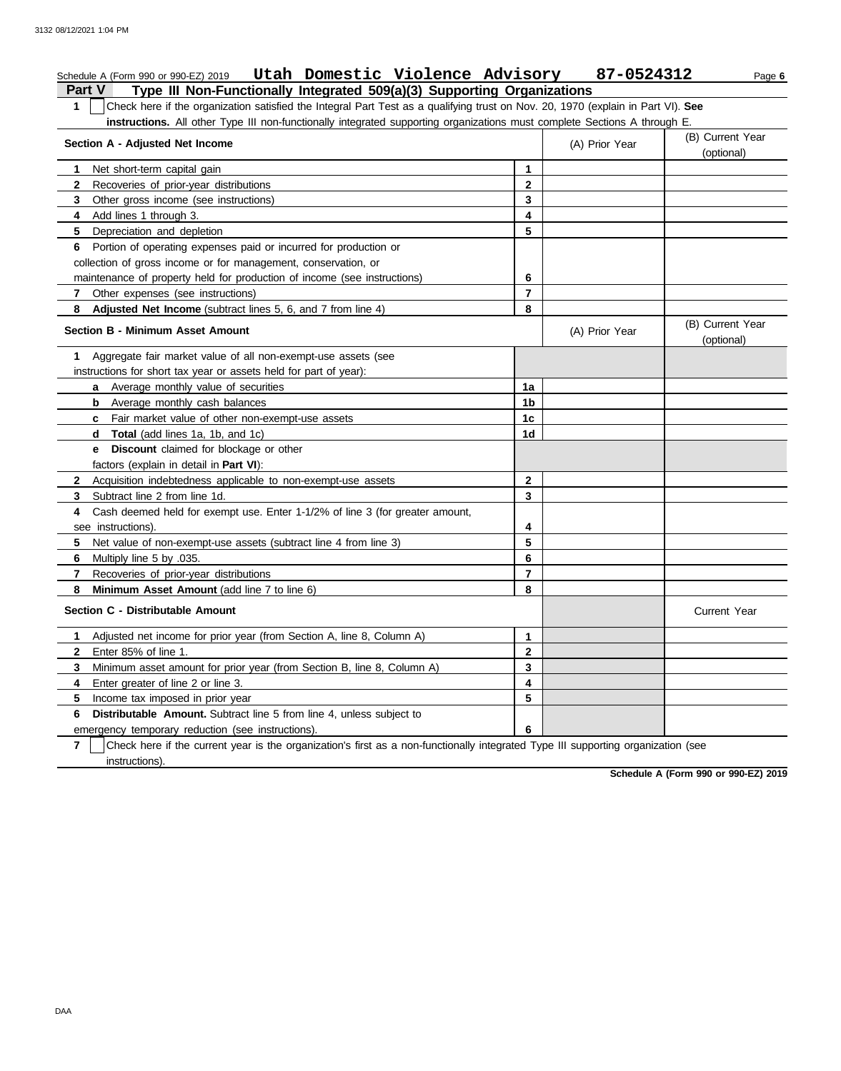| Utah Domestic Violence Advisory<br>Schedule A (Form 990 or 990-EZ) 2019                                                                |                         | 87-0524312     | Page 6                         |
|----------------------------------------------------------------------------------------------------------------------------------------|-------------------------|----------------|--------------------------------|
| <b>Part V</b><br>Type III Non-Functionally Integrated 509(a)(3) Supporting Organizations                                               |                         |                |                                |
| Check here if the organization satisfied the Integral Part Test as a qualifying trust on Nov. 20, 1970 (explain in Part VI). See<br>1  |                         |                |                                |
| instructions. All other Type III non-functionally integrated supporting organizations must complete Sections A through E.              |                         |                |                                |
| Section A - Adjusted Net Income                                                                                                        |                         | (A) Prior Year | (B) Current Year               |
|                                                                                                                                        |                         |                | (optional)                     |
| Net short-term capital gain<br>1                                                                                                       | 1                       |                |                                |
| $\mathbf{2}$<br>Recoveries of prior-year distributions                                                                                 | $\mathbf{2}$            |                |                                |
| Other gross income (see instructions)<br>3                                                                                             | 3                       |                |                                |
| Add lines 1 through 3.<br>4                                                                                                            | 4                       |                |                                |
| Depreciation and depletion<br>5                                                                                                        | 5                       |                |                                |
| Portion of operating expenses paid or incurred for production or<br>6                                                                  |                         |                |                                |
| collection of gross income or for management, conservation, or                                                                         |                         |                |                                |
| maintenance of property held for production of income (see instructions)                                                               | 6                       |                |                                |
| Other expenses (see instructions)<br>$7\phantom{.000}$                                                                                 | $\overline{\mathbf{r}}$ |                |                                |
| Adjusted Net Income (subtract lines 5, 6, and 7 from line 4)<br>8                                                                      | 8                       |                |                                |
| <b>Section B - Minimum Asset Amount</b>                                                                                                |                         | (A) Prior Year | (B) Current Year<br>(optional) |
| Aggregate fair market value of all non-exempt-use assets (see<br>1                                                                     |                         |                |                                |
| instructions for short tax year or assets held for part of year):                                                                      |                         |                |                                |
| a Average monthly value of securities                                                                                                  | 1a                      |                |                                |
| <b>b</b> Average monthly cash balances                                                                                                 | 1b                      |                |                                |
| c Fair market value of other non-exempt-use assets                                                                                     | 1c                      |                |                                |
| <b>Total</b> (add lines 1a, 1b, and 1c)<br>d                                                                                           | 1d                      |                |                                |
| <b>Discount</b> claimed for blockage or other<br>е                                                                                     |                         |                |                                |
| factors (explain in detail in Part VI):                                                                                                |                         |                |                                |
| Acquisition indebtedness applicable to non-exempt-use assets<br>2                                                                      | $\mathbf{2}$            |                |                                |
| 3<br>Subtract line 2 from line 1d.                                                                                                     | 3                       |                |                                |
| Cash deemed held for exempt use. Enter 1-1/2% of line 3 (for greater amount,<br>4                                                      |                         |                |                                |
| see instructions).                                                                                                                     | 4                       |                |                                |
| Net value of non-exempt-use assets (subtract line 4 from line 3)<br>5                                                                  | 5                       |                |                                |
| Multiply line 5 by .035.<br>6                                                                                                          | 6                       |                |                                |
| 7<br>Recoveries of prior-year distributions                                                                                            | 7                       |                |                                |
| Minimum Asset Amount (add line 7 to line 6)<br>8                                                                                       | 8                       |                |                                |
| Section C - Distributable Amount                                                                                                       |                         |                | <b>Current Year</b>            |
| Adjusted net income for prior year (from Section A, line 8, Column A)<br>1.                                                            | 1                       |                |                                |
| Enter 85% of line 1.<br>2                                                                                                              | 2                       |                |                                |
| 3<br>Minimum asset amount for prior year (from Section B, line 8, Column A)                                                            | 3                       |                |                                |
| Enter greater of line 2 or line 3.<br>4                                                                                                | 4                       |                |                                |
| Income tax imposed in prior year<br>5                                                                                                  | 5                       |                |                                |
| Distributable Amount. Subtract line 5 from line 4, unless subject to<br>6                                                              |                         |                |                                |
| emergency temporary reduction (see instructions).                                                                                      | 6                       |                |                                |
| 7<br>Check here if the current year is the organization's first as a non-functionally integrated Type III supporting organization (see |                         |                |                                |
| instructions).                                                                                                                         |                         |                |                                |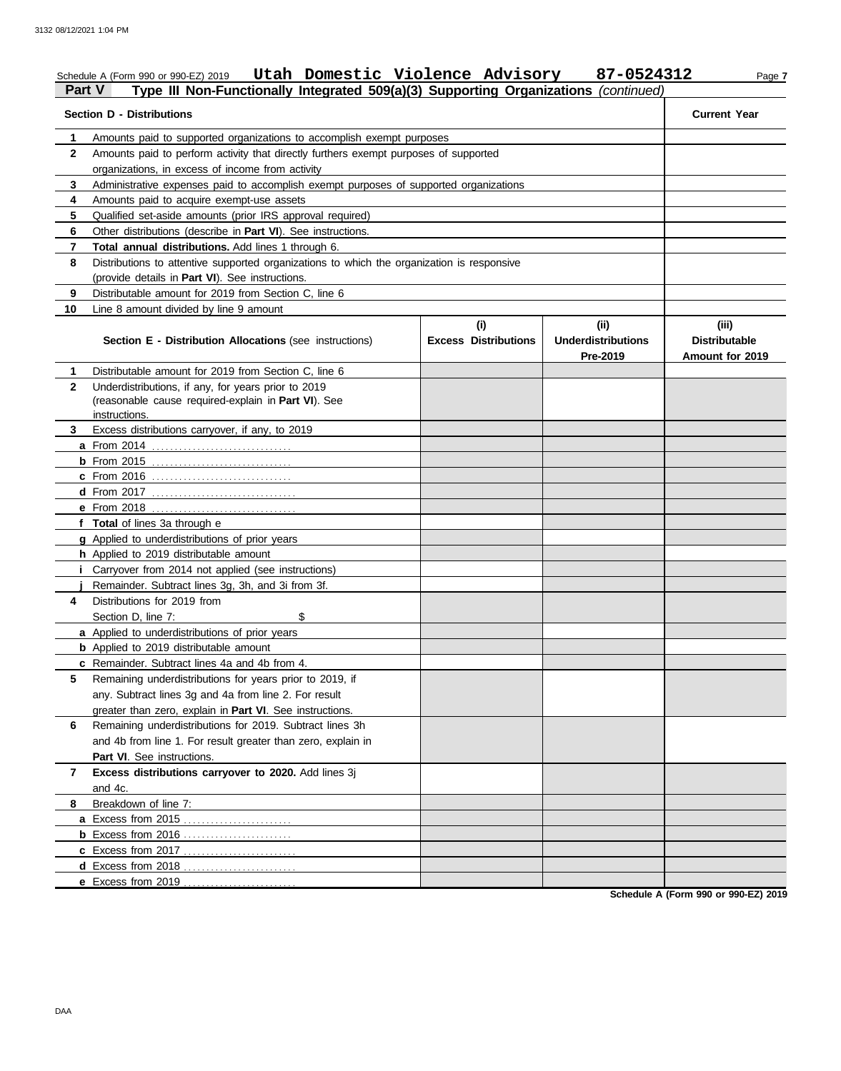| <b>Part V</b>  | Utah Domestic Violence Advisory<br>Schedule A (Form 990 or 990-EZ) 2019<br>Type III Non-Functionally Integrated 509(a)(3) Supporting Organizations (continued) |                             | 87-0524312                            | Page 7                                  |  |  |  |  |  |
|----------------|----------------------------------------------------------------------------------------------------------------------------------------------------------------|-----------------------------|---------------------------------------|-----------------------------------------|--|--|--|--|--|
|                | <b>Section D - Distributions</b>                                                                                                                               |                             |                                       | <b>Current Year</b>                     |  |  |  |  |  |
| 1              | Amounts paid to supported organizations to accomplish exempt purposes                                                                                          |                             |                                       |                                         |  |  |  |  |  |
| $\mathbf{2}$   | Amounts paid to perform activity that directly furthers exempt purposes of supported                                                                           |                             |                                       |                                         |  |  |  |  |  |
|                | organizations, in excess of income from activity                                                                                                               |                             |                                       |                                         |  |  |  |  |  |
| 3              | Administrative expenses paid to accomplish exempt purposes of supported organizations                                                                          |                             |                                       |                                         |  |  |  |  |  |
| 4              | Amounts paid to acquire exempt-use assets                                                                                                                      |                             |                                       |                                         |  |  |  |  |  |
| 5              | Qualified set-aside amounts (prior IRS approval required)                                                                                                      |                             |                                       |                                         |  |  |  |  |  |
| 6              | Other distributions (describe in Part VI). See instructions.                                                                                                   |                             |                                       |                                         |  |  |  |  |  |
| $\overline{7}$ | Total annual distributions. Add lines 1 through 6.                                                                                                             |                             |                                       |                                         |  |  |  |  |  |
| 8              | Distributions to attentive supported organizations to which the organization is responsive                                                                     |                             |                                       |                                         |  |  |  |  |  |
|                | (provide details in Part VI). See instructions.                                                                                                                |                             |                                       |                                         |  |  |  |  |  |
| 9              | Distributable amount for 2019 from Section C, line 6                                                                                                           |                             |                                       |                                         |  |  |  |  |  |
| 10             | Line 8 amount divided by line 9 amount                                                                                                                         |                             |                                       |                                         |  |  |  |  |  |
|                |                                                                                                                                                                | (i)                         | (iii)                                 | (iii)                                   |  |  |  |  |  |
|                | <b>Section E - Distribution Allocations (see instructions)</b>                                                                                                 | <b>Excess Distributions</b> | <b>Underdistributions</b><br>Pre-2019 | <b>Distributable</b><br>Amount for 2019 |  |  |  |  |  |
| 1              | Distributable amount for 2019 from Section C. line 6                                                                                                           |                             |                                       |                                         |  |  |  |  |  |
| $\mathbf{2}$   | Underdistributions, if any, for years prior to 2019                                                                                                            |                             |                                       |                                         |  |  |  |  |  |
|                | (reasonable cause required-explain in Part VI). See                                                                                                            |                             |                                       |                                         |  |  |  |  |  |
|                | instructions.                                                                                                                                                  |                             |                                       |                                         |  |  |  |  |  |
| 3              | Excess distributions carryover, if any, to 2019                                                                                                                |                             |                                       |                                         |  |  |  |  |  |
|                | <b>a</b> From 2014                                                                                                                                             |                             |                                       |                                         |  |  |  |  |  |
|                | $b$ From 2015                                                                                                                                                  |                             |                                       |                                         |  |  |  |  |  |
|                | c From 2016                                                                                                                                                    |                             |                                       |                                         |  |  |  |  |  |
|                | <b>d</b> From 2017                                                                                                                                             |                             |                                       |                                         |  |  |  |  |  |
|                | e From 2018                                                                                                                                                    |                             |                                       |                                         |  |  |  |  |  |
|                | f Total of lines 3a through e                                                                                                                                  |                             |                                       |                                         |  |  |  |  |  |
|                | g Applied to underdistributions of prior years                                                                                                                 |                             |                                       |                                         |  |  |  |  |  |
|                | h Applied to 2019 distributable amount                                                                                                                         |                             |                                       |                                         |  |  |  |  |  |
|                | Carryover from 2014 not applied (see instructions)                                                                                                             |                             |                                       |                                         |  |  |  |  |  |
|                | Remainder. Subtract lines 3g, 3h, and 3i from 3f.                                                                                                              |                             |                                       |                                         |  |  |  |  |  |
| 4              | Distributions for 2019 from                                                                                                                                    |                             |                                       |                                         |  |  |  |  |  |
|                | Section D, line 7:<br>\$                                                                                                                                       |                             |                                       |                                         |  |  |  |  |  |
|                | a Applied to underdistributions of prior years                                                                                                                 |                             |                                       |                                         |  |  |  |  |  |
|                | <b>b</b> Applied to 2019 distributable amount                                                                                                                  |                             |                                       |                                         |  |  |  |  |  |
|                | c Remainder. Subtract lines 4a and 4b from 4.                                                                                                                  |                             |                                       |                                         |  |  |  |  |  |
| 5              | Remaining underdistributions for years prior to 2019, if                                                                                                       |                             |                                       |                                         |  |  |  |  |  |
|                | any. Subtract lines 3g and 4a from line 2. For result                                                                                                          |                             |                                       |                                         |  |  |  |  |  |
|                | greater than zero, explain in <b>Part VI</b> . See instructions.                                                                                               |                             |                                       |                                         |  |  |  |  |  |
| 6              | Remaining underdistributions for 2019. Subtract lines 3h                                                                                                       |                             |                                       |                                         |  |  |  |  |  |
|                | and 4b from line 1. For result greater than zero, explain in                                                                                                   |                             |                                       |                                         |  |  |  |  |  |
|                | <b>Part VI.</b> See instructions.                                                                                                                              |                             |                                       |                                         |  |  |  |  |  |
| 7              | Excess distributions carryover to 2020. Add lines 3j                                                                                                           |                             |                                       |                                         |  |  |  |  |  |
|                | and 4c.                                                                                                                                                        |                             |                                       |                                         |  |  |  |  |  |
| 8              | Breakdown of line 7:                                                                                                                                           |                             |                                       |                                         |  |  |  |  |  |
|                | a Excess from 2015                                                                                                                                             |                             |                                       |                                         |  |  |  |  |  |
|                |                                                                                                                                                                |                             |                                       |                                         |  |  |  |  |  |
|                | c Excess from 2017                                                                                                                                             |                             |                                       |                                         |  |  |  |  |  |
|                | d Excess from 2018                                                                                                                                             |                             |                                       |                                         |  |  |  |  |  |

**Schedule A (Form 990 or 990-EZ) 2019**

**e** Excess from 2019 . . . . . . . . . . . . . . . . . . . . . . . . .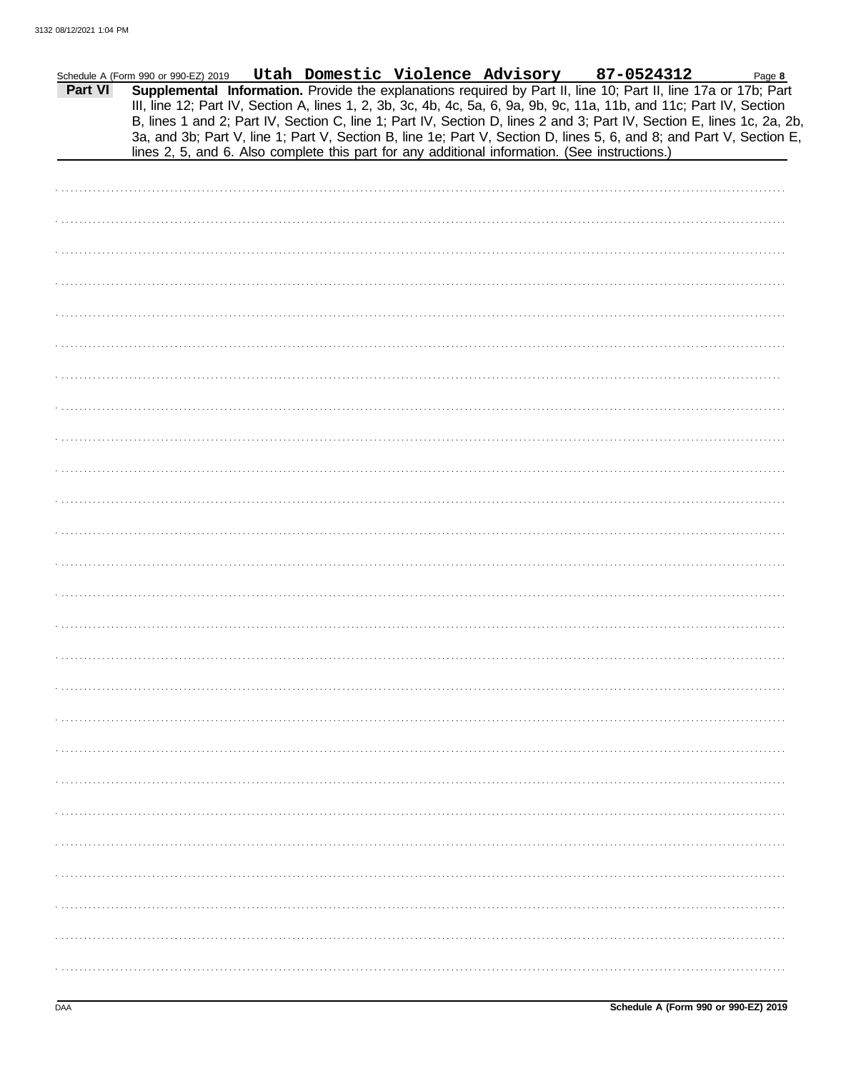|         | Schedule A (Form 990 or 990-EZ) 2019 |  | Utah Domestic Violence Advisory                                                                | 87-0524312                                                                                                                                                                                                                                     | Page 8 |
|---------|--------------------------------------|--|------------------------------------------------------------------------------------------------|------------------------------------------------------------------------------------------------------------------------------------------------------------------------------------------------------------------------------------------------|--------|
| Part VI |                                      |  |                                                                                                | Supplemental Information. Provide the explanations required by Part II, line 10; Part II, line 17a or 17b; Part                                                                                                                                |        |
|         |                                      |  |                                                                                                | III, line 12; Part IV, Section A, lines 1, 2, 3b, 3c, 4b, 4c, 5a, 6, 9a, 9b, 9c, 11a, 11b, and 11c; Part IV, Section<br>B, lines 1 and 2; Part IV, Section C, line 1; Part IV, Section D, lines 2 and 3; Part IV, Section E, lines 1c, 2a, 2b, |        |
|         |                                      |  |                                                                                                | 3a, and 3b; Part V, line 1; Part V, Section B, line 1e; Part V, Section D, lines 5, 6, and 8; and Part V, Section E,                                                                                                                           |        |
|         |                                      |  | lines 2, 5, and 6. Also complete this part for any additional information. (See instructions.) |                                                                                                                                                                                                                                                |        |
|         |                                      |  |                                                                                                |                                                                                                                                                                                                                                                |        |
|         |                                      |  |                                                                                                |                                                                                                                                                                                                                                                |        |
|         |                                      |  |                                                                                                |                                                                                                                                                                                                                                                |        |
|         |                                      |  |                                                                                                |                                                                                                                                                                                                                                                |        |
|         |                                      |  |                                                                                                |                                                                                                                                                                                                                                                |        |
|         |                                      |  |                                                                                                |                                                                                                                                                                                                                                                |        |
|         |                                      |  |                                                                                                |                                                                                                                                                                                                                                                |        |
|         |                                      |  |                                                                                                |                                                                                                                                                                                                                                                |        |
|         |                                      |  |                                                                                                |                                                                                                                                                                                                                                                |        |
|         |                                      |  |                                                                                                |                                                                                                                                                                                                                                                |        |
|         |                                      |  |                                                                                                |                                                                                                                                                                                                                                                |        |
|         |                                      |  |                                                                                                |                                                                                                                                                                                                                                                |        |
|         |                                      |  |                                                                                                |                                                                                                                                                                                                                                                |        |
|         |                                      |  |                                                                                                |                                                                                                                                                                                                                                                |        |
|         |                                      |  |                                                                                                |                                                                                                                                                                                                                                                |        |
|         |                                      |  |                                                                                                |                                                                                                                                                                                                                                                |        |
|         |                                      |  |                                                                                                |                                                                                                                                                                                                                                                |        |
|         |                                      |  |                                                                                                |                                                                                                                                                                                                                                                |        |
|         |                                      |  |                                                                                                |                                                                                                                                                                                                                                                |        |
|         |                                      |  |                                                                                                |                                                                                                                                                                                                                                                |        |
|         |                                      |  |                                                                                                |                                                                                                                                                                                                                                                |        |
|         |                                      |  |                                                                                                |                                                                                                                                                                                                                                                |        |
|         |                                      |  |                                                                                                |                                                                                                                                                                                                                                                |        |
|         |                                      |  |                                                                                                |                                                                                                                                                                                                                                                |        |
|         |                                      |  |                                                                                                |                                                                                                                                                                                                                                                |        |
|         |                                      |  |                                                                                                |                                                                                                                                                                                                                                                |        |
|         |                                      |  |                                                                                                |                                                                                                                                                                                                                                                |        |
|         |                                      |  |                                                                                                |                                                                                                                                                                                                                                                |        |
|         |                                      |  |                                                                                                |                                                                                                                                                                                                                                                |        |
|         |                                      |  |                                                                                                |                                                                                                                                                                                                                                                |        |
|         |                                      |  |                                                                                                |                                                                                                                                                                                                                                                |        |
|         |                                      |  |                                                                                                |                                                                                                                                                                                                                                                |        |
|         |                                      |  |                                                                                                |                                                                                                                                                                                                                                                |        |
|         |                                      |  |                                                                                                |                                                                                                                                                                                                                                                |        |
|         |                                      |  |                                                                                                |                                                                                                                                                                                                                                                |        |
|         |                                      |  |                                                                                                |                                                                                                                                                                                                                                                |        |
|         |                                      |  |                                                                                                |                                                                                                                                                                                                                                                |        |
|         |                                      |  |                                                                                                |                                                                                                                                                                                                                                                |        |
|         |                                      |  |                                                                                                |                                                                                                                                                                                                                                                |        |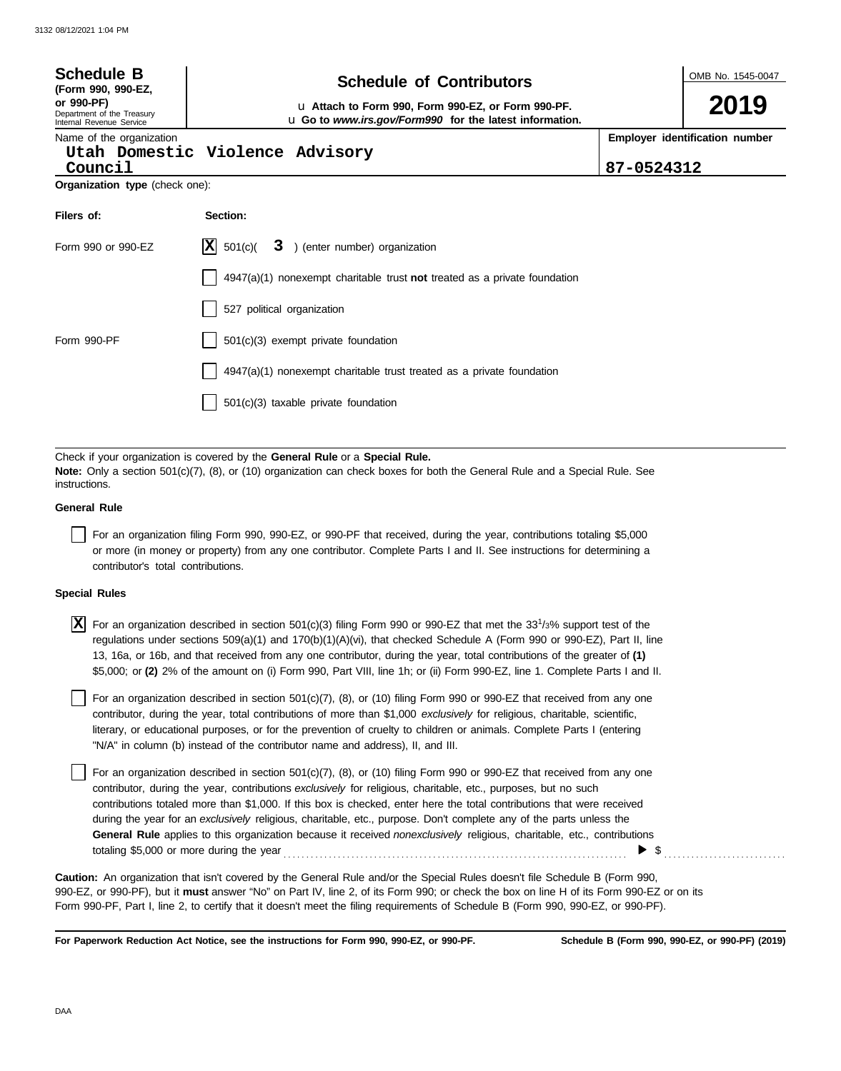| <b>Schedule B</b>                                              | <b>Schedule of Contributors</b>                                                                                                                                                                                                                                                                                                                                                                                                                                                                                                                                                                                          |            | OMB No. 1545-0047              |  |  |  |  |
|----------------------------------------------------------------|--------------------------------------------------------------------------------------------------------------------------------------------------------------------------------------------------------------------------------------------------------------------------------------------------------------------------------------------------------------------------------------------------------------------------------------------------------------------------------------------------------------------------------------------------------------------------------------------------------------------------|------------|--------------------------------|--|--|--|--|
| (Form 990, 990-EZ,<br>or 990-PF)<br>Department of the Treasury | U Attach to Form 990, Form 990-EZ, or Form 990-PF.<br>L Go to www.irs.gov/Form990 for the latest information.                                                                                                                                                                                                                                                                                                                                                                                                                                                                                                            |            |                                |  |  |  |  |
| Internal Revenue Service<br>Name of the organization           | Utah Domestic Violence Advisory                                                                                                                                                                                                                                                                                                                                                                                                                                                                                                                                                                                          |            | Employer identification number |  |  |  |  |
| Council<br>Organization type (check one):                      |                                                                                                                                                                                                                                                                                                                                                                                                                                                                                                                                                                                                                          | 87-0524312 |                                |  |  |  |  |
| Filers of:                                                     | Section:                                                                                                                                                                                                                                                                                                                                                                                                                                                                                                                                                                                                                 |            |                                |  |  |  |  |
|                                                                |                                                                                                                                                                                                                                                                                                                                                                                                                                                                                                                                                                                                                          |            |                                |  |  |  |  |
| Form 990 or 990-EZ                                             | $ \mathbf{X} $ 501(c)(<br>3 ) (enter number) organization                                                                                                                                                                                                                                                                                                                                                                                                                                                                                                                                                                |            |                                |  |  |  |  |
|                                                                | $4947(a)(1)$ nonexempt charitable trust not treated as a private foundation                                                                                                                                                                                                                                                                                                                                                                                                                                                                                                                                              |            |                                |  |  |  |  |
|                                                                | 527 political organization                                                                                                                                                                                                                                                                                                                                                                                                                                                                                                                                                                                               |            |                                |  |  |  |  |
| Form 990-PF                                                    | 501(c)(3) exempt private foundation                                                                                                                                                                                                                                                                                                                                                                                                                                                                                                                                                                                      |            |                                |  |  |  |  |
|                                                                | 4947(a)(1) nonexempt charitable trust treated as a private foundation                                                                                                                                                                                                                                                                                                                                                                                                                                                                                                                                                    |            |                                |  |  |  |  |
|                                                                | 501(c)(3) taxable private foundation                                                                                                                                                                                                                                                                                                                                                                                                                                                                                                                                                                                     |            |                                |  |  |  |  |
|                                                                |                                                                                                                                                                                                                                                                                                                                                                                                                                                                                                                                                                                                                          |            |                                |  |  |  |  |
| instructions.                                                  | Check if your organization is covered by the General Rule or a Special Rule.<br>Note: Only a section 501(c)(7), (8), or (10) organization can check boxes for both the General Rule and a Special Rule. See                                                                                                                                                                                                                                                                                                                                                                                                              |            |                                |  |  |  |  |
| <b>General Rule</b>                                            |                                                                                                                                                                                                                                                                                                                                                                                                                                                                                                                                                                                                                          |            |                                |  |  |  |  |
| contributor's total contributions.                             | For an organization filing Form 990, 990-EZ, or 990-PF that received, during the year, contributions totaling \$5,000<br>or more (in money or property) from any one contributor. Complete Parts I and II. See instructions for determining a                                                                                                                                                                                                                                                                                                                                                                            |            |                                |  |  |  |  |
| <b>Special Rules</b>                                           |                                                                                                                                                                                                                                                                                                                                                                                                                                                                                                                                                                                                                          |            |                                |  |  |  |  |
| X                                                              | For an organization described in section 501(c)(3) filing Form 990 or 990-EZ that met the $33^{1/3\%}$ support test of the<br>regulations under sections 509(a)(1) and 170(b)(1)(A)(vi), that checked Schedule A (Form 990 or 990-EZ), Part II, line<br>13, 16a, or 16b, and that received from any one contributor, during the year, total contributions of the greater of (1)<br>\$5,000; or (2) 2% of the amount on (i) Form 990, Part VIII, line 1h; or (ii) Form 990-EZ, line 1. Complete Parts I and II.                                                                                                           |            |                                |  |  |  |  |
|                                                                | For an organization described in section 501(c)(7), (8), or (10) filing Form 990 or 990-EZ that received from any one<br>contributor, during the year, total contributions of more than \$1,000 exclusively for religious, charitable, scientific,<br>literary, or educational purposes, or for the prevention of cruelty to children or animals. Complete Parts I (entering<br>"N/A" in column (b) instead of the contributor name and address), II, and III.                                                                                                                                                           |            |                                |  |  |  |  |
|                                                                | For an organization described in section 501(c)(7), (8), or (10) filing Form 990 or 990-EZ that received from any one<br>contributor, during the year, contributions exclusively for religious, charitable, etc., purposes, but no such<br>contributions totaled more than \$1,000. If this box is checked, enter here the total contributions that were received<br>during the year for an exclusively religious, charitable, etc., purpose. Don't complete any of the parts unless the<br>General Rule applies to this organization because it received nonexclusively religious, charitable, etc., contributions<br>S |            |                                |  |  |  |  |

990-EZ, or 990-PF), but it **must** answer "No" on Part IV, line 2, of its Form 990; or check the box on line H of its Form 990-EZ or on its Form 990-PF, Part I, line 2, to certify that it doesn't meet the filing requirements of Schedule B (Form 990, 990-EZ, or 990-PF). **Caution:** An organization that isn't covered by the General Rule and/or the Special Rules doesn't file Schedule B (Form 990,

**For Paperwork Reduction Act Notice, see the instructions for Form 990, 990-EZ, or 990-PF.**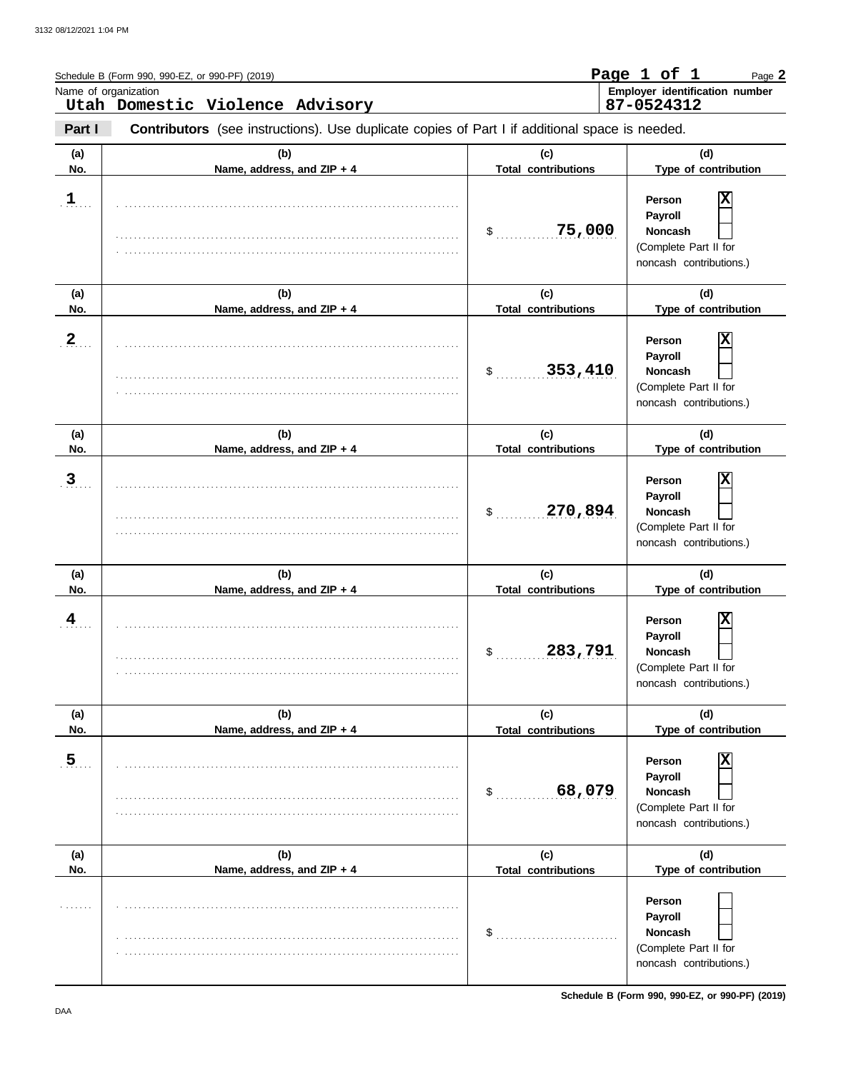|                | Schedule B (Form 990, 990-EZ, or 990-PF) (2019)                                                       |                                            | Page 1 of 1<br>Page 2<br>Employer identification number                                      |
|----------------|-------------------------------------------------------------------------------------------------------|--------------------------------------------|----------------------------------------------------------------------------------------------|
|                | Name of organization<br>Utah Domestic Violence Advisory                                               |                                            | 87-0524312                                                                                   |
| Part I         | <b>Contributors</b> (see instructions). Use duplicate copies of Part I if additional space is needed. |                                            |                                                                                              |
| (a)<br>No.     | (b)<br>Name, address, and ZIP + 4                                                                     | (c)<br><b>Total contributions</b>          | (d)<br>Type of contribution                                                                  |
| $\mathbf{1}$   |                                                                                                       | 75,000<br>\$                               | X<br>Person<br>Payroll<br><b>Noncash</b><br>(Complete Part II for<br>noncash contributions.) |
| (a)<br>No.     | (b)<br>Name, address, and ZIP + 4                                                                     | (c)<br><b>Total contributions</b>          | (d)<br>Type of contribution                                                                  |
| $\overline{2}$ |                                                                                                       | 353,410<br>$\mathfrak s$ and $\mathfrak s$ | Х<br>Person<br>Payroll<br><b>Noncash</b><br>(Complete Part II for<br>noncash contributions.) |
| (a)<br>No.     | (b)<br>Name, address, and ZIP + 4                                                                     | (c)<br><b>Total contributions</b>          | (d)<br>Type of contribution                                                                  |
| $\mathbf{3}$   |                                                                                                       | 270,894<br>\$                              | Χ<br>Person<br>Payroll<br><b>Noncash</b><br>(Complete Part II for<br>noncash contributions.) |
| (a)<br>No.     | (b)<br>Name, address, and ZIP + 4                                                                     | (c)<br><b>Total contributions</b>          | (d)<br>Type of contribution                                                                  |
| 4              |                                                                                                       | 283,791<br>\$                              | X<br>Person<br>Payroll<br>Noncash<br>(Complete Part II for<br>noncash contributions.)        |
| (a)<br>No.     | (b)<br>Name, address, and ZIP + 4                                                                     | (c)<br><b>Total contributions</b>          | (d)<br>Type of contribution                                                                  |
| 5 <sub>1</sub> |                                                                                                       | 68,079<br>\$                               | X<br>Person<br>Payroll<br>Noncash<br>(Complete Part II for<br>noncash contributions.)        |
| (a)<br>No.     | (b)<br>Name, address, and ZIP + 4                                                                     | (c)<br><b>Total contributions</b>          | (d)<br>Type of contribution                                                                  |
|                |                                                                                                       | \$                                         | Person<br>Payroll<br>Noncash<br>(Complete Part II for<br>noncash contributions.)             |

**Schedule B (Form 990, 990-EZ, or 990-PF) (2019)**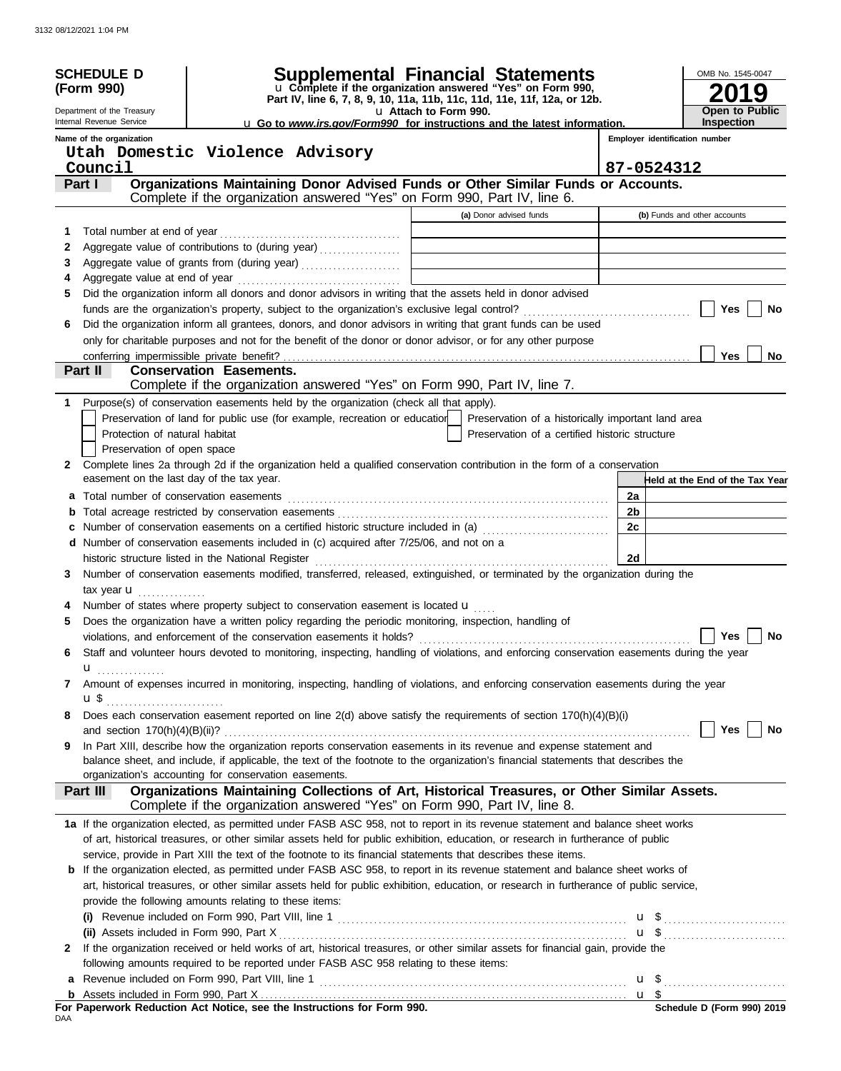|     | <b>SCHEDULE D</b><br>(Form 990)<br>Department of the Treasury<br>Internal Revenue Service | OMB No. 1545-0047<br>9<br>Part IV, line 6, 7, 8, 9, 10, 11a, 11b, 11c, 11d, 11e, 11f, 12a, or 12b.<br><b>Open to Public</b><br>Inspection                                                                                                                |                                                                                 |                |                                 |
|-----|-------------------------------------------------------------------------------------------|----------------------------------------------------------------------------------------------------------------------------------------------------------------------------------------------------------------------------------------------------------|---------------------------------------------------------------------------------|----------------|---------------------------------|
|     | Name of the organization                                                                  |                                                                                                                                                                                                                                                          | <b>u Go to</b> www.irs.gov/Form990 for instructions and the latest information. |                | Employer identification number  |
|     |                                                                                           | Utah Domestic Violence Advisory                                                                                                                                                                                                                          |                                                                                 |                |                                 |
|     | Council                                                                                   |                                                                                                                                                                                                                                                          |                                                                                 |                | 87-0524312                      |
|     | Part I                                                                                    | Organizations Maintaining Donor Advised Funds or Other Similar Funds or Accounts.                                                                                                                                                                        |                                                                                 |                |                                 |
|     |                                                                                           | Complete if the organization answered "Yes" on Form 990, Part IV, line 6.                                                                                                                                                                                |                                                                                 |                |                                 |
|     |                                                                                           |                                                                                                                                                                                                                                                          | (a) Donor advised funds                                                         |                | (b) Funds and other accounts    |
| 1   | Total number at end of year                                                               |                                                                                                                                                                                                                                                          |                                                                                 |                |                                 |
| 2   |                                                                                           | Aggregate value of contributions to (during year)                                                                                                                                                                                                        |                                                                                 |                |                                 |
| 3   |                                                                                           |                                                                                                                                                                                                                                                          |                                                                                 |                |                                 |
| 4   |                                                                                           |                                                                                                                                                                                                                                                          |                                                                                 |                |                                 |
| 5   |                                                                                           | Did the organization inform all donors and donor advisors in writing that the assets held in donor advised                                                                                                                                               |                                                                                 |                |                                 |
|     |                                                                                           |                                                                                                                                                                                                                                                          |                                                                                 |                | Yes<br><b>No</b>                |
| 6   |                                                                                           | Did the organization inform all grantees, donors, and donor advisors in writing that grant funds can be used                                                                                                                                             |                                                                                 |                |                                 |
|     |                                                                                           | only for charitable purposes and not for the benefit of the donor or donor advisor, or for any other purpose                                                                                                                                             |                                                                                 |                |                                 |
|     |                                                                                           |                                                                                                                                                                                                                                                          |                                                                                 |                | Yes<br>No                       |
|     | Part II                                                                                   | <b>Conservation Easements.</b><br>Complete if the organization answered "Yes" on Form 990, Part IV, line 7.                                                                                                                                              |                                                                                 |                |                                 |
|     |                                                                                           |                                                                                                                                                                                                                                                          |                                                                                 |                |                                 |
| 1   |                                                                                           | Purpose(s) of conservation easements held by the organization (check all that apply).<br>Preservation of land for public use (for example, recreation or education   Preservation of a historically important land area                                  |                                                                                 |                |                                 |
|     | Protection of natural habitat                                                             |                                                                                                                                                                                                                                                          | Preservation of a certified historic structure                                  |                |                                 |
|     | Preservation of open space                                                                |                                                                                                                                                                                                                                                          |                                                                                 |                |                                 |
| 2   |                                                                                           | Complete lines 2a through 2d if the organization held a qualified conservation contribution in the form of a conservation                                                                                                                                |                                                                                 |                |                                 |
|     | easement on the last day of the tax year.                                                 |                                                                                                                                                                                                                                                          |                                                                                 |                | Held at the End of the Tax Year |
|     |                                                                                           |                                                                                                                                                                                                                                                          |                                                                                 | 2a             |                                 |
| b   |                                                                                           |                                                                                                                                                                                                                                                          |                                                                                 | 2 <sub>b</sub> |                                 |
| C   |                                                                                           | Number of conservation easements on a certified historic structure included in (a) [11] Number of conservation easements on a certified historic structure included in (a)                                                                               |                                                                                 | 2c             |                                 |
| d   |                                                                                           | Number of conservation easements included in (c) acquired after 7/25/06, and not on a                                                                                                                                                                    |                                                                                 |                |                                 |
|     |                                                                                           | historic structure listed in the National Register                                                                                                                                                                                                       |                                                                                 | 2d             |                                 |
| 3   |                                                                                           | Number of conservation easements modified, transferred, released, extinguished, or terminated by the organization during the                                                                                                                             |                                                                                 |                |                                 |
|     | tax year $\mathbf u$                                                                      |                                                                                                                                                                                                                                                          |                                                                                 |                |                                 |
|     |                                                                                           | Number of states where property subject to conservation easement is located u                                                                                                                                                                            |                                                                                 |                |                                 |
| 5   |                                                                                           | Does the organization have a written policy regarding the periodic monitoring, inspection, handling of                                                                                                                                                   |                                                                                 |                |                                 |
|     |                                                                                           | violations, and enforcement of the conservation easements it holds? $\Box$                                                                                                                                                                               |                                                                                 |                | Yes     No                      |
| 6   |                                                                                           | Staff and volunteer hours devoted to monitoring, inspecting, handling of violations, and enforcing conservation easements during the year                                                                                                                |                                                                                 |                |                                 |
|     | <b>u</b>                                                                                  |                                                                                                                                                                                                                                                          |                                                                                 |                |                                 |
| 7   |                                                                                           | Amount of expenses incurred in monitoring, inspecting, handling of violations, and enforcing conservation easements during the year                                                                                                                      |                                                                                 |                |                                 |
|     | $u$ \$                                                                                    |                                                                                                                                                                                                                                                          |                                                                                 |                |                                 |
| 8   |                                                                                           | Does each conservation easement reported on line 2(d) above satisfy the requirements of section 170(h)(4)(B)(i)                                                                                                                                          |                                                                                 |                |                                 |
|     |                                                                                           |                                                                                                                                                                                                                                                          |                                                                                 |                | Yes<br>No                       |
| 9   |                                                                                           | In Part XIII, describe how the organization reports conservation easements in its revenue and expense statement and<br>balance sheet, and include, if applicable, the text of the footnote to the organization's financial statements that describes the |                                                                                 |                |                                 |
|     |                                                                                           | organization's accounting for conservation easements.                                                                                                                                                                                                    |                                                                                 |                |                                 |
|     | Part III                                                                                  | Organizations Maintaining Collections of Art, Historical Treasures, or Other Similar Assets.                                                                                                                                                             |                                                                                 |                |                                 |
|     |                                                                                           | Complete if the organization answered "Yes" on Form 990, Part IV, line 8.                                                                                                                                                                                |                                                                                 |                |                                 |
|     |                                                                                           | 1a If the organization elected, as permitted under FASB ASC 958, not to report in its revenue statement and balance sheet works                                                                                                                          |                                                                                 |                |                                 |
|     |                                                                                           | of art, historical treasures, or other similar assets held for public exhibition, education, or research in furtherance of public                                                                                                                        |                                                                                 |                |                                 |
|     |                                                                                           | service, provide in Part XIII the text of the footnote to its financial statements that describes these items.                                                                                                                                           |                                                                                 |                |                                 |
|     |                                                                                           | b If the organization elected, as permitted under FASB ASC 958, to report in its revenue statement and balance sheet works of                                                                                                                            |                                                                                 |                |                                 |
|     |                                                                                           | art, historical treasures, or other similar assets held for public exhibition, education, or research in furtherance of public service,                                                                                                                  |                                                                                 |                |                                 |
|     |                                                                                           | provide the following amounts relating to these items:                                                                                                                                                                                                   |                                                                                 |                |                                 |
|     |                                                                                           |                                                                                                                                                                                                                                                          |                                                                                 |                | $\mathsf{u}$ \$                 |
|     |                                                                                           |                                                                                                                                                                                                                                                          |                                                                                 |                | $U$ \$                          |
| 2   |                                                                                           | If the organization received or held works of art, historical treasures, or other similar assets for financial gain, provide the                                                                                                                         |                                                                                 |                |                                 |
|     |                                                                                           | following amounts required to be reported under FASB ASC 958 relating to these items:                                                                                                                                                                    |                                                                                 |                |                                 |
|     |                                                                                           |                                                                                                                                                                                                                                                          |                                                                                 | u <sub>s</sub> |                                 |
|     |                                                                                           |                                                                                                                                                                                                                                                          |                                                                                 |                |                                 |
| DAA |                                                                                           | For Paperwork Reduction Act Notice, see the Instructions for Form 990.                                                                                                                                                                                   |                                                                                 |                | Schedule D (Form 990) 2019      |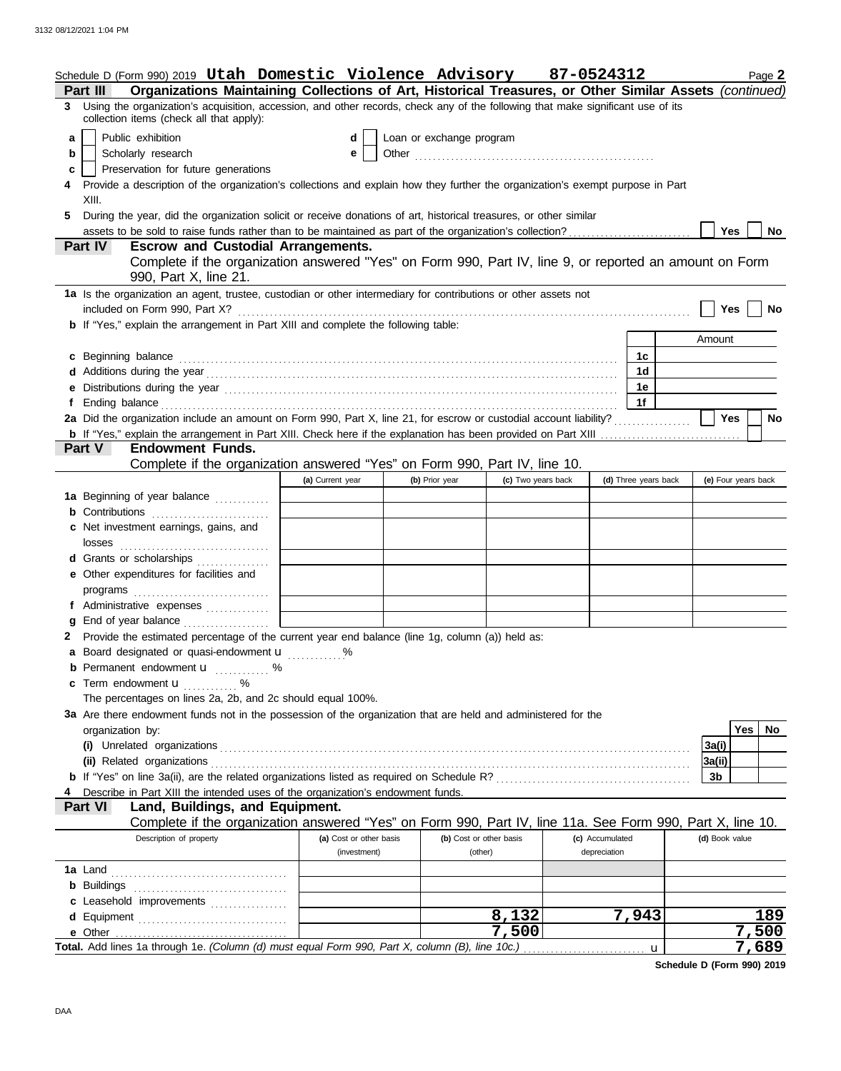| Schedule D (Form 990) 2019 Utah Domestic Violence Advisory 87-0524312                                                             |                                                                                                                                  |                         |                          |                         |                 |                      |                | Page 2              |
|-----------------------------------------------------------------------------------------------------------------------------------|----------------------------------------------------------------------------------------------------------------------------------|-------------------------|--------------------------|-------------------------|-----------------|----------------------|----------------|---------------------|
| Part III                                                                                                                          | Organizations Maintaining Collections of Art, Historical Treasures, or Other Similar Assets (continued)                          |                         |                          |                         |                 |                      |                |                     |
| 3 Using the organization's acquisition, accession, and other records, check any of the following that make significant use of its | collection items (check all that apply):                                                                                         |                         |                          |                         |                 |                      |                |                     |
| Public exhibition<br>a                                                                                                            |                                                                                                                                  | d                       | Loan or exchange program |                         |                 |                      |                |                     |
| Scholarly research<br>b                                                                                                           |                                                                                                                                  | е                       |                          |                         |                 |                      |                |                     |
| c                                                                                                                                 | Preservation for future generations                                                                                              |                         |                          |                         |                 |                      |                |                     |
|                                                                                                                                   | Provide a description of the organization's collections and explain how they further the organization's exempt purpose in Part   |                         |                          |                         |                 |                      |                |                     |
| XIII.                                                                                                                             |                                                                                                                                  |                         |                          |                         |                 |                      |                |                     |
| 5.                                                                                                                                | During the year, did the organization solicit or receive donations of art, historical treasures, or other similar                |                         |                          |                         |                 |                      |                |                     |
|                                                                                                                                   |                                                                                                                                  |                         |                          |                         |                 |                      | Yes            | No                  |
| Part IV                                                                                                                           | <b>Escrow and Custodial Arrangements.</b>                                                                                        |                         |                          |                         |                 |                      |                |                     |
|                                                                                                                                   | Complete if the organization answered "Yes" on Form 990, Part IV, line 9, or reported an amount on Form<br>990, Part X, line 21. |                         |                          |                         |                 |                      |                |                     |
| 1a Is the organization an agent, trustee, custodian or other intermediary for contributions or other assets not                   |                                                                                                                                  |                         |                          |                         |                 |                      |                |                     |
| included on Form 990, Part X?                                                                                                     |                                                                                                                                  |                         |                          |                         |                 |                      | Yes            | No                  |
|                                                                                                                                   | b If "Yes," explain the arrangement in Part XIII and complete the following table:                                               |                         |                          |                         |                 |                      |                |                     |
|                                                                                                                                   |                                                                                                                                  |                         |                          |                         |                 |                      | Amount         |                     |
| c Beginning balance                                                                                                               |                                                                                                                                  |                         |                          |                         |                 | 1c                   |                |                     |
|                                                                                                                                   |                                                                                                                                  |                         |                          |                         |                 | 1d                   |                |                     |
| е                                                                                                                                 |                                                                                                                                  |                         |                          |                         |                 | 1е                   |                |                     |
| f                                                                                                                                 |                                                                                                                                  |                         |                          |                         |                 | 1f                   |                |                     |
| 2a Did the organization include an amount on Form 990, Part X, line 21, for escrow or custodial account liability?                |                                                                                                                                  |                         |                          |                         |                 |                      | Yes            | <b>No</b>           |
|                                                                                                                                   |                                                                                                                                  |                         |                          |                         |                 |                      |                |                     |
| Part V                                                                                                                            | <b>Endowment Funds.</b>                                                                                                          |                         |                          |                         |                 |                      |                |                     |
|                                                                                                                                   | Complete if the organization answered "Yes" on Form 990, Part IV, line 10.                                                       |                         |                          |                         |                 |                      |                |                     |
|                                                                                                                                   |                                                                                                                                  | (a) Current year        | (b) Prior year           | (c) Two years back      |                 | (d) Three years back |                | (e) Four years back |
| 1a Beginning of year balance                                                                                                      |                                                                                                                                  |                         |                          |                         |                 |                      |                |                     |
| <b>b</b> Contributions                                                                                                            |                                                                                                                                  |                         |                          |                         |                 |                      |                |                     |
| c Net investment earnings, gains, and                                                                                             |                                                                                                                                  |                         |                          |                         |                 |                      |                |                     |
| losses                                                                                                                            |                                                                                                                                  |                         |                          |                         |                 |                      |                |                     |
| d Grants or scholarships                                                                                                          |                                                                                                                                  |                         |                          |                         |                 |                      |                |                     |
| e Other expenditures for facilities and                                                                                           |                                                                                                                                  |                         |                          |                         |                 |                      |                |                     |
|                                                                                                                                   |                                                                                                                                  |                         |                          |                         |                 |                      |                |                     |
| f Administrative expenses                                                                                                         |                                                                                                                                  |                         |                          |                         |                 |                      |                |                     |
| g                                                                                                                                 |                                                                                                                                  |                         |                          |                         |                 |                      |                |                     |
| 2 Provide the estimated percentage of the current year end balance (line 1g, column (a)) held as:                                 |                                                                                                                                  |                         |                          |                         |                 |                      |                |                     |
|                                                                                                                                   | a Board designated or quasi-endowment <b>u</b>                                                                                   | $\%$                    |                          |                         |                 |                      |                |                     |
|                                                                                                                                   | Permanent endowment <b>u</b> %                                                                                                   |                         |                          |                         |                 |                      |                |                     |
| Term endowment <b>u</b><br>c                                                                                                      | an<br>Andreas<br>$\%$                                                                                                            |                         |                          |                         |                 |                      |                |                     |
|                                                                                                                                   | The percentages on lines 2a, 2b, and 2c should equal 100%.                                                                       |                         |                          |                         |                 |                      |                |                     |
| 3a Are there endowment funds not in the possession of the organization that are held and administered for the                     |                                                                                                                                  |                         |                          |                         |                 |                      |                |                     |
| organization by:                                                                                                                  |                                                                                                                                  |                         |                          |                         |                 |                      |                | <b>Yes</b><br>No    |
|                                                                                                                                   |                                                                                                                                  |                         |                          |                         |                 |                      | 3a(i)          |                     |
| (ii) Related organizations                                                                                                        |                                                                                                                                  |                         |                          |                         |                 |                      | 3a(ii)         |                     |
|                                                                                                                                   |                                                                                                                                  |                         |                          |                         |                 |                      | 3b             |                     |
|                                                                                                                                   | Describe in Part XIII the intended uses of the organization's endowment funds.                                                   |                         |                          |                         |                 |                      |                |                     |
| <b>Part VI</b>                                                                                                                    | Land, Buildings, and Equipment.                                                                                                  |                         |                          |                         |                 |                      |                |                     |
|                                                                                                                                   | Complete if the organization answered "Yes" on Form 990, Part IV, line 11a. See Form 990, Part X, line 10.                       |                         |                          |                         |                 |                      |                |                     |
|                                                                                                                                   | Description of property                                                                                                          | (a) Cost or other basis |                          | (b) Cost or other basis | (c) Accumulated |                      | (d) Book value |                     |
|                                                                                                                                   |                                                                                                                                  | (investment)            |                          | (other)                 | depreciation    |                      |                |                     |
|                                                                                                                                   |                                                                                                                                  |                         |                          |                         |                 |                      |                |                     |
|                                                                                                                                   |                                                                                                                                  |                         |                          |                         |                 |                      |                |                     |
|                                                                                                                                   | Leasehold improvements                                                                                                           |                         |                          |                         |                 |                      |                |                     |
|                                                                                                                                   |                                                                                                                                  |                         |                          | 8,132                   |                 | 7,943                |                | 189                 |
|                                                                                                                                   |                                                                                                                                  |                         |                          | 7,500                   |                 |                      |                | 7,500               |
|                                                                                                                                   |                                                                                                                                  |                         |                          |                         |                 | u                    |                | 7,689               |

**Schedule D (Form 990) 2019**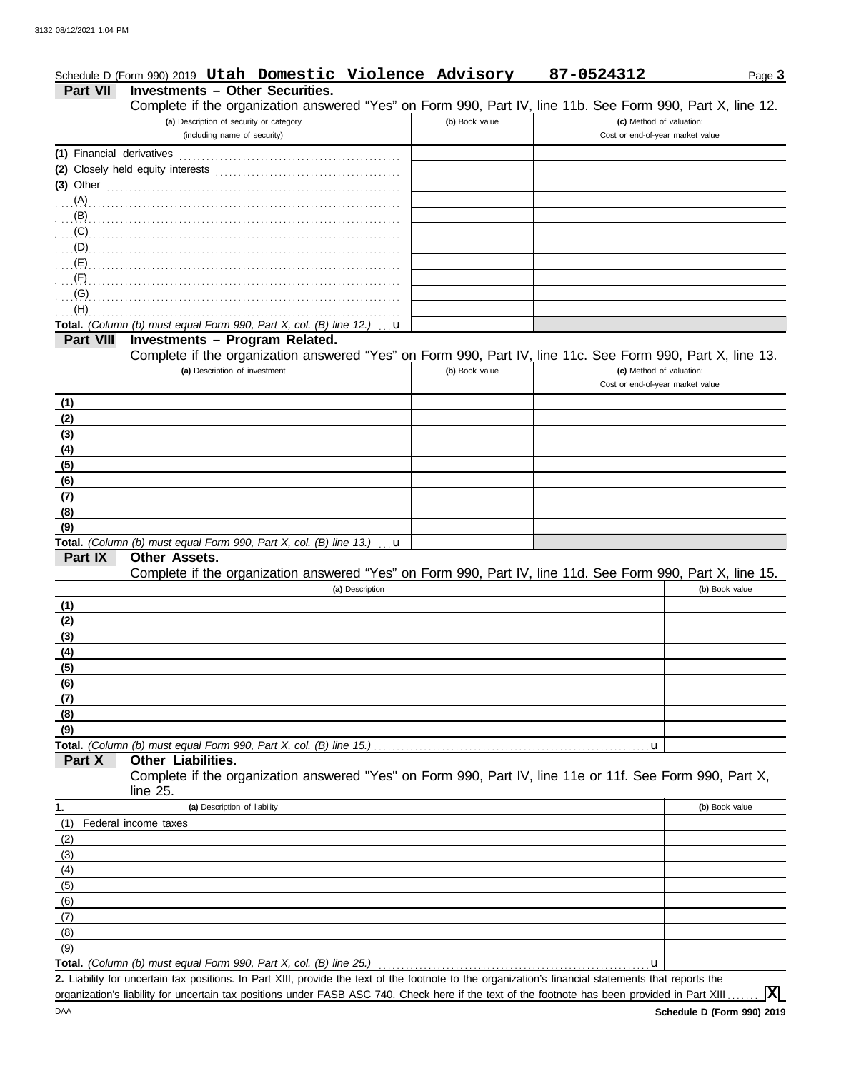|                                                                              | Schedule D (Form 990) 2019 Utah Domestic Violence Advisory                                                 |                | 87-0524312                                                   | Page 3         |
|------------------------------------------------------------------------------|------------------------------------------------------------------------------------------------------------|----------------|--------------------------------------------------------------|----------------|
| Part VII                                                                     | <b>Investments - Other Securities.</b>                                                                     |                |                                                              |                |
|                                                                              | Complete if the organization answered "Yes" on Form 990, Part IV, line 11b. See Form 990, Part X, line 12. |                |                                                              |                |
|                                                                              | (a) Description of security or category<br>(including name of security)                                    | (b) Book value | (c) Method of valuation:<br>Cost or end-of-year market value |                |
|                                                                              |                                                                                                            |                |                                                              |                |
|                                                                              |                                                                                                            |                |                                                              |                |
|                                                                              |                                                                                                            |                |                                                              |                |
|                                                                              | $(3)$ Other                                                                                                |                |                                                              |                |
|                                                                              |                                                                                                            |                |                                                              |                |
|                                                                              |                                                                                                            |                |                                                              |                |
|                                                                              |                                                                                                            |                |                                                              |                |
|                                                                              |                                                                                                            |                |                                                              |                |
|                                                                              |                                                                                                            |                |                                                              |                |
| (F)                                                                          |                                                                                                            |                |                                                              |                |
| (G)                                                                          |                                                                                                            |                |                                                              |                |
| (H)                                                                          |                                                                                                            |                |                                                              |                |
| <b>Part VIII</b>                                                             | Total. (Column (b) must equal Form 990, Part X, col. (B) line 12.)<br>u<br>Investments - Program Related.  |                |                                                              |                |
|                                                                              | Complete if the organization answered "Yes" on Form 990, Part IV, line 11c. See Form 990, Part X, line 13. |                |                                                              |                |
|                                                                              | (a) Description of investment                                                                              |                |                                                              |                |
|                                                                              |                                                                                                            | (b) Book value | (c) Method of valuation:<br>Cost or end-of-year market value |                |
|                                                                              |                                                                                                            |                |                                                              |                |
| (1)                                                                          |                                                                                                            |                |                                                              |                |
| (2)                                                                          |                                                                                                            |                |                                                              |                |
| (3)                                                                          |                                                                                                            |                |                                                              |                |
| (4)                                                                          |                                                                                                            |                |                                                              |                |
| (5)                                                                          |                                                                                                            |                |                                                              |                |
| (6)                                                                          |                                                                                                            |                |                                                              |                |
| (7)                                                                          |                                                                                                            |                |                                                              |                |
| (8)                                                                          |                                                                                                            |                |                                                              |                |
| (9)                                                                          |                                                                                                            |                |                                                              |                |
| Part IX                                                                      | Total. (Column (b) must equal Form 990, Part X, col. (B) line 13.)<br>u<br><b>Other Assets.</b>            |                |                                                              |                |
|                                                                              | Complete if the organization answered "Yes" on Form 990, Part IV, line 11d. See Form 990, Part X, line 15. |                |                                                              |                |
|                                                                              |                                                                                                            |                |                                                              | (b) Book value |
|                                                                              | (a) Description                                                                                            |                |                                                              |                |
| (1)                                                                          |                                                                                                            |                |                                                              |                |
|                                                                              |                                                                                                            |                |                                                              |                |
|                                                                              |                                                                                                            |                |                                                              |                |
|                                                                              |                                                                                                            |                |                                                              |                |
| $\begin{array}{c} (2) \\ (3) \\ (4) \\ (5) \\ (6) \\ (7) \\ (8) \end{array}$ |                                                                                                            |                |                                                              |                |
|                                                                              |                                                                                                            |                |                                                              |                |
|                                                                              |                                                                                                            |                |                                                              |                |
| (9)                                                                          |                                                                                                            |                |                                                              |                |
|                                                                              |                                                                                                            |                |                                                              |                |

**Total.** *(Column (b) must equal Form 990, Part X, col. (B) line 15.)* . . . . . . . . . . . . . . . . . . . . . . . . . . . . . . . . . . . . . . . . . . . . . . . . . . . . . . . . . . . . .u

#### **Part X Other Liabilities.**

Complete if the organization answered "Yes" on Form 990, Part IV, line 11e or 11f. See Form 990, Part X, line  $25$ .

|     | (a) Description of liability                                            | (b) Book value |
|-----|-------------------------------------------------------------------------|----------------|
|     | (1) Federal income taxes                                                |                |
| (2) |                                                                         |                |
| (3) |                                                                         |                |
| (4) |                                                                         |                |
| (5) |                                                                         |                |
| (6) |                                                                         |                |
| (7) |                                                                         |                |
| (8) |                                                                         |                |
| (9) |                                                                         |                |
|     | Total. (Column (b) must equal Form 990, Part X, col. (B) line 25.)<br>u |                |

Liability for uncertain tax positions. In Part XIII, provide the text of the footnote to the organization's financial statements that reports the **2.**

organization's liability for uncertain tax positions under FASB ASC 740. Check here if the text of the footnote has been provided in Part XIII.

**X**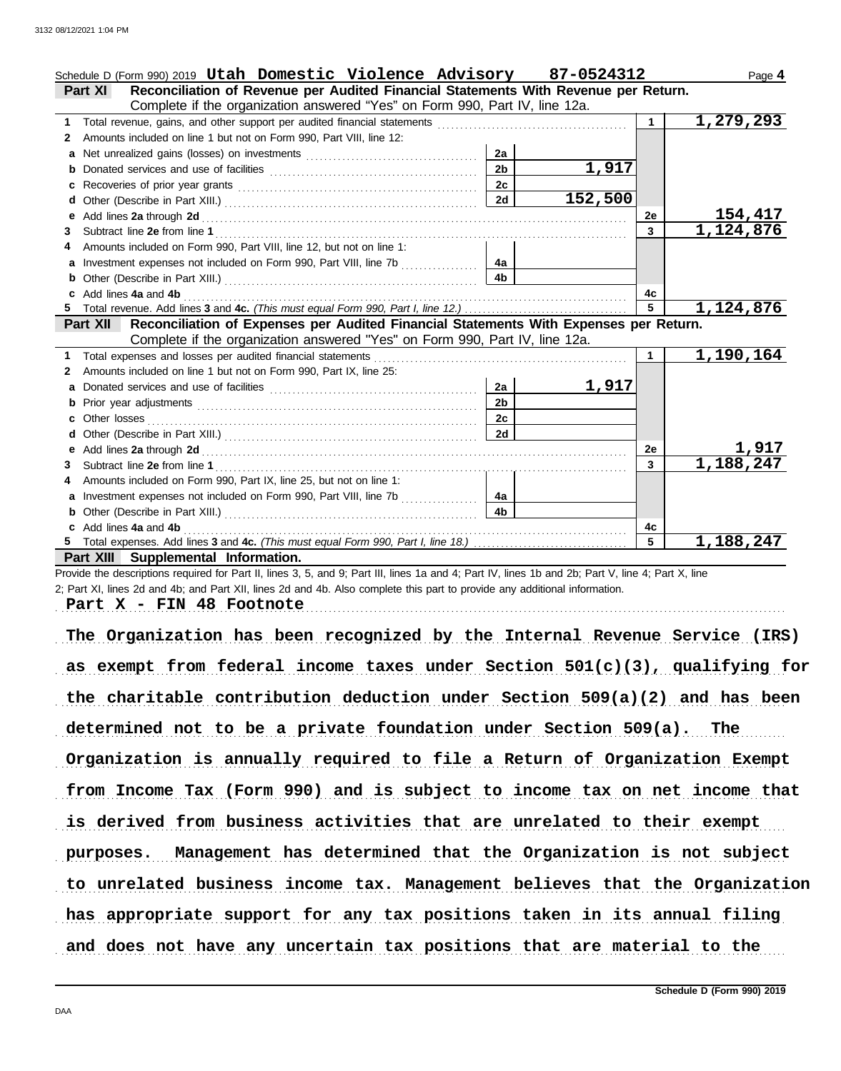|              | Schedule D (Form 990) 2019 Utah Domestic Violence Advisory 87-0524312                                                                                                                                                          |                |              |                 | Page 4                 |
|--------------|--------------------------------------------------------------------------------------------------------------------------------------------------------------------------------------------------------------------------------|----------------|--------------|-----------------|------------------------|
|              | Reconciliation of Revenue per Audited Financial Statements With Revenue per Return.<br><b>Part XI</b>                                                                                                                          |                |              |                 |                        |
|              | Complete if the organization answered "Yes" on Form 990, Part IV, line 12a.                                                                                                                                                    |                |              |                 |                        |
| 1.           |                                                                                                                                                                                                                                |                |              | $\mathbf{1}$    | 1,279,293              |
| $\mathbf{2}$ | Amounts included on line 1 but not on Form 990, Part VIII, line 12:                                                                                                                                                            |                |              |                 |                        |
| a            |                                                                                                                                                                                                                                | 2a             |              |                 |                        |
| b            |                                                                                                                                                                                                                                | 2 <sub>b</sub> | 1,917        |                 |                        |
| c            |                                                                                                                                                                                                                                | 2c             |              |                 |                        |
| d            |                                                                                                                                                                                                                                | 2d             | 152,500      |                 |                        |
| е            |                                                                                                                                                                                                                                |                |              | 2e              | 154,417                |
| 3            |                                                                                                                                                                                                                                |                |              | $\overline{3}$  | $\overline{1,124,876}$ |
|              | Amounts included on Form 990, Part VIII, line 12, but not on line 1:                                                                                                                                                           |                |              |                 |                        |
| a            | Investment expenses not included on Form 990, Part VIII, line 7b                                                                                                                                                               | 4a             |              |                 |                        |
| b            |                                                                                                                                                                                                                                | 4 <sub>b</sub> |              |                 |                        |
| c            | Add lines 4a and 4b                                                                                                                                                                                                            |                |              | 4c              |                        |
| 5.           |                                                                                                                                                                                                                                |                |              | $5\phantom{.0}$ | 1,124,876              |
|              | Reconciliation of Expenses per Audited Financial Statements With Expenses per Return.<br>Part XII                                                                                                                              |                |              |                 |                        |
|              | Complete if the organization answered "Yes" on Form 990, Part IV, line 12a.                                                                                                                                                    |                |              |                 |                        |
| 1            | Total expenses and losses per audited financial statements                                                                                                                                                                     |                |              |                 | 1,190,164              |
| 2            | Amounts included on line 1 but not on Form 990, Part IX, line 25:                                                                                                                                                              |                |              |                 |                        |
| a            |                                                                                                                                                                                                                                | 2a             | <u>1,917</u> |                 |                        |
| b            | Prior year adjustments with the control of the control of the control of the control of the control of the control of the control of the control of the control of the control of the control of the control of the control of | 2 <sub>b</sub> |              |                 |                        |
|              | Other losses                                                                                                                                                                                                                   | 2c             |              |                 |                        |
| d            |                                                                                                                                                                                                                                | 2d             |              |                 |                        |
| е            |                                                                                                                                                                                                                                |                |              | 2e              | 1,917                  |
| 3            |                                                                                                                                                                                                                                |                |              | $\mathbf{3}$    | 1,188,247              |
|              | Amounts included on Form 990, Part IX, line 25, but not on line 1:                                                                                                                                                             |                |              |                 |                        |
| a            | Investment expenses not included on Form 990, Part VIII, line 7b                                                                                                                                                               | 4a             |              |                 |                        |
| b            |                                                                                                                                                                                                                                | 4 <b>b</b>     |              |                 |                        |
|              | Add lines 4a and 4b                                                                                                                                                                                                            |                |              | 4c              |                        |
| 5.           |                                                                                                                                                                                                                                |                |              | 5               | 1,188,247              |
|              | Part XIII Supplemental Information.                                                                                                                                                                                            |                |              |                 |                        |

Provide the descriptions required for Part II, lines 3, 5, and 9; Part III, lines 1a and 4; Part IV, lines 1b and 2b; Part V, line 4; Part X, line 2; Part XI, lines 2d and 4b; and Part XII, lines 2d and 4b. Also complete this part to provide any additional information.

**Part X - FIN 48 Footnote**

The Organization has been recognized by the Internal Revenue Service (IRS) as exempt from federal income taxes under Section 501(c)(3), qualifying for the charitable contribution deduction under Section 509(a)(2) and has been determined not to be a private foundation under Section 509(a). The Organization is annually required to file a Return of Organization Exempt from Income Tax (Form 990) and is subject to income tax on net income that to unrelated business income tax. Management believes that the Organization is derived from business activities that are unrelated to their exempt purposes. Management has determined that the Organization is not subject has appropriate support for any tax positions taken in its annual filing and does not have any uncertain tax positions that are material to the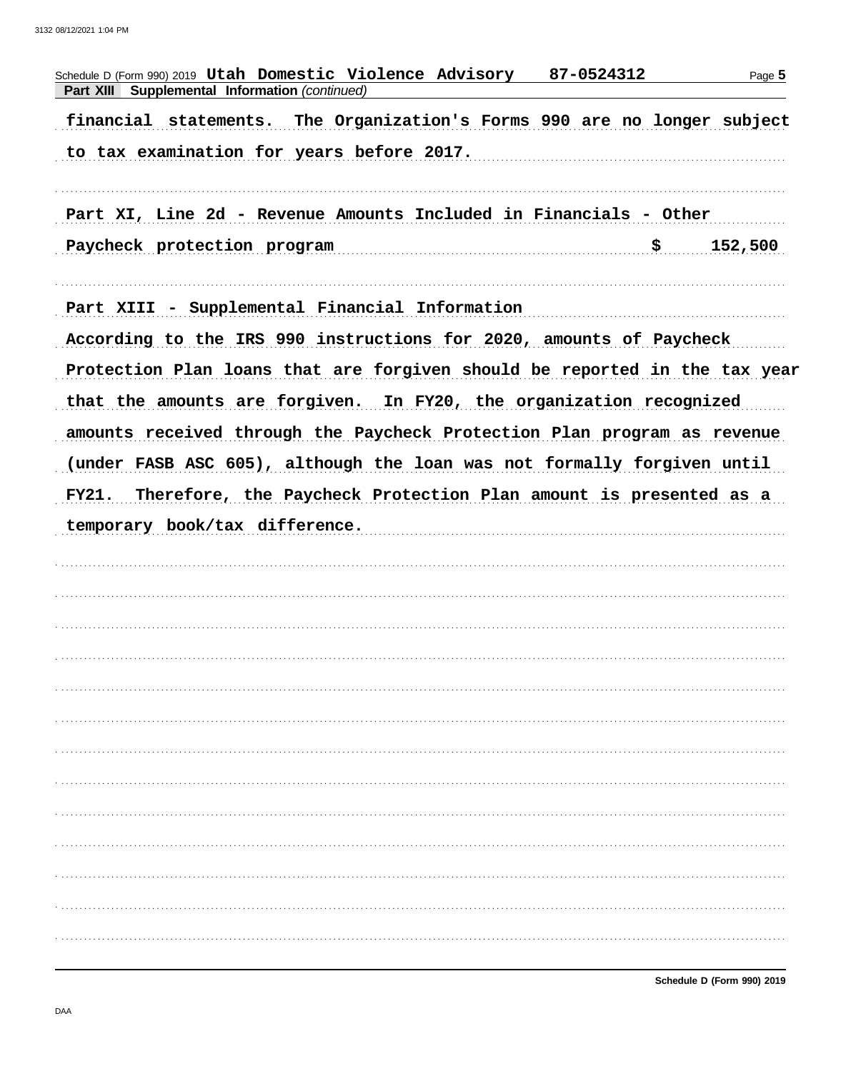| Schedule D (Form 990) 2019 Utah Domestic Violence Advisory                       | 87-0524312<br>Page 5 |
|----------------------------------------------------------------------------------|----------------------|
| Supplemental Information (continued)<br>Part XIII                                |                      |
| financial statements. The Organization's Forms 990 are no longer subject         |                      |
| to tax examination for years before 2017.                                        |                      |
|                                                                                  |                      |
| Part XI, Line 2d - Revenue Amounts Included in Financials - Other                |                      |
|                                                                                  |                      |
| Paycheck protection program                                                      | 152,500<br>. \$      |
|                                                                                  |                      |
| Part XIII - Supplemental Financial Information                                   |                      |
| According to the IRS 990 instructions for 2020, amounts of Paycheck              |                      |
| Protection Plan loans that are forgiven should be reported in the tax year       |                      |
| that the amounts are forgiven. In FY20, the organization recognized              |                      |
|                                                                                  |                      |
| amounts received through the Paycheck Protection Plan program as revenue         |                      |
| (under FASB ASC 605), although the loan was not formally forgiven until          |                      |
| Therefore, the Paycheck Protection Plan amount is presented as a<br><b>FY21.</b> |                      |
| temporary book/tax difference.                                                   |                      |
|                                                                                  |                      |
|                                                                                  |                      |
|                                                                                  |                      |
|                                                                                  |                      |
|                                                                                  |                      |
|                                                                                  |                      |
|                                                                                  |                      |
|                                                                                  |                      |
|                                                                                  |                      |
|                                                                                  |                      |
|                                                                                  |                      |
|                                                                                  |                      |
|                                                                                  |                      |
|                                                                                  |                      |
|                                                                                  |                      |
|                                                                                  |                      |
|                                                                                  |                      |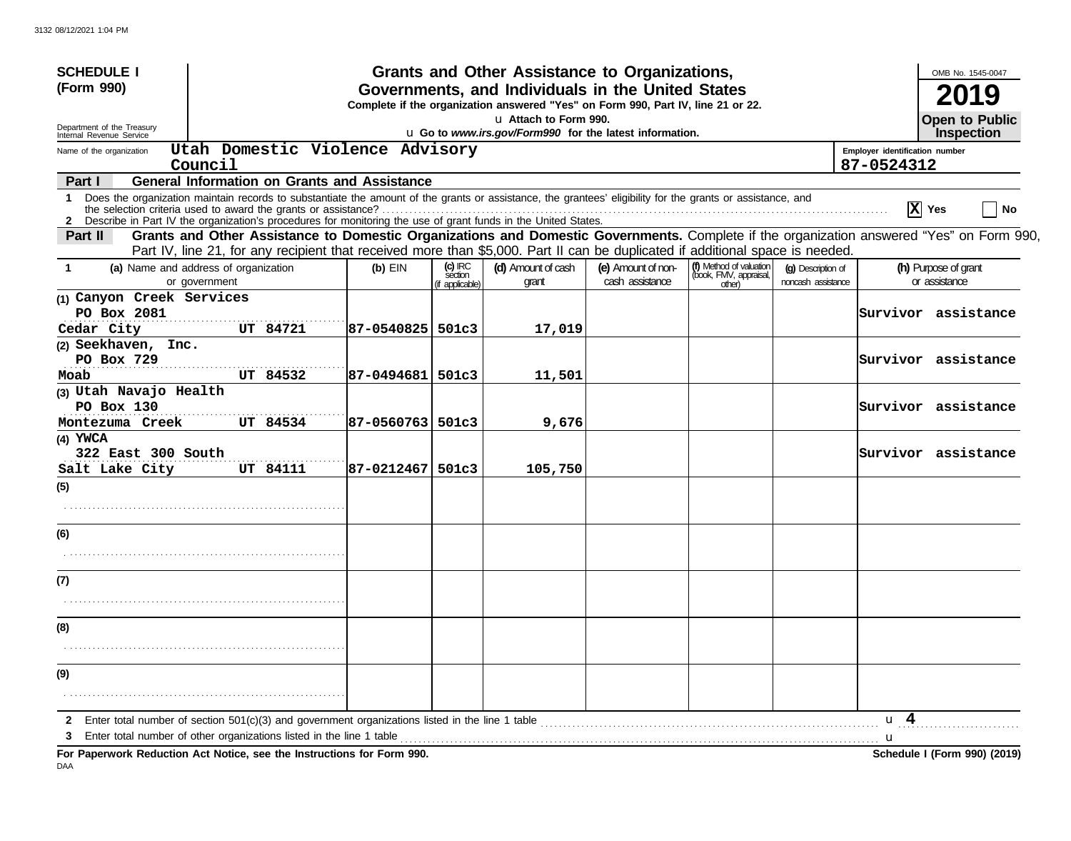| <b>SCHEDULE I</b>                         |                                                                                                                                                                                                                                                                               |                  |                                       | Grants and Other Assistance to Organizations,           |                                       |                                                             |                                          |                                              | OMB No. 1545-0047                     |
|-------------------------------------------|-------------------------------------------------------------------------------------------------------------------------------------------------------------------------------------------------------------------------------------------------------------------------------|------------------|---------------------------------------|---------------------------------------------------------|---------------------------------------|-------------------------------------------------------------|------------------------------------------|----------------------------------------------|---------------------------------------|
| (Form 990)                                | Governments, and Individuals in the United States<br>Complete if the organization answered "Yes" on Form 990, Part IV, line 21 or 22.                                                                                                                                         |                  |                                       |                                                         |                                       |                                                             |                                          |                                              |                                       |
| Department of the Treasury                |                                                                                                                                                                                                                                                                               |                  |                                       | La Attach to Form 990.                                  |                                       |                                                             |                                          |                                              | <b>Open to Public</b>                 |
| Internal Revenue Service                  |                                                                                                                                                                                                                                                                               |                  |                                       | u Go to www.irs.gov/Form990 for the latest information. |                                       |                                                             |                                          |                                              | Inspection                            |
| Name of the organization                  | Utah Domestic Violence Advisory<br>Council                                                                                                                                                                                                                                    |                  |                                       |                                                         |                                       |                                                             |                                          | Employer identification number<br>87-0524312 |                                       |
| Part I                                    | <b>General Information on Grants and Assistance</b>                                                                                                                                                                                                                           |                  |                                       |                                                         |                                       |                                                             |                                          |                                              |                                       |
| $\mathbf 1$                               | Does the organization maintain records to substantiate the amount of the grants or assistance, the grantees' eligibility for the grants or assistance, and<br>2 Describe in Part IV the organization's procedures for monitoring the use of grant funds in the United States. |                  |                                       |                                                         |                                       |                                                             |                                          |                                              | $ \mathbf{X} $ Yes<br>No              |
| Part II                                   | Grants and Other Assistance to Domestic Organizations and Domestic Governments. Complete if the organization answered "Yes" on Form 990,<br>Part IV, line 21, for any recipient that received more than \$5,000. Part II can be duplicated if additional space is needed.     |                  |                                       |                                                         |                                       |                                                             |                                          |                                              |                                       |
|                                           | (a) Name and address of organization<br>or government                                                                                                                                                                                                                         | $(b)$ EIN        | (c) IRC<br>section<br>(if applicable) | (d) Amount of cash<br>grant                             | (e) Amount of non-<br>cash assistance | (f) Method of valuation<br>(book, FMV, appraisal,<br>other) | (g) Description of<br>noncash assistance |                                              | (h) Purpose of grant<br>or assistance |
| (1) Canyon Creek Services<br>PO Box 2081  |                                                                                                                                                                                                                                                                               |                  |                                       |                                                         |                                       |                                                             |                                          |                                              | Survivor assistance                   |
| Cedar City                                | UT 84721                                                                                                                                                                                                                                                                      | 87-0540825 501c3 |                                       | 17,019                                                  |                                       |                                                             |                                          |                                              |                                       |
| (2) Seekhaven, Inc.<br>PO Box 729<br>Moab | UT 84532                                                                                                                                                                                                                                                                      | 87-0494681       | 501c3                                 | 11,501                                                  |                                       |                                                             |                                          |                                              | Survivor assistance                   |
| (3) Utah Navajo Health                    |                                                                                                                                                                                                                                                                               |                  |                                       |                                                         |                                       |                                                             |                                          |                                              |                                       |
| PO Box 130<br>Montezuma Creek             | UT 84534                                                                                                                                                                                                                                                                      | 87-0560763 501c3 |                                       | 9,676                                                   |                                       |                                                             |                                          |                                              | Survivor assistance                   |
| $(4)$ YWCA<br>322 East 300 South          |                                                                                                                                                                                                                                                                               |                  |                                       |                                                         |                                       |                                                             |                                          |                                              | Survivor assistance                   |
| Salt Lake City                            | UT 84111                                                                                                                                                                                                                                                                      | 87-0212467       | 501c3                                 | 105,750                                                 |                                       |                                                             |                                          |                                              |                                       |
| (5)                                       |                                                                                                                                                                                                                                                                               |                  |                                       |                                                         |                                       |                                                             |                                          |                                              |                                       |
|                                           |                                                                                                                                                                                                                                                                               |                  |                                       |                                                         |                                       |                                                             |                                          |                                              |                                       |
| (6)                                       |                                                                                                                                                                                                                                                                               |                  |                                       |                                                         |                                       |                                                             |                                          |                                              |                                       |
|                                           |                                                                                                                                                                                                                                                                               |                  |                                       |                                                         |                                       |                                                             |                                          |                                              |                                       |
| (7)                                       |                                                                                                                                                                                                                                                                               |                  |                                       |                                                         |                                       |                                                             |                                          |                                              |                                       |
|                                           |                                                                                                                                                                                                                                                                               |                  |                                       |                                                         |                                       |                                                             |                                          |                                              |                                       |
| (8)                                       |                                                                                                                                                                                                                                                                               |                  |                                       |                                                         |                                       |                                                             |                                          |                                              |                                       |
|                                           |                                                                                                                                                                                                                                                                               |                  |                                       |                                                         |                                       |                                                             |                                          |                                              |                                       |
| (9)                                       |                                                                                                                                                                                                                                                                               |                  |                                       |                                                         |                                       |                                                             |                                          |                                              |                                       |
|                                           |                                                                                                                                                                                                                                                                               |                  |                                       |                                                         |                                       |                                                             |                                          |                                              |                                       |
|                                           | Enter total number of section $501(c)(3)$ and government organizations listed in the line 1 table                                                                                                                                                                             |                  |                                       |                                                         |                                       |                                                             |                                          | u 4                                          |                                       |
|                                           | Enter total number of other organizations listed in the line 1 table                                                                                                                                                                                                          |                  |                                       |                                                         |                                       |                                                             |                                          | u                                            |                                       |
|                                           | For Paperwork Reduction Act Notice, see the Instructions for Form 990.                                                                                                                                                                                                        |                  |                                       |                                                         |                                       |                                                             |                                          |                                              | Schedule I (Form 990) (2019)          |

DAA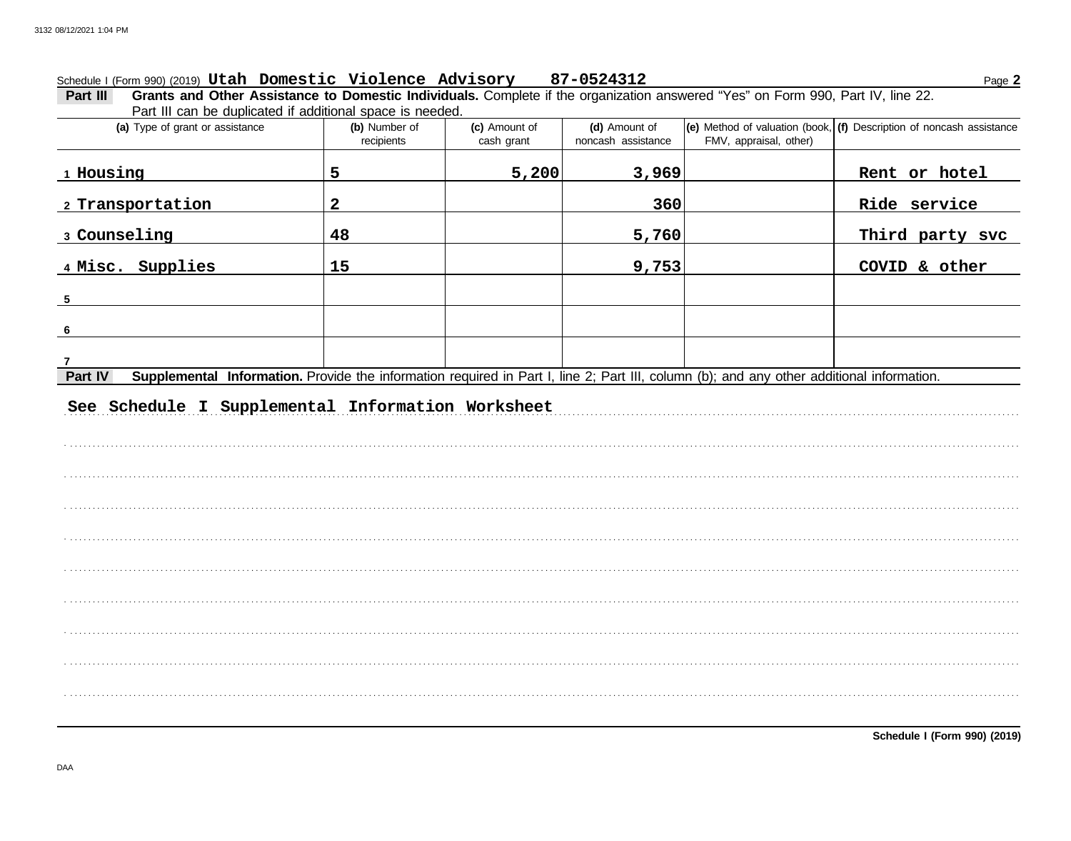### Schedule I (Form 990) (2019) Utah Domestic Violence Advisory 87-0524312

Part III Grants and Other Assistance to Domestic Individuals. Complete if the organization answered "Yes" on Form 990, Part IV, line 22. Part III can be duplicated if additional space is needed.

| (a) Type of grant or assistance                                                                                                                      | (b) Number of<br>recipients | (c) Amount of<br>cash grant | (d) Amount of<br>noncash assistance | FMV, appraisal, other) | (e) Method of valuation (book, $(f)$ Description of noncash assistance |
|------------------------------------------------------------------------------------------------------------------------------------------------------|-----------------------------|-----------------------------|-------------------------------------|------------------------|------------------------------------------------------------------------|
| 1 Housing                                                                                                                                            | 5                           | 5,200                       | 3,969                               |                        | Rent or hotel                                                          |
| 2 Transportation                                                                                                                                     | $\mathbf{2}$                |                             | 360                                 |                        | Ride service                                                           |
| 3 Counseling                                                                                                                                         | 48                          |                             | 5,760                               |                        | Third party svc                                                        |
| 4 Misc. Supplies                                                                                                                                     | 15                          |                             | 9,753                               |                        | COVID & other                                                          |
| $\sqrt{5}$                                                                                                                                           |                             |                             |                                     |                        |                                                                        |
| 6                                                                                                                                                    |                             |                             |                                     |                        |                                                                        |
| $\mathbf{7}$                                                                                                                                         |                             |                             |                                     |                        |                                                                        |
| Part IV<br>Supplemental Information. Provide the information required in Part I, line 2; Part III, column (b); and any other additional information. |                             |                             |                                     |                        |                                                                        |
| See Schedule I Supplemental Information Worksheet                                                                                                    |                             |                             |                                     |                        |                                                                        |
|                                                                                                                                                      |                             |                             |                                     |                        |                                                                        |
|                                                                                                                                                      |                             |                             |                                     |                        |                                                                        |
|                                                                                                                                                      |                             |                             |                                     |                        |                                                                        |
|                                                                                                                                                      |                             |                             |                                     |                        |                                                                        |
|                                                                                                                                                      |                             |                             |                                     |                        |                                                                        |
|                                                                                                                                                      |                             |                             |                                     |                        |                                                                        |
|                                                                                                                                                      |                             |                             |                                     |                        |                                                                        |
|                                                                                                                                                      |                             |                             |                                     |                        |                                                                        |
|                                                                                                                                                      |                             |                             |                                     |                        |                                                                        |
|                                                                                                                                                      |                             |                             |                                     |                        |                                                                        |

Page 2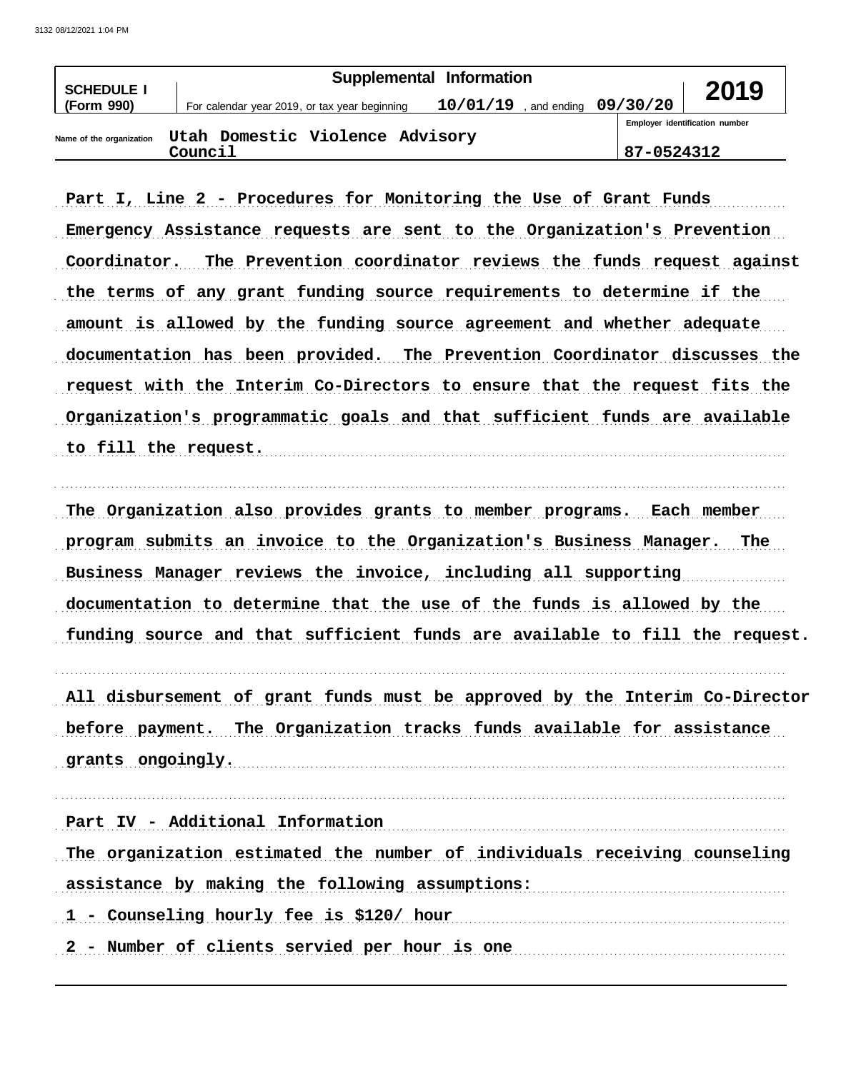| <b>Supplemental Information</b><br><b>SCHEDULE I</b> |                                                                         |            |                                |  |  |  |  |
|------------------------------------------------------|-------------------------------------------------------------------------|------------|--------------------------------|--|--|--|--|
| (Form 990)                                           | 10/01/19<br>and ending<br>For calendar year 2019, or tax year beginning | 09/30/20   | 2019                           |  |  |  |  |
|                                                      |                                                                         |            | Employer identification number |  |  |  |  |
| Name of the organization                             | Utah Domestic Violence Advisory<br>Council                              | 87-0524312 |                                |  |  |  |  |

Part I, Line 2 - Procedures for Monitoring the Use of Grant Funds Emergency Assistance requests are sent to the Organization's Prevention Coordinator. The Prevention coordinator reviews the funds request against the terms of any grant funding source requirements to determine if the amount is allowed by the funding source agreement and whether adequate documentation has been provided. The Prevention Coordinator discusses the request with the Interim Co-Directors to ensure that the request fits the Organization's programmatic goals and that sufficient funds are available to fill the request.

The Organization also provides grants to member programs. Each member program submits an invoice to the Organization's Business Manager. The Business Manager reviews the invoice, including all supporting documentation to determine that the use of the funds is allowed by the funding source and that sufficient funds are available to fill the request.

All disbursement of grant funds must be approved by the Interim Co-Director before payment. The Organization tracks funds available for assistance grants ongoingly.

Part IV - Additional Information

The organization estimated the number of individuals receiving counseling assistance by making the following assumptions: 1 - Counseling hourly fee is \$120/ hour

2 - Number of clients servied per hour is one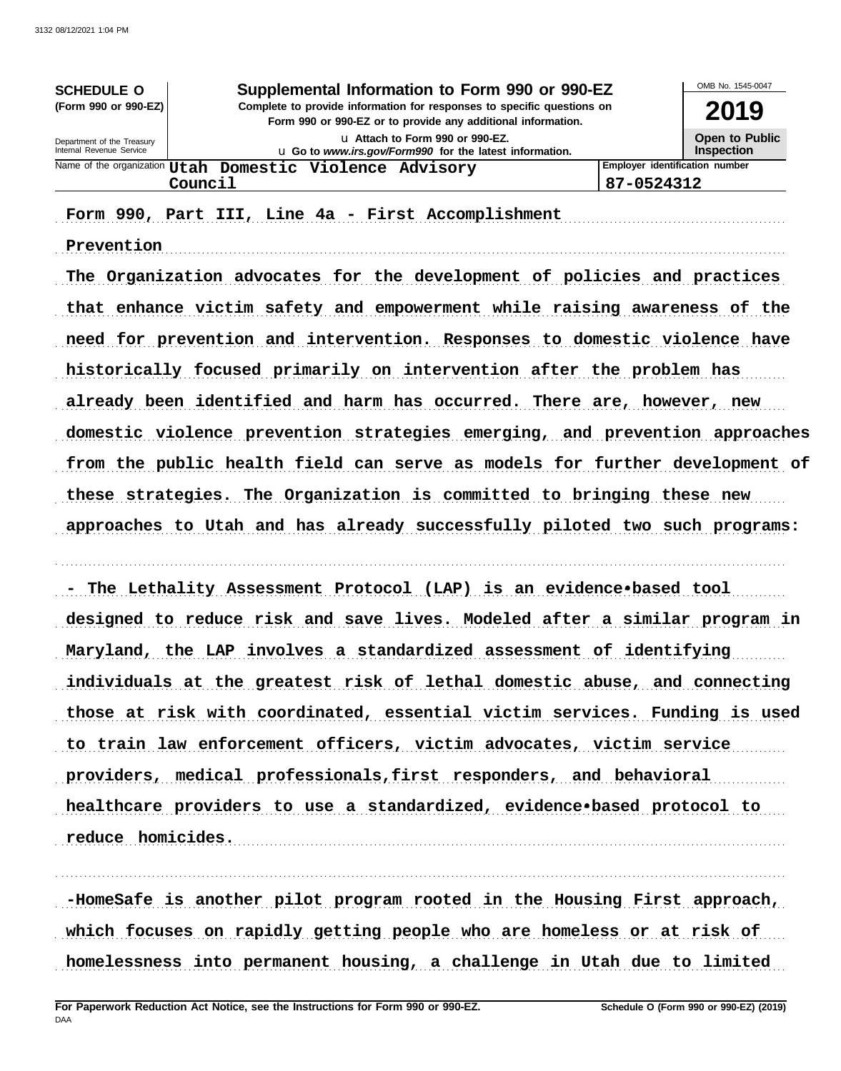|                                                                                                                                                                                                                                                                                                                                                                                                                                                                                                                                                                                                                        |  | OMB No. 1545-0047             |  |                                                                                                                     |
|------------------------------------------------------------------------------------------------------------------------------------------------------------------------------------------------------------------------------------------------------------------------------------------------------------------------------------------------------------------------------------------------------------------------------------------------------------------------------------------------------------------------------------------------------------------------------------------------------------------------|--|-------------------------------|--|---------------------------------------------------------------------------------------------------------------------|
| Supplemental Information to Form 990 or 990-EZ<br><b>SCHEDULE O</b><br>(Form 990 or 990-EZ)<br>Complete to provide information for responses to specific questions on<br>Form 990 or 990-EZ or to provide any additional information.<br>U Attach to Form 990 or 990-EZ.<br>Department of the Treasury<br>Internal Revenue Service                                                                                                                                                                                                                                                                                     |  | 2019<br><b>Open to Public</b> |  |                                                                                                                     |
|                                                                                                                                                                                                                                                                                                                                                                                                                                                                                                                                                                                                                        |  |                               |  | L Go to www.irs.gov/Form990 for the latest information.<br>Name of the organization Utah Domestic Violence Advisory |
| Council                                                                                                                                                                                                                                                                                                                                                                                                                                                                                                                                                                                                                |  | 87-0524312                    |  |                                                                                                                     |
| Form 990, Part III, Line 4a - First Accomplishment<br>Prevention<br>The Organization advocates for the development of policies and practices<br>that enhance victim safety and empowerment while raising awareness of the<br>need for prevention and intervention. Responses to domestic violence have<br>historically focused primarily on intervention after the problem has<br>already been identified and harm has occurred. There are, however, new<br>domestic violence prevention strategies emerging, and prevention approaches<br>from the public health field can serve as models for further development of |  |                               |  |                                                                                                                     |
| these strategies. The Organization is committed to bringing these new<br>approaches to Utah and has already successfully piloted two such programs:                                                                                                                                                                                                                                                                                                                                                                                                                                                                    |  |                               |  |                                                                                                                     |
| The Lethality Assessment Protocol (LAP) is an evidence•based tool                                                                                                                                                                                                                                                                                                                                                                                                                                                                                                                                                      |  |                               |  |                                                                                                                     |
|                                                                                                                                                                                                                                                                                                                                                                                                                                                                                                                                                                                                                        |  |                               |  |                                                                                                                     |
| designed to reduce risk and save lives. Modeled after a similar program in                                                                                                                                                                                                                                                                                                                                                                                                                                                                                                                                             |  |                               |  |                                                                                                                     |
|                                                                                                                                                                                                                                                                                                                                                                                                                                                                                                                                                                                                                        |  |                               |  |                                                                                                                     |
| Maryland, the LAP involves a standardized assessment of identifying<br>individuals at the greatest risk of lethal domestic abuse, and connecting                                                                                                                                                                                                                                                                                                                                                                                                                                                                       |  |                               |  |                                                                                                                     |
|                                                                                                                                                                                                                                                                                                                                                                                                                                                                                                                                                                                                                        |  |                               |  |                                                                                                                     |
|                                                                                                                                                                                                                                                                                                                                                                                                                                                                                                                                                                                                                        |  |                               |  |                                                                                                                     |
| those at risk with coordinated, essential victim services. Funding is used<br>to train law enforcement officers, victim advocates, victim service<br>providers, medical professionals, first responders, and behavioral                                                                                                                                                                                                                                                                                                                                                                                                |  |                               |  |                                                                                                                     |

-HomeSafe is another pilot program rooted in the Housing First approach, which focuses on rapidly getting people who are homeless or at risk of homelessness into permanent housing, a challenge in Utah due to limited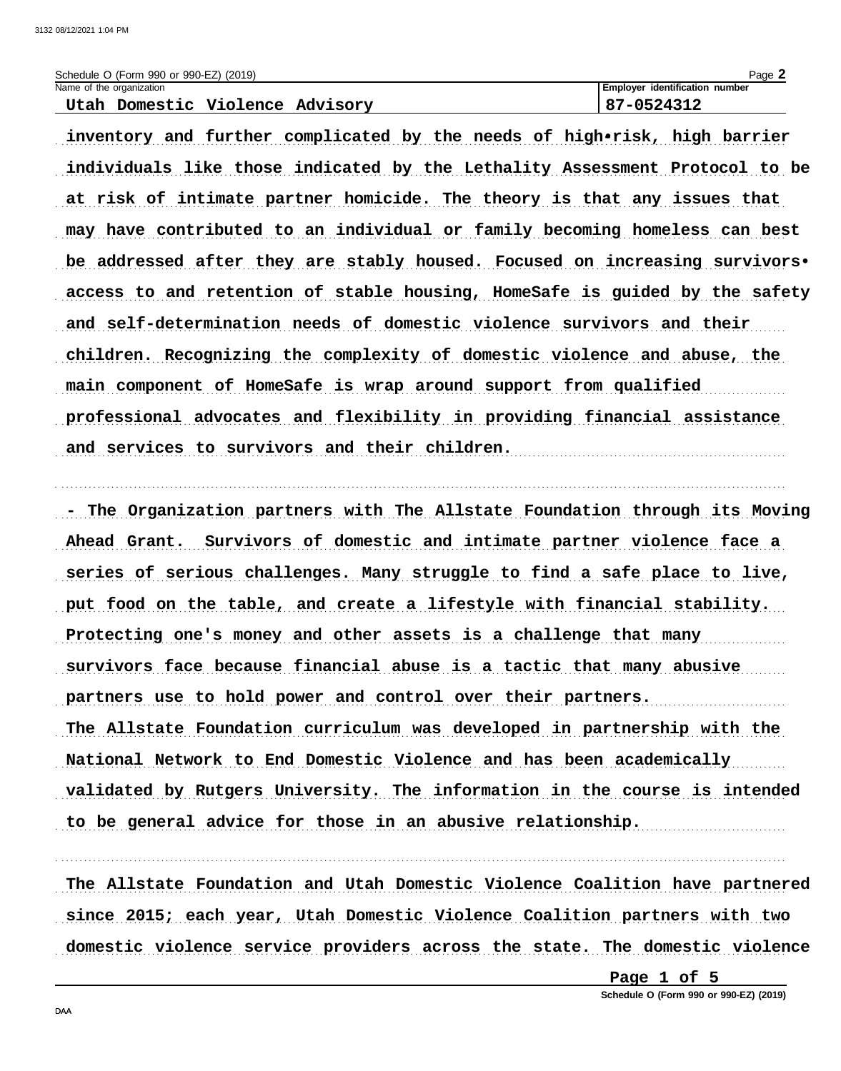| Schedule O (Form 990 or 990-EZ) (2019) | $P$ age $\triangle$                   |
|----------------------------------------|---------------------------------------|
| Name of the organization               | <b>Employer identification number</b> |
| Domestic Violence Advisory<br>Utah     | 87-0524312                            |

inventory and further complicated by the needs of high•risk, high barrier individuals like those indicated by the Lethality Assessment Protocol to be at risk of intimate partner homicide. The theory is that any issues that may have contributed to an individual or family becoming homeless can best be addressed after they are stably housed. Focused on increasing survivors. access to and retention of stable housing, HomeSafe is guided by the safety and self-determination needs of domestic violence survivors and their children. Recognizing the complexity of domestic violence and abuse, the main component of HomeSafe is wrap around support from qualified professional advocates and flexibility in providing financial assistance and services to survivors and their children.

- The Organization partners with The Allstate Foundation through its Moving Ahead Grant. Survivors of domestic and intimate partner violence face a series of serious challenges. Many struggle to find a safe place to live, put food on the table, and create a lifestyle with financial stability. Protecting one's money and other assets is a challenge that many survivors face because financial abuse is a tactic that many abusive partners use to hold power and control over their partners. The Allstate Foundation curriculum was developed in partnership with the National Network to End Domestic Violence and has been academically validated by Rutgers University. The information in the course is intended to be general advice for those in an abusive relationship.

The Allstate Foundation and Utah Domestic Violence Coalition have partnered since 2015; each year, Utah Domestic Violence Coalition partners with two domestic violence service providers across the state. The domestic violence

Page 1 of 5

Schedule O (Form 990 or 990-EZ) (2019)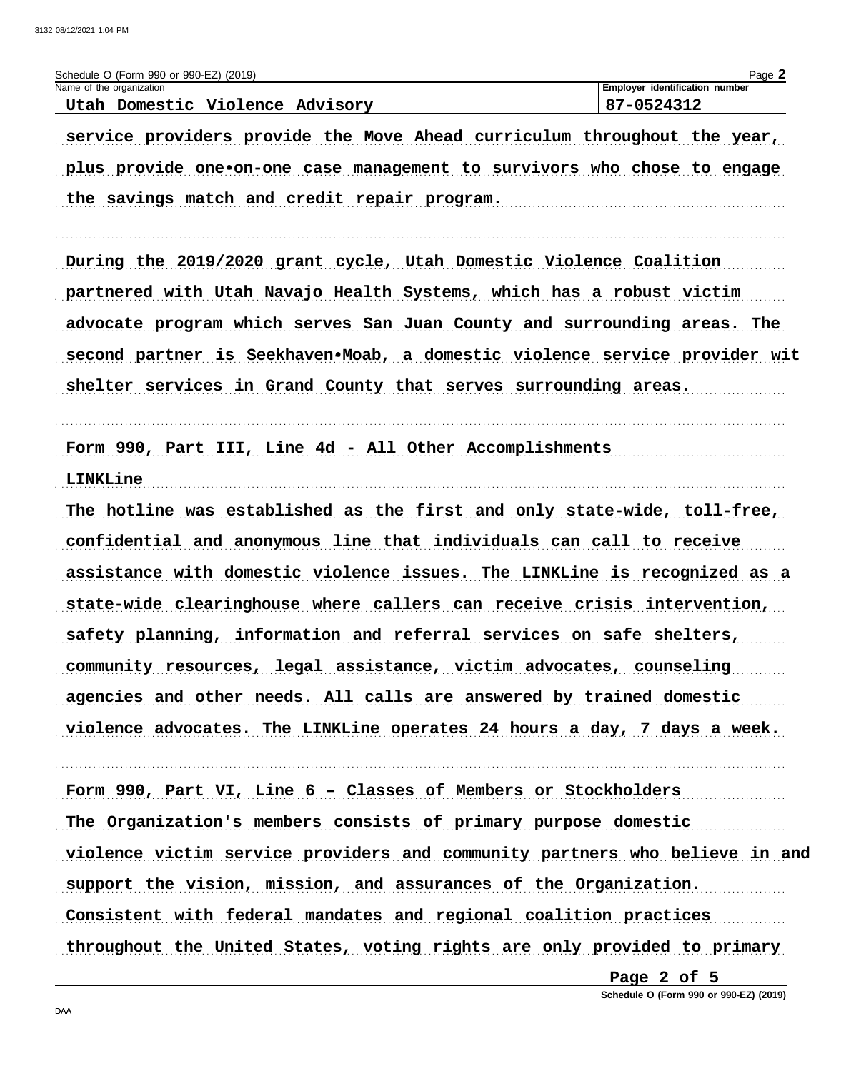| Schedule O (Form 990 or 990-EZ) (2019)<br>Name of the organization          | Page 2<br>Employer identification number |
|-----------------------------------------------------------------------------|------------------------------------------|
| Utah Domestic Violence Advisory                                             | 87-0524312                               |
| service providers provide the Move Ahead curriculum throughout the year,    |                                          |
| plus provide one *on-one case management to survivors who chose to engage   |                                          |
| the savings match and credit repair program.                                |                                          |
|                                                                             |                                          |
| During the 2019/2020 grant cycle, Utah Domestic Violence Coalition          |                                          |
| partnered with Utah Navajo Health Systems, which has a robust victim        |                                          |
| advocate program which serves San Juan County and surrounding areas. The    |                                          |
| second partner is Seekhaven.Moab, a domestic violence service provider wit  |                                          |
| shelter services in Grand County that serves surrounding areas.             |                                          |
|                                                                             |                                          |
| Form 990, Part III, Line 4d - All Other Accomplishments                     |                                          |
| LINKLine                                                                    |                                          |
| The hotline was established as the first and only state-wide, toll-free,    |                                          |
| confidential and anonymous line that individuals can call to receive        |                                          |
| assistance with domestic violence issues. The LINKLine is recognized as a   |                                          |
| state-wide clearinghouse where callers can receive crisis intervention,     |                                          |
| safety planning, information and referral services on safe shelters,        |                                          |
| community resources, legal assistance, victim advocates, counseling         |                                          |
| agencies and other needs. All calls are answered by trained domestic        |                                          |
| violence advocates. The LINKLine operates 24 hours a day, 7 days a week.    |                                          |
|                                                                             |                                          |
| Form 990, Part VI, Line 6 - Classes of Members or Stockholders              |                                          |
| The Organization's members consists of primary purpose domestic             |                                          |
| violence victim service providers and community partners who believe in and |                                          |
| support the vision, mission, and assurances of the Organization.            |                                          |
| Consistent with federal mandates and regional coalition practices           |                                          |
| throughout the United States, voting rights are only provided to primary    |                                          |

Page 2 of 5

Schedule O (Form 990 or 990-EZ) (2019)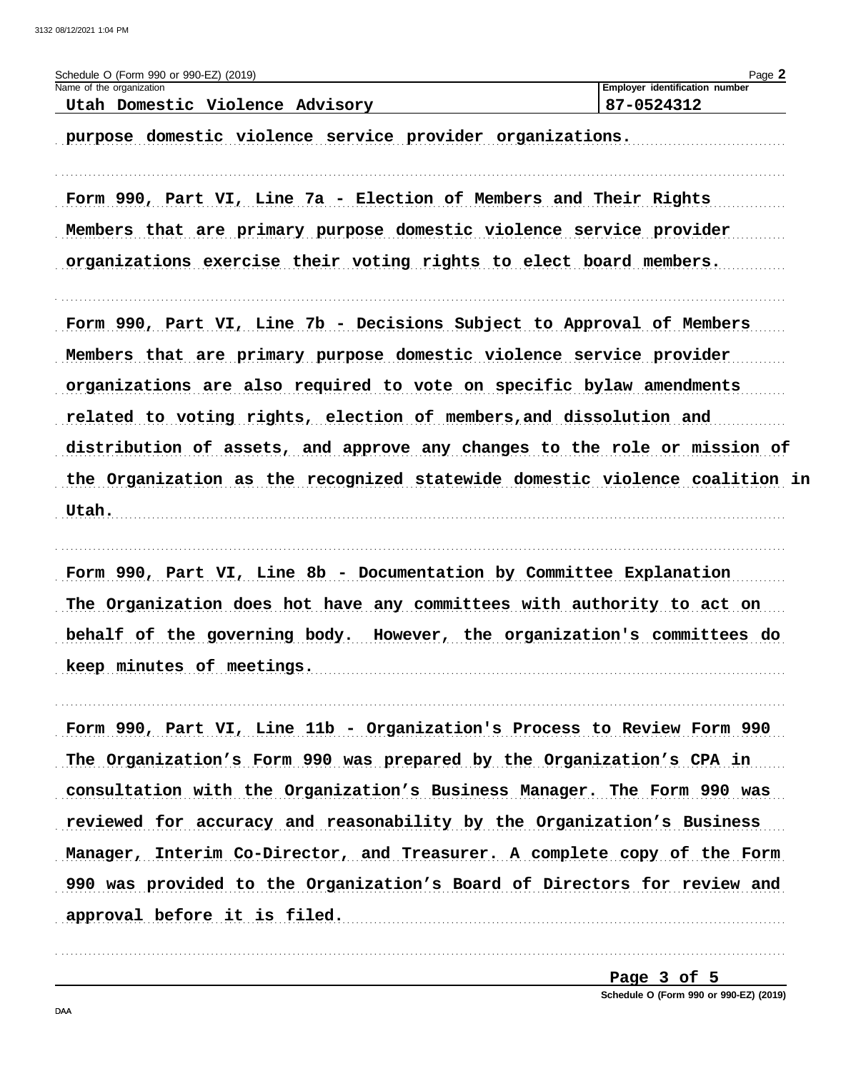|                                                                                                                                                                                                                                                                                                                                                                                   | Page 2<br>Employer identification number |
|-----------------------------------------------------------------------------------------------------------------------------------------------------------------------------------------------------------------------------------------------------------------------------------------------------------------------------------------------------------------------------------|------------------------------------------|
| Name of the organization<br>Utah Domestic Violence Advisory                                                                                                                                                                                                                                                                                                                       | 87-0524312                               |
| purpose domestic violence service provider organizations.                                                                                                                                                                                                                                                                                                                         |                                          |
| Form 990, Part VI, Line 7a - Election of Members and Their Rights                                                                                                                                                                                                                                                                                                                 |                                          |
| Members that are primary purpose domestic violence service provider                                                                                                                                                                                                                                                                                                               |                                          |
| organizations exercise their voting rights to elect board members.                                                                                                                                                                                                                                                                                                                |                                          |
| Form 990, Part VI, Line 7b - Decisions Subject to Approval of Members                                                                                                                                                                                                                                                                                                             |                                          |
| Members that are primary purpose domestic violence service provider                                                                                                                                                                                                                                                                                                               |                                          |
| organizations are also required to vote on specific bylaw amendments                                                                                                                                                                                                                                                                                                              |                                          |
| related to voting rights, election of members, and dissolution and                                                                                                                                                                                                                                                                                                                |                                          |
| distribution of assets, and approve any changes to the role or mission of                                                                                                                                                                                                                                                                                                         |                                          |
| the Organization as the recognized statewide domestic violence coalition in                                                                                                                                                                                                                                                                                                       |                                          |
| Utah.                                                                                                                                                                                                                                                                                                                                                                             |                                          |
|                                                                                                                                                                                                                                                                                                                                                                                   |                                          |
| Form 990, Part VI, Line 8b - Documentation by Committee Explanation                                                                                                                                                                                                                                                                                                               |                                          |
| The Organization does hot have any committees with authority to act on                                                                                                                                                                                                                                                                                                            |                                          |
| behalf of the governing body. However, the organization's committees do                                                                                                                                                                                                                                                                                                           |                                          |
| keep minutes of meetings.                                                                                                                                                                                                                                                                                                                                                         |                                          |
|                                                                                                                                                                                                                                                                                                                                                                                   |                                          |
|                                                                                                                                                                                                                                                                                                                                                                                   |                                          |
|                                                                                                                                                                                                                                                                                                                                                                                   |                                          |
|                                                                                                                                                                                                                                                                                                                                                                                   |                                          |
|                                                                                                                                                                                                                                                                                                                                                                                   |                                          |
|                                                                                                                                                                                                                                                                                                                                                                                   |                                          |
| Form 990, Part VI, Line 11b - Organization's Process to Review Form 990<br>The Organization's Form 990 was prepared by the Organization's CPA in<br>consultation with the Organization's Business Manager. The Form 990 was<br>reviewed for accuracy and reasonability by the Organization's Business<br>Manager, Interim Co-Director, and Treasurer. A complete copy of the Form |                                          |
|                                                                                                                                                                                                                                                                                                                                                                                   |                                          |
| 990 was provided to the Organization's Board of Directors for review and<br>approval before it is filed.                                                                                                                                                                                                                                                                          |                                          |

Page 3 of 5 Schedule O (Form 990 or 990-EZ) (2019)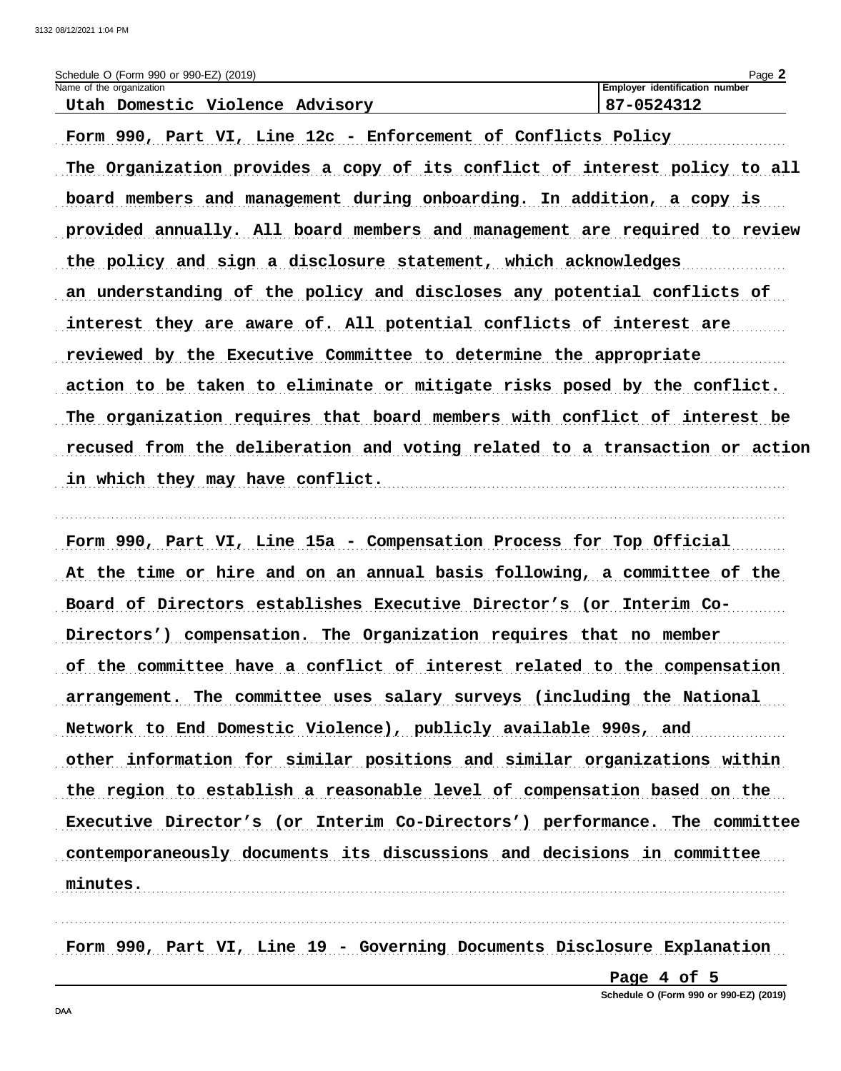| Schedule O (Form 990 or 990-EZ) (2019) | $P$ aqe $\blacktriangle$       |
|----------------------------------------|--------------------------------|
| Name of the organization               | Employer identification number |
| Utah Domestic Violence Advisory        | 87-0524312 "                   |

Form 990, Part VI, Line 12c - Enforcement of Conflicts Policy The Organization provides a copy of its conflict of interest policy to all board members and management during onboarding. In addition, a copy is provided annually. All board members and management are required to review the policy and sign a disclosure statement, which acknowledges an understanding of the policy and discloses any potential conflicts of interest they are aware of. All potential conflicts of interest are reviewed by the Executive Committee to determine the appropriate action to be taken to eliminate or mitigate risks posed by the conflict. The organization requires that board members with conflict of interest be recused from the deliberation and voting related to a transaction or action in which they may have conflict.

Form 990, Part VI, Line 15a - Compensation Process for Top Official At the time or hire and on an annual basis following, a committee of the Board of Directors establishes Executive Director's (or Interim Co-Directors') compensation. The Organization requires that no member of the committee have a conflict of interest related to the compensation arrangement. The committee uses salary surveys (including the National Network to End Domestic Violence), publicly available 990s, and other information for similar positions and similar organizations within the region to establish a reasonable level of compensation based on the Executive Director's (or Interim Co-Directors') performance. The committee contemporaneously documents its discussions and decisions in committee minutes.

Form 990, Part VI, Line 19 - Governing Documents Disclosure Explanation

Page 4 of 5

Schedule O (Form 990 or 990-EZ) (2019)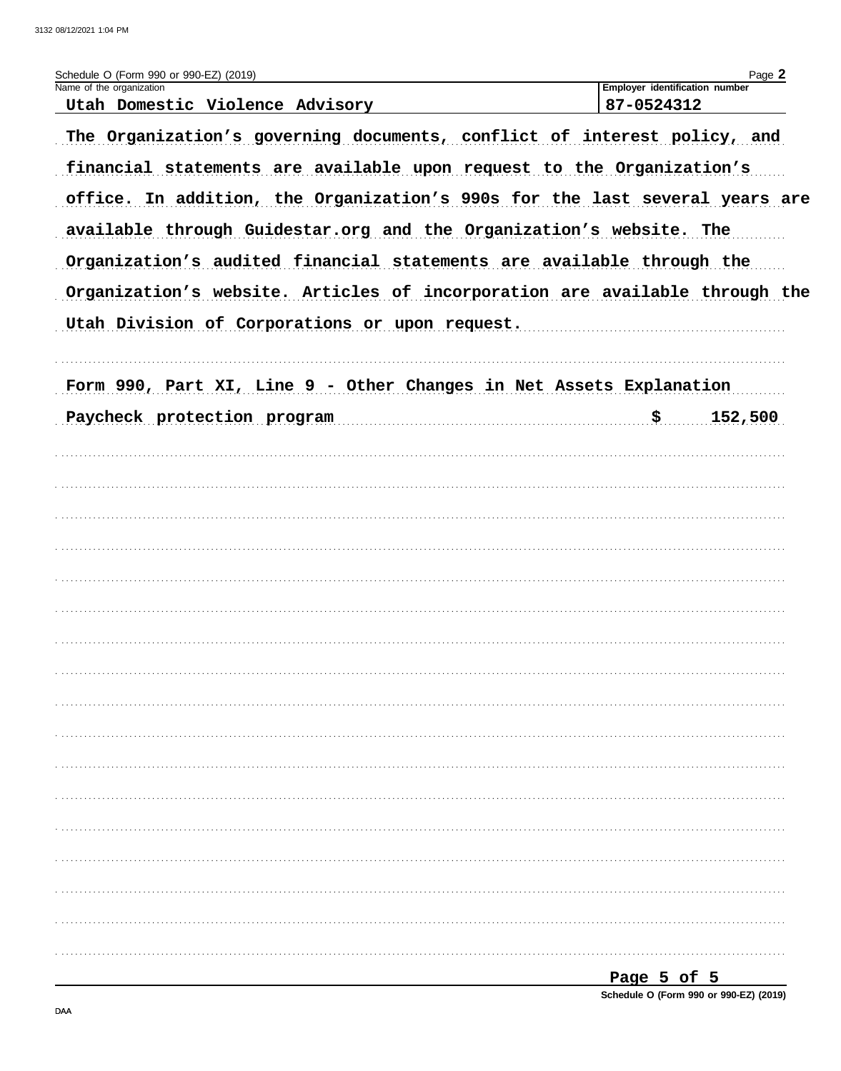| Schedule O (Form 990 or 990-EZ) (2019)<br>Name of the organization          | Page 2<br>Employer identification number |
|-----------------------------------------------------------------------------|------------------------------------------|
| Utah Domestic Violence Advisory                                             | 87-0524312                               |
| The Organization's governing documents, conflict of interest policy, and    |                                          |
| financial statements are available upon request to the Organization's       |                                          |
| office. In addition, the Organization's 990s for the last several years are |                                          |
| available through Guidestar.org and the Organization's website. The         |                                          |
| Organization's audited financial statements are available through the       |                                          |
| Organization's website. Articles of incorporation are available through the |                                          |
| Utah Division of Corporations or upon request.                              |                                          |
| Form 990, Part XI, Line 9 - Other Changes in Net Assets Explanation         |                                          |
| Paycheck protection program                                                 | 152,500<br>\$                            |
|                                                                             |                                          |
|                                                                             |                                          |
|                                                                             |                                          |
|                                                                             |                                          |
|                                                                             |                                          |
|                                                                             |                                          |
|                                                                             |                                          |
|                                                                             |                                          |
|                                                                             |                                          |
|                                                                             |                                          |
|                                                                             |                                          |
|                                                                             |                                          |
|                                                                             |                                          |
|                                                                             |                                          |
|                                                                             |                                          |
|                                                                             |                                          |
|                                                                             |                                          |
|                                                                             | Page $5$ of $5$                          |

Schedule O (Form 990 or 990-EZ) (2019)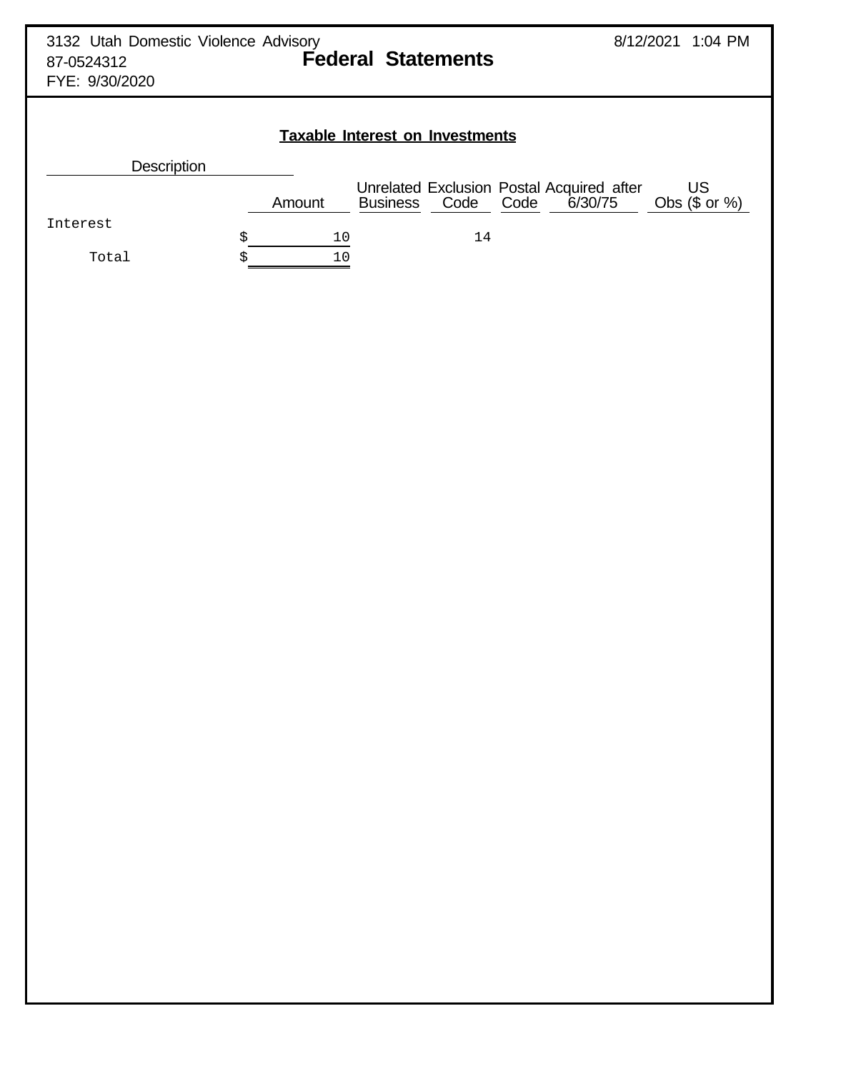|          | <b>Business</b><br>Amount | Unrelated Exclusion Postal Acquired after<br>Code Code | 6/30/75 | Obs $(\$$ or $%$ |
|----------|---------------------------|--------------------------------------------------------|---------|------------------|
| Interest |                           |                                                        |         |                  |
|          |                           | 14                                                     |         |                  |
| Total    |                           |                                                        |         |                  |